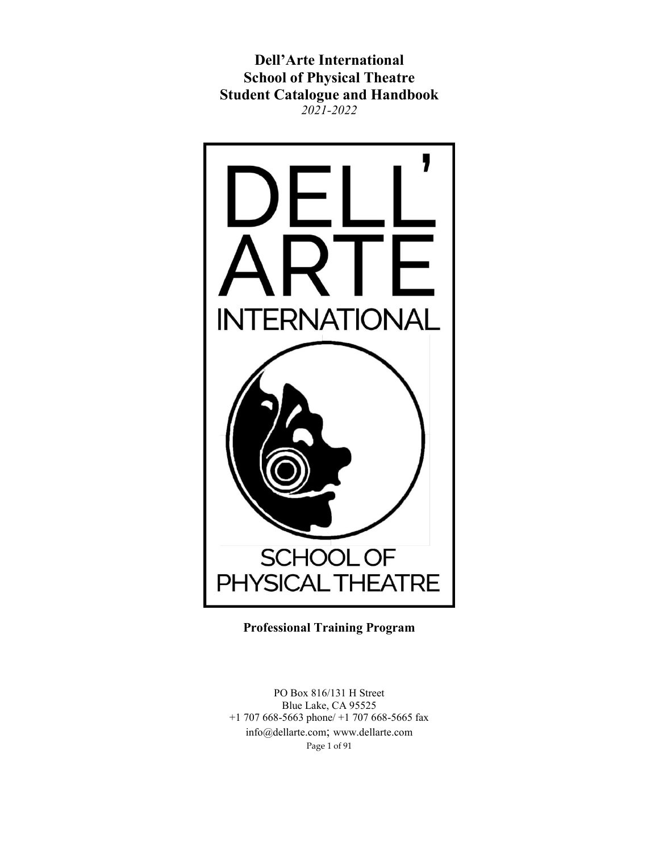**Dell'Arte International School of Physical Theatre Student Catalogue and Handbook**  *2021-2022*



**Professional Training Program** 

Page 1 of 91 PO Box 816/131 H Street Blue Lake, CA 95525 +1 707 668-5663 phone/ +1 707 668-5665 fax info@dellarte.com; www.dellarte.com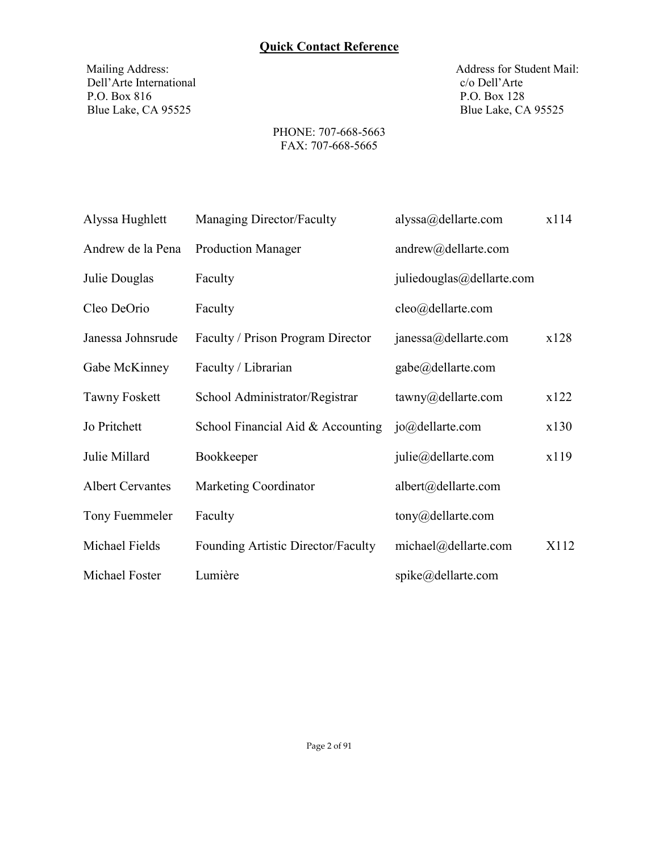Dell'Arte International<br>P.O. Box 816 P.O. Box 816 P.O. Box 128<br>Blue Lake, CA 95525 Blue Lake, CA 96525

Mailing Address:<br>
Dell'Arte International<br>
Co Dell'Arte International<br>
Co Dell'Arte Blue Lake, CA 95525

#### PHONE: 707-668-5663 FAX: 707-668-5665

| Alyssa Hughlett         | Managing Director/Faculty          | alyssa@dellarte.com       | x114 |
|-------------------------|------------------------------------|---------------------------|------|
| Andrew de la Pena       | <b>Production Manager</b>          | andrew@dellarte.com       |      |
| Julie Douglas           | Faculty                            | juliedouglas@dellarte.com |      |
| Cleo DeOrio             | Faculty                            | cleo@dellarte.com         |      |
| Janessa Johnsrude       | Faculty / Prison Program Director  | janessa@dellarte.com      | x128 |
| Gabe McKinney           | Faculty / Librarian                | gabe@dellarte.com         |      |
| <b>Tawny Foskett</b>    | School Administrator/Registrar     | tawny@dellarte.com        | x122 |
| Jo Pritchett            | School Financial Aid & Accounting  | jo@dellarte.com           | x130 |
| Julie Millard           | Bookkeeper                         | julie@dellarte.com        | x119 |
| <b>Albert Cervantes</b> | Marketing Coordinator              | albert@dellarte.com       |      |
| Tony Fuemmeler          | Faculty                            | tony@dellarte.com         |      |
| Michael Fields          | Founding Artistic Director/Faculty | michael@dellarte.com      | X112 |
| Michael Foster          | Lumière                            | spike@dellarte.com        |      |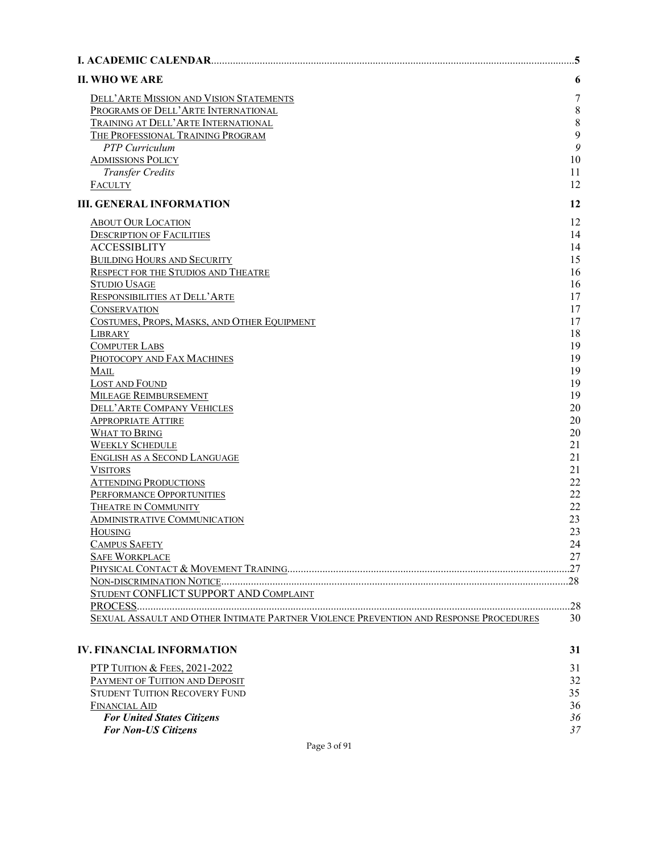| <b>II. WHO WE ARE</b>                                                                 | 6                |
|---------------------------------------------------------------------------------------|------------------|
| DELL'ARTE MISSION AND VISION STATEMENTS                                               | $\boldsymbol{7}$ |
| PROGRAMS OF DELL'ARTE INTERNATIONAL                                                   | $\,8\,$          |
| TRAINING AT DELL'ARTE INTERNATIONAL                                                   | $\,8\,$          |
| THE PROFESSIONAL TRAINING PROGRAM                                                     | 9                |
| PTP Curriculum                                                                        | 9                |
| <b>ADMISSIONS POLICY</b>                                                              | 10               |
| <b>Transfer Credits</b>                                                               | 11               |
| <b>FACULTY</b>                                                                        | 12               |
| <b>III. GENERAL INFORMATION</b>                                                       | 12               |
| <b>ABOUT OUR LOCATION</b>                                                             | 12               |
| <b>DESCRIPTION OF FACILITIES</b>                                                      | 14               |
| <b>ACCESSIBLITY</b>                                                                   | 14               |
| <b>BUILDING HOURS AND SECURITY</b>                                                    | 15               |
| <b>RESPECT FOR THE STUDIOS AND THEATRE</b>                                            | 16               |
| <b>STUDIO USAGE</b>                                                                   | 16               |
| <b>RESPONSIBILITIES AT DELL'ARTE</b>                                                  | 17               |
| <b>CONSERVATION</b>                                                                   | 17               |
| COSTUMES, PROPS, MASKS, AND OTHER EQUIPMENT                                           | 17               |
| <b>LIBRARY</b>                                                                        | 18               |
| <b>COMPUTER LABS</b>                                                                  | 19               |
| PHOTOCOPY AND FAX MACHINES                                                            | 19               |
| MAIL                                                                                  | 19               |
| <b>LOST AND FOUND</b>                                                                 | 19               |
| <b>MILEAGE REIMBURSEMENT</b>                                                          | 19               |
| DELL'ARTE COMPANY VEHICLES                                                            | $20\,$           |
| <b>APPROPRIATE ATTIRE</b>                                                             | $20\,$           |
| <b>WHAT TO BRING</b>                                                                  | 20               |
| <b>WEEKLY SCHEDULE</b>                                                                | 21               |
| <b>ENGLISH AS A SECOND LANGUAGE</b>                                                   | 21               |
| <b>VISITORS</b>                                                                       | 21               |
| <b>ATTENDING PRODUCTIONS</b>                                                          | 22               |
| PERFORMANCE OPPORTUNITIES                                                             | 22               |
| THEATRE IN COMMUNITY                                                                  | 22               |
| <b>ADMINISTRATIVE COMMUNICATION</b>                                                   | 23               |
| <b>HOUSING</b>                                                                        | 23               |
| <b>CAMPUS SAFETY</b>                                                                  | 24               |
| <b>SAFE WORKPLACE</b>                                                                 | 27               |
|                                                                                       |                  |
|                                                                                       |                  |
| STUDENT CONFLICT SUPPORT AND COMPLAINT                                                |                  |
|                                                                                       |                  |
| SEXUAL ASSAULT AND OTHER INTIMATE PARTNER VIOLENCE PREVENTION AND RESPONSE PROCEDURES | 30               |
| <b>IV. FINANCIAL INFORMATION</b>                                                      | 31               |
| PTP TUITION & FEES, 2021-2022                                                         | 31               |
| PAYMENT OF TUITION AND DEPOSIT                                                        | 32               |
| <b>STUDENT TUITION RECOVERY FUND</b>                                                  | 35               |
| <b>FINANCIAL AID</b>                                                                  | 36               |
| <b>For United States Citizens</b>                                                     | 36               |
| <b>For Non-US Citizens</b>                                                            | 37               |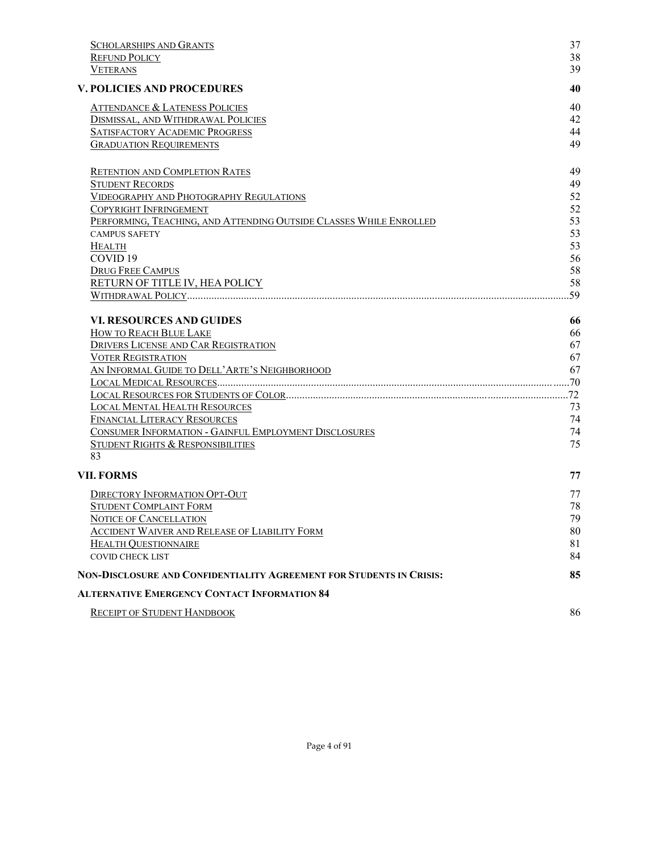| <b>SCHOLARSHIPS AND GRANTS</b>                                       | 37       |
|----------------------------------------------------------------------|----------|
| <b>REFUND POLICY</b>                                                 | 38       |
| <b>VETERANS</b>                                                      | 39       |
| <b>V. POLICIES AND PROCEDURES</b>                                    | 40       |
| <b>ATTENDANCE &amp; LATENESS POLICIES</b>                            | 40       |
| DISMISSAL, AND WITHDRAWAL POLICIES                                   | 42       |
| <b>SATISFACTORY ACADEMIC PROGRESS</b>                                | 44       |
| <b>GRADUATION REQUIREMENTS</b>                                       | 49       |
| <b>RETENTION AND COMPLETION RATES</b>                                | 49       |
| <b>STUDENT RECORDS</b>                                               | 49       |
| <b>VIDEOGRAPHY AND PHOTOGRAPHY REGULATIONS</b>                       | 52       |
| <b>COPYRIGHT INFRINGEMENT</b>                                        | 52       |
| PERFORMING, TEACHING, AND ATTENDING OUTSIDE CLASSES WHILE ENROLLED   | 53       |
| <b>CAMPUS SAFETY</b>                                                 | 53       |
| <b>HEALTH</b>                                                        | 53       |
| COVID <sub>19</sub>                                                  | 56       |
| <b>DRUG FREE CAMPUS</b>                                              | 58       |
| RETURN OF TITLE IV, HEA POLICY                                       | 58       |
|                                                                      | .59      |
| <b>VI. RESOURCES AND GUIDES</b>                                      | 66       |
| <b>HOW TO REACH BLUE LAKE</b>                                        | 66       |
| DRIVERS LICENSE AND CAR REGISTRATION                                 | 67       |
| <b>VOTER REGISTRATION</b>                                            | 67       |
| <u>AN INFORMAL GUIDE TO DELL'ARTE'S NEIGHBORHOOD</u>                 | 67       |
|                                                                      |          |
|                                                                      |          |
| <b>LOCAL MENTAL HEALTH RESOURCES</b>                                 | 73       |
| <b>FINANCIAL LITERACY RESOURCES</b>                                  | 74       |
| CONSUMER INFORMATION - GAINFUL EMPLOYMENT DISCLOSURES                | 74<br>75 |
| <b>STUDENT RIGHTS &amp; RESPONSIBILITIES</b><br>83                   |          |
| <b>VII. FORMS</b>                                                    | 77       |
| <b>DIRECTORY INFORMATION OPT-OUT</b>                                 | 77       |
| <b>STUDENT COMPLAINT FORM</b>                                        | 78       |
| <b>NOTICE OF CANCELLATION</b>                                        | 79       |
| <b>ACCIDENT WAIVER AND RELEASE OF LIABILITY FORM</b>                 | 80       |
| <b>HEALTH QUESTIONNAIRE</b>                                          | 81       |
| <b>COVID CHECK LIST</b>                                              | 84       |
| NON-DISCLOSURE AND CONFIDENTIALITY AGREEMENT FOR STUDENTS IN CRISIS: | 85       |
| <b>ALTERNATIVE EMERGENCY CONTACT INFORMATION 84</b>                  |          |
| <b>RECEIPT OF STUDENT HANDBOOK</b>                                   | 86       |
|                                                                      |          |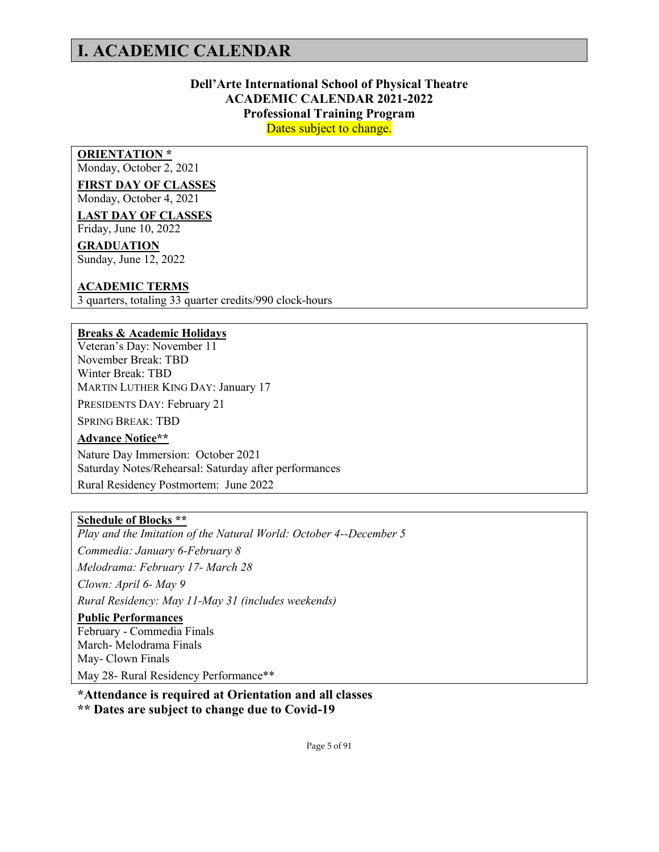## **I. ACADEMIC CALENDAR**

#### **Dell'Arte International School of Physical Theatre ACADEMIC CALENDAR 2021-2022 Professional Training Program**

Dates subject to change.

#### **ORIENTATION \***

Monday, October 2, 2021

#### **FIRST DAY OF CLASSES**

Monday, October 4, 2021

**LAST DAY OF CLASSES** Friday, June 10, 2022

#### **GRADUATION**

Sunday, June 12, 2022

#### **ACADEMIC TERMS**

3 quarters, totaling 33 quarter credits/990 clock-hours

#### **Breaks & Academic Holidays**

Veteran's Day: November 11 November Break: TBD Winter Break: TBD MARTIN LUTHER KING DAY: January 17

PRESIDENTS DAY: February 21

### SPRING BREAK: TBD

#### **Advance Notice\*\***

Nature Day Immersion: October 2021 Saturday Notes/Rehearsal: Saturday after performances Rural Residency Postmortem: June 2022

#### **Schedule of Blocks \*\***

*Play and the Imitation of the Natural World: October 4--December 5 Commedia: January 6-February 8 Melodrama: February 17- March 28 Clown: April 6- May 9 Rural Residency: May 11-May 31 (includes weekends)*  **Public Performances** February - Commedia Finals March- Melodrama Finals May- Clown Finals

May 28- Rural Residency Performance\*\*

#### **\*Attendance is required at Orientation and all classes \*\* Dates are subject to change due to Covid-19**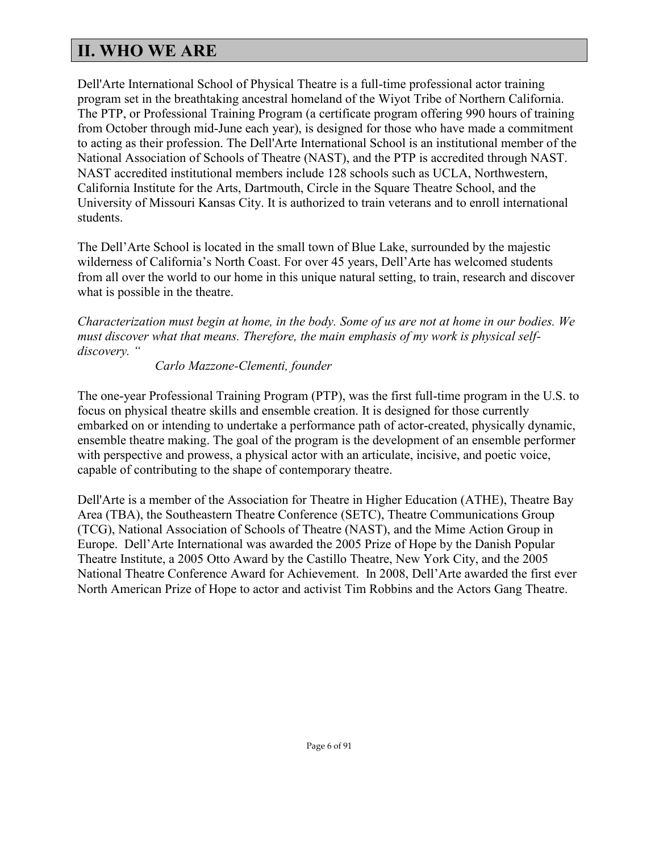# **II. WHO WE ARE**

Dell'Arte International School of Physical Theatre is a full-time professional actor training program set in the breathtaking ancestral homeland of the Wiyot Tribe of Northern California. The PTP, or Professional Training Program (a certificate program offering 990 hours of training from October through mid-June each year), is designed for those who have made a commitment to acting as their profession. The Dell'Arte International School is an institutional member of the National Association of Schools of Theatre (NAST), and the PTP is accredited through NAST. NAST accredited institutional members include 128 schools such as UCLA, Northwestern, California Institute for the Arts, Dartmouth, Circle in the Square Theatre School, and the University of Missouri Kansas City. It is authorized to train veterans and to enroll international students.

The Dell'Arte School is located in the small town of Blue Lake, surrounded by the majestic wilderness of California's North Coast. For over 45 years, Dell'Arte has welcomed students from all over the world to our home in this unique natural setting, to train, research and discover what is possible in the theatre.

*Characterization must begin at home, in the body. Some of us are not at home in our bodies. We must discover what that means. Therefore, the main emphasis of my work is physical selfdiscovery.* "

*Carlo Mazzone-Clementi, founder* 

The one-year Professional Training Program (PTP), was the first full-time program in the U.S. to focus on physical theatre skills and ensemble creation. It is designed for those currently embarked on or intending to undertake a performance path of actor-created, physically dynamic, ensemble theatre making. The goal of the program is the development of an ensemble performer with perspective and prowess, a physical actor with an articulate, incisive, and poetic voice, capable of contributing to the shape of contemporary theatre.

Dell'Arte is a member of the Association for Theatre in Higher Education (ATHE), Theatre Bay Area (TBA), the Southeastern Theatre Conference (SETC), Theatre Communications Group (TCG), National Association of Schools of Theatre (NAST), and the Mime Action Group in Europe. Dell'Arte International was awarded the 2005 Prize of Hope by the Danish Popular Theatre Institute, a 2005 Otto Award by the Castillo Theatre, New York City, and the 2005 National Theatre Conference Award for Achievement. In 2008, Dell'Arte awarded the first ever North American Prize of Hope to actor and activist Tim Robbins and the Actors Gang Theatre.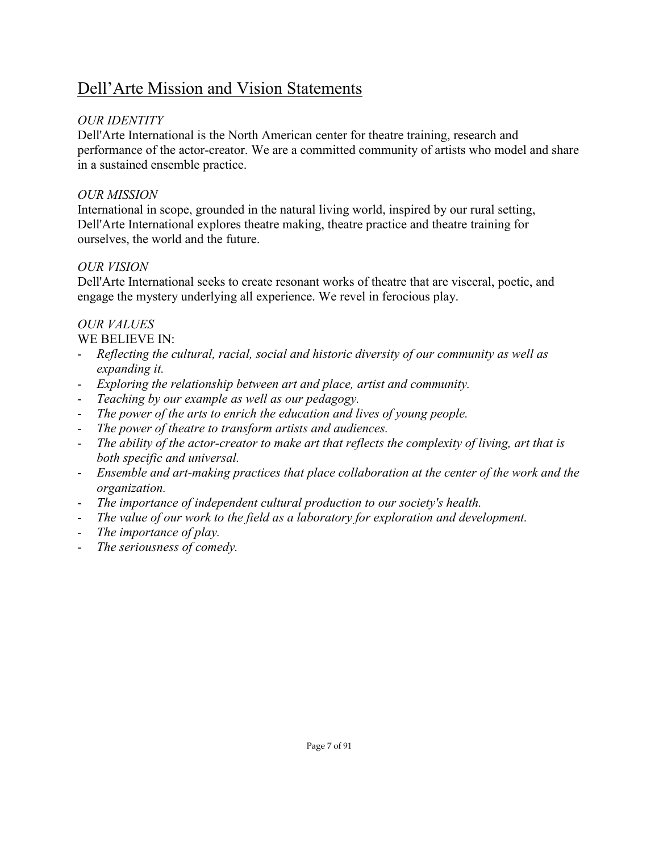## Dell'Arte Mission and Vision Statements

### *OUR IDENTITY*

Dell'Arte International is the North American center for theatre training, research and performance of the actor-creator. We are a committed community of artists who model and share in a sustained ensemble practice.

### *OUR MISSION*

International in scope, grounded in the natural living world, inspired by our rural setting, Dell'Arte International explores theatre making, theatre practice and theatre training for ourselves, the world and the future.

### *OUR VISION*

Dell'Arte International seeks to create resonant works of theatre that are visceral, poetic, and engage the mystery underlying all experience. We revel in ferocious play.

### *OUR VALUES*

WE BELIEVE IN:

- *Reflecting the cultural, racial, social and historic diversity of our community as well as expanding it.*
- *Exploring the relationship between art and place, artist and community.*
- *Teaching by our example as well as our pedagogy.*
- *The power of the arts to enrich the education and lives of young people.*
- *The power of theatre to transform artists and audiences.*
- The ability of the actor-creator to make art that reflects the complexity of living, art that is *both specific and universal.*
- *Ensemble and art-making practices that place collaboration at the center of the work and the organization.*
- *The importance of independent cultural production to our society's health.*
- *The value of our work to the field as a laboratory for exploration and development.*
- *The importance of play.*
- *The seriousness of comedy.*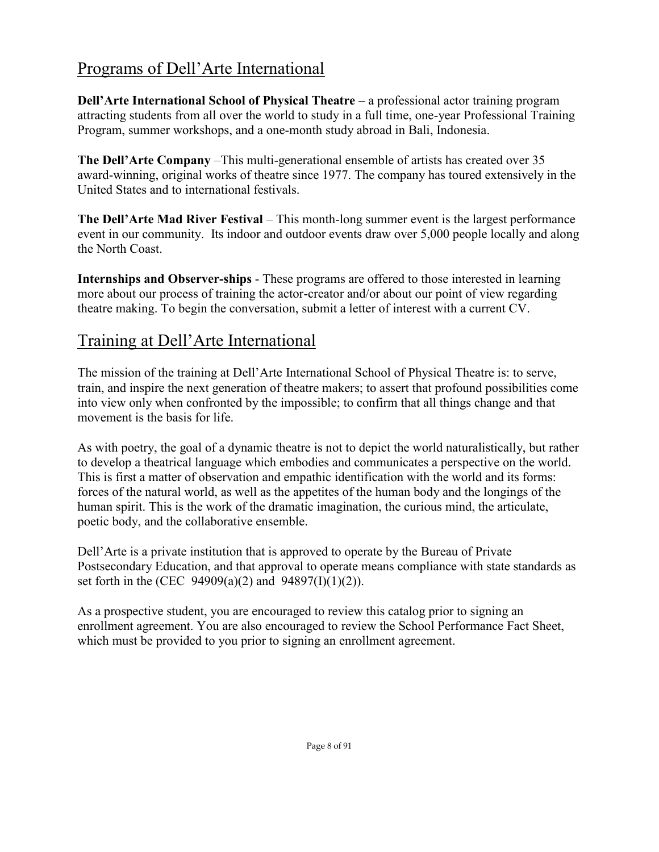## Programs of Dell'Arte International

**Dell'Arte International School of Physical Theatre - a professional actor training program** attracting students from all over the world to study in a full time, one-year Professional Training Program, summer workshops, and a one-month study abroad in Bali, Indonesia.

**The Dell'Arte Company** – This multi-generational ensemble of artists has created over 35 award-winning, original works of theatre since 1977. The company has toured extensively in the United States and to international festivals.

**The Dell'Arte Mad River Festival** – This month-long summer event is the largest performance event in our community. Its indoor and outdoor events draw over 5,000 people locally and along the North Coast.

**Internships and Observer-ships** - These programs are offered to those interested in learning more about our process of training the actor-creator and/or about our point of view regarding theatre making. To begin the conversation, submit a letter of interest with a current CV.

## Training at Dell'Arte International

The mission of the training at Dell'Arte International School of Physical Theatre is: to serve, train, and inspire the next generation of theatre makers; to assert that profound possibilities come into view only when confronted by the impossible; to confirm that all things change and that movement is the basis for life.

As with poetry, the goal of a dynamic theatre is not to depict the world naturalistically, but rather to develop a theatrical language which embodies and communicates a perspective on the world. This is first a matter of observation and empathic identification with the world and its forms: forces of the natural world, as well as the appetites of the human body and the longings of the human spirit. This is the work of the dramatic imagination, the curious mind, the articulate, poetic body, and the collaborative ensemble.

Dell'Arte is a private institution that is approved to operate by the Bureau of Private Postsecondary Education, and that approval to operate means compliance with state standards as set forth in the (CEC 94909(a)(2) and 94897(I)(1)(2)).

As a prospective student, you are encouraged to review this catalog prior to signing an enrollment agreement. You are also encouraged to review the School Performance Fact Sheet, which must be provided to you prior to signing an enrollment agreement.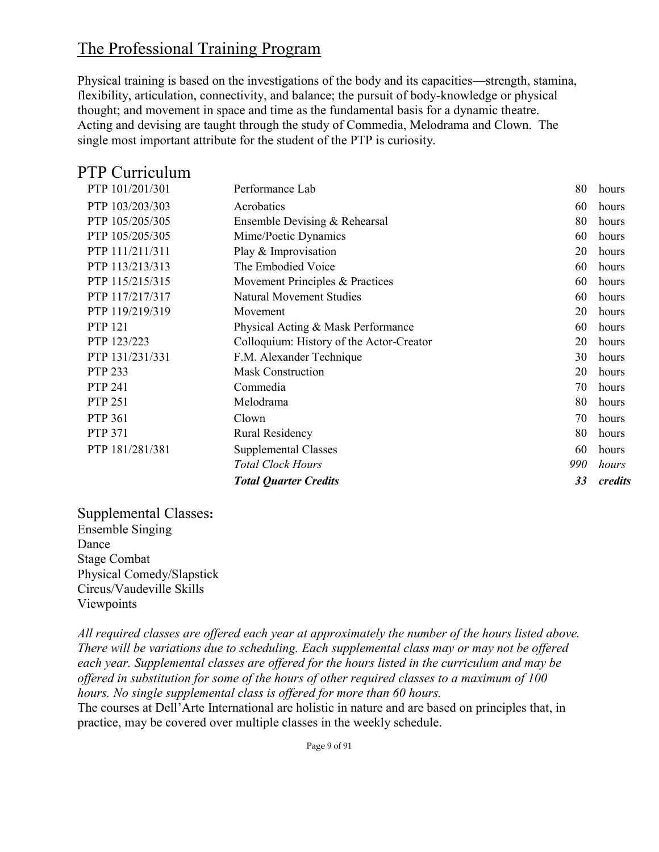# The Professional Training Program

Physical training is based on the investigations of the body and its capacities—strength, stamina, flexibility, articulation, connectivity, and balance; the pursuit of body-knowledge or physical thought; and movement in space and time as the fundamental basis for a dynamic theatre. Acting and devising are taught through the study of Commedia, Melodrama and Clown. The single most important attribute for the student of the PTP is curiosity.

## PTP Curriculum

| PTP 101/201/301 | Performance Lab                          | 80  | hours   |
|-----------------|------------------------------------------|-----|---------|
| PTP 103/203/303 | Acrobatics                               | 60  | hours   |
| PTP 105/205/305 | Ensemble Devising & Rehearsal            | 80  | hours   |
| PTP 105/205/305 | Mime/Poetic Dynamics                     | 60  | hours   |
| PTP 111/211/311 | Play & Improvisation                     | 20  | hours   |
| PTP 113/213/313 | The Embodied Voice                       | 60  | hours   |
| PTP 115/215/315 | Movement Principles & Practices          | 60  | hours   |
| PTP 117/217/317 | <b>Natural Movement Studies</b>          | 60  | hours   |
| PTP 119/219/319 | Movement                                 | 20  | hours   |
| <b>PTP 121</b>  | Physical Acting & Mask Performance       | 60  | hours   |
| PTP 123/223     | Colloquium: History of the Actor-Creator | 20  | hours   |
| PTP 131/231/331 | F.M. Alexander Technique                 | 30  | hours   |
| <b>PTP 233</b>  | Mask Construction                        | 20  | hours   |
| <b>PTP 241</b>  | Commedia                                 | 70  | hours   |
| <b>PTP 251</b>  | Melodrama                                | 80  | hours   |
| <b>PTP 361</b>  | Clown                                    | 70  | hours   |
| <b>PTP 371</b>  | Rural Residency                          | 80  | hours   |
| PTP 181/281/381 | <b>Supplemental Classes</b>              | 60  | hours   |
|                 | <b>Total Clock Hours</b>                 | 990 | hours   |
|                 | <b>Total Quarter Credits</b>             | 33  | credits |

### Supplemental Classes**:**

Ensemble Singing Dance Stage Combat Physical Comedy/Slapstick Circus/Vaudeville Skills Viewpoints

*All required classes are offered each year at approximately the number of the hours listed above. There will be variations due to scheduling. Each supplemental class may or may not be offered each year. Supplemental classes are offered for the hours listed in the curriculum and may be offered in substitution for some of the hours of other required classes to a maximum of 100 hours. No single supplemental class is offered for more than 60 hours.*  The courses at Dell'Arte International are holistic in nature and are based on principles that, in practice, may be covered over multiple classes in the weekly schedule.

Page 9 of 91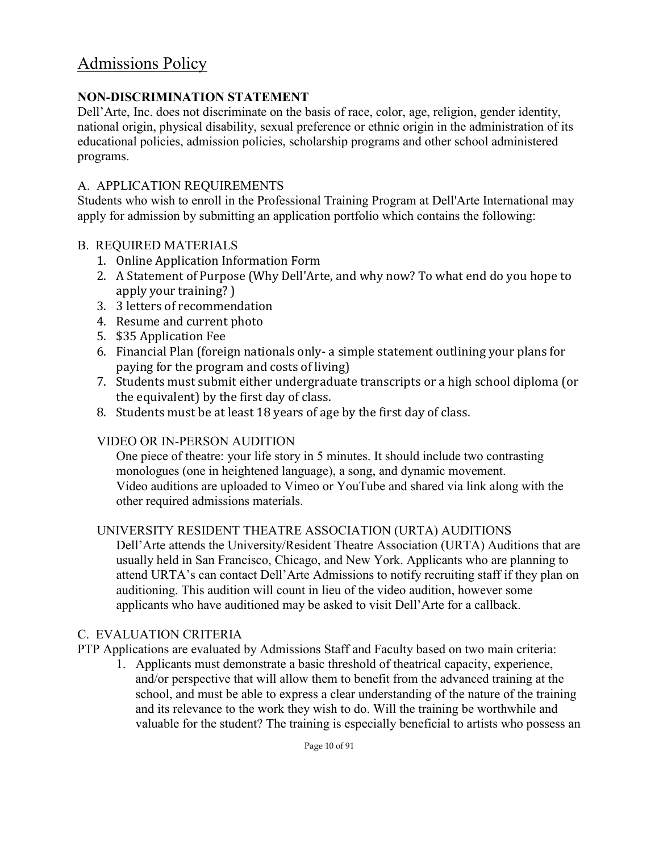## Admissions Policy

### **NON-DISCRIMINATION STATEMENT**

Dell'Arte, Inc. does not discriminate on the basis of race, color, age, religion, gender identity, national origin, physical disability, sexual preference or ethnic origin in the administration of its educational policies, admission policies, scholarship programs and other school administered programs.

### A. APPLICATION REQUIREMENTS

Students who wish to enroll in the Professional Training Program at Dell'Arte International may apply for admission by submitting an application portfolio which contains the following:

### B. REQUIRED MATERIALS

- 1. Online Application Information Form
- 2. A Statement of Purpose (Why Dell'Arte, and why now? To what end do you hope to apply your training? )
- 3. 3 letters of recommendation
- 4. Resume and current photo
- 5. \$35 Application Fee
- 6. Financial Plan (foreign nationals only- a simple statement outlining your plans for paying for the program and costs of living)
- 7. Students must submit either undergraduate transcripts or a high school diploma (or the equivalent) by the first day of class.
- 8. Students must be at least 18 years of age by the first day of class.

### VIDEO OR IN-PERSON AUDITION

One piece of theatre: your life story in 5 minutes. It should include two contrasting monologues (one in heightened language), a song, and dynamic movement. Video auditions are uploaded to Vimeo or YouTube and shared via link along with the other required admissions materials.

#### UNIVERSITY RESIDENT THEATRE ASSOCIATION (URTA) AUDITIONS

Dell'Arte attends the University/Resident Theatre Association (URTA) Auditions that are usually held in San Francisco, Chicago, and New York. Applicants who are planning to attend URTA's can contact Dell'Arte Admissions to notify recruiting staff if they plan on auditioning. This audition will count in lieu of the video audition, however some applicants who have auditioned may be asked to visit Dell'Arte for a callback.

#### C. EVALUATION CRITERIA

PTP Applications are evaluated by Admissions Staff and Faculty based on two main criteria:

1. Applicants must demonstrate a basic threshold of theatrical capacity, experience, and/or perspective that will allow them to benefit from the advanced training at the school, and must be able to express a clear understanding of the nature of the training and its relevance to the work they wish to do. Will the training be worthwhile and valuable for the student? The training is especially beneficial to artists who possess an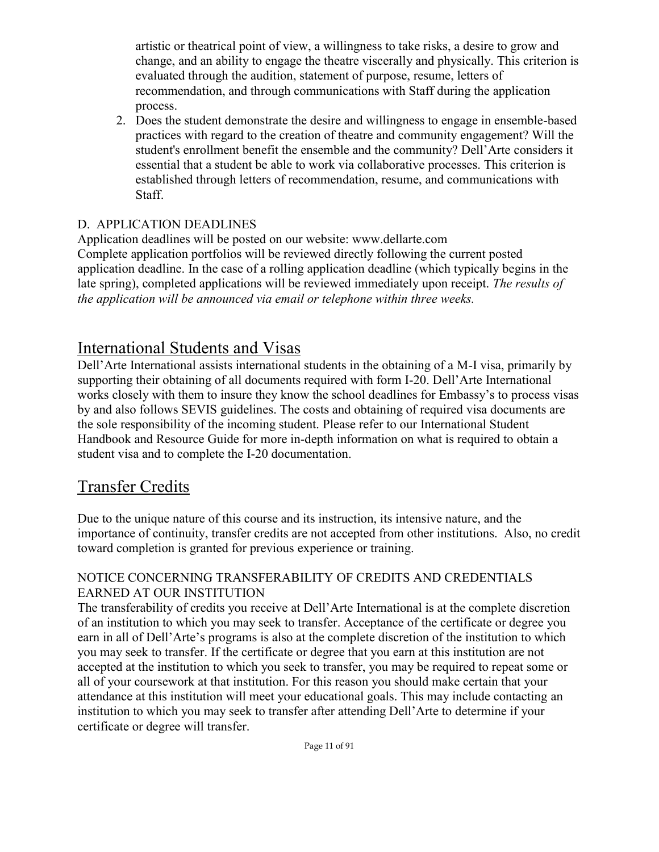artistic or theatrical point of view, a willingness to take risks, a desire to grow and change, and an ability to engage the theatre viscerally and physically. This criterion is evaluated through the audition, statement of purpose, resume, letters of recommendation, and through communications with Staff during the application process.

2. Does the student demonstrate the desire and willingness to engage in ensemble-based practices with regard to the creation of theatre and community engagement? Will the student's enrollment benefit the ensemble and the community? Dell'Arte considers it essential that a student be able to work via collaborative processes. This criterion is established through letters of recommendation, resume, and communications with Staff.

### D. APPLICATION DEADLINES

Application deadlines will be posted on our website: www.dellarte.com Complete application portfolios will be reviewed directly following the current posted application deadline. In the case of a rolling application deadline (which typically begins in the late spring), completed applications will be reviewed immediately upon receipt. *The results of the application will be announced via email or telephone within three weeks.* 

## International Students and Visas

Dell'Arte International assists international students in the obtaining of a M-I visa, primarily by supporting their obtaining of all documents required with form I-20. Dell'Arte International works closely with them to insure they know the school deadlines for Embassy's to process visas by and also follows SEVIS guidelines. The costs and obtaining of required visa documents are the sole responsibility of the incoming student. Please refer to our International Student Handbook and Resource Guide for more in-depth information on what is required to obtain a student visa and to complete the I-20 documentation.

## Transfer Credits

Due to the unique nature of this course and its instruction, its intensive nature, and the importance of continuity, transfer credits are not accepted from other institutions. Also, no credit toward completion is granted for previous experience or training.

### NOTICE CONCERNING TRANSFERABILITY OF CREDITS AND CREDENTIALS EARNED AT OUR INSTITUTION

The transferability of credits you receive at Dell'Arte International is at the complete discretion of an institution to which you may seek to transfer. Acceptance of the certificate or degree you earn in all of Dell'Arte's programs is also at the complete discretion of the institution to which you may seek to transfer. If the certificate or degree that you earn at this institution are not accepted at the institution to which you seek to transfer, you may be required to repeat some or all of your coursework at that institution. For this reason you should make certain that your attendance at this institution will meet your educational goals. This may include contacting an institution to which you may seek to transfer after attending Dell'Arte to determine if your certificate or degree will transfer.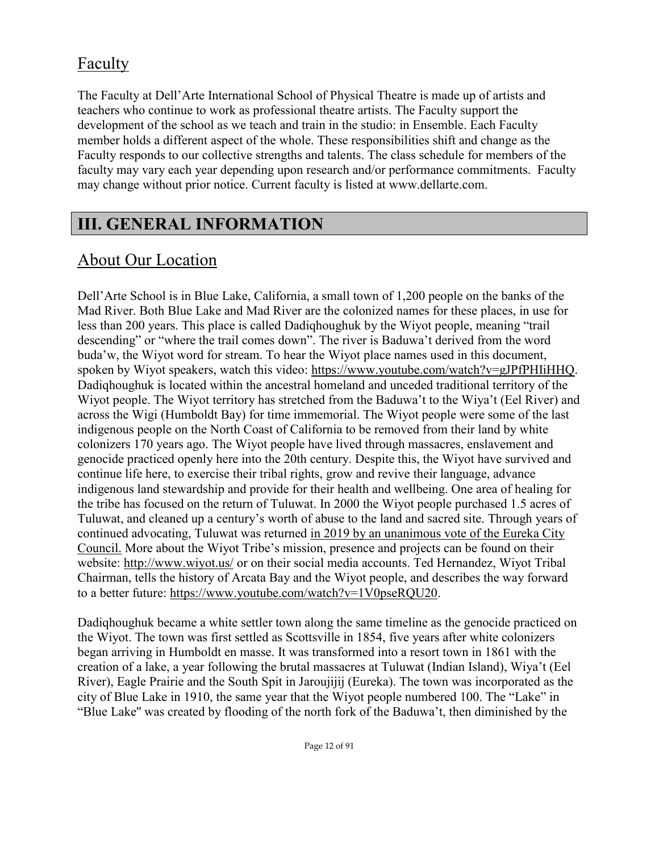## Faculty

The Faculty at Dell'Arte International School of Physical Theatre is made up of artists and teachers who continue to work as professional theatre artists. The Faculty support the development of the school as we teach and train in the studio: in Ensemble. Each Faculty member holds a different aspect of the whole. These responsibilities shift and change as the Faculty responds to our collective strengths and talents. The class schedule for members of the faculty may vary each year depending upon research and/or performance commitments. Faculty may change without prior notice. Current faculty is listed at www.dellarte.com.

# **III. GENERAL INFORMATION**

## About Our Location

Dell'Arte School is in Blue Lake, California, a small town of 1,200 people on the banks of the Mad River. Both Blue Lake and Mad River are the colonized names for these places, in use for less than 200 years. This place is called Dadiqhoughuk by the Wiyot people, meaning "trail descending" or "where the trail comes down". The river is Baduwa't derived from the word buda'w, the Wiyot word for stream. To hear the Wiyot place names used in this document, spoken by Wiyot speakers, watch this video: https://www.youtube.com/watch?v=gJPfPHIiHHQ. Dadiqhoughuk is located within the ancestral homeland and unceded traditional territory of the Wiyot people. The Wiyot territory has stretched from the Baduwa't to the Wiya't (Eel River) and across the Wigi (Humboldt Bay) for time immemorial. The Wiyot people were some of the last indigenous people on the North Coast of California to be removed from their land by white colonizers 170 years ago. The Wiyot people have lived through massacres, enslavement and genocide practiced openly here into the 20th century. Despite this, the Wiyot have survived and continue life here, to exercise their tribal rights, grow and revive their language, advance indigenous land stewardship and provide for their health and wellbeing. One area of healing for the tribe has focused on the return of Tuluwat. In 2000 the Wiyot people purchased 1.5 acres of Tuluwat, and cleaned up a century's worth of abuse to the land and sacred site. Through years of continued advocating, Tuluwat was returned in 2019 by an unanimous vote of the Eureka City Council. More about the Wiyot Tribe's mission, presence and projects can be found on their website: http://www.wiyot.us/ or on their social media accounts. Ted Hernandez, Wiyot Tribal Chairman, tells the history of Arcata Bay and the Wiyot people, and describes the way forward to a better future: https://www.youtube.com/watch?v=1V0pseRQU20.

Dadiqhoughuk became a white settler town along the same timeline as the genocide practiced on the Wiyot. The town was first settled as Scottsville in 1854, five years after white colonizers began arriving in Humboldt en masse. It was transformed into a resort town in 1861 with the creation of a lake, a year following the brutal massacres at Tuluwat (Indian Island), Wiya't (Eel River), Eagle Prairie and the South Spit in Jaroujijij (Eureka). The town was incorporated as the city of Blue Lake in 1910, the same year that the Wiyot people numbered 100. The "Lake" in "Blue Lake" was created by flooding of the north fork of the Baduwa't, then diminished by the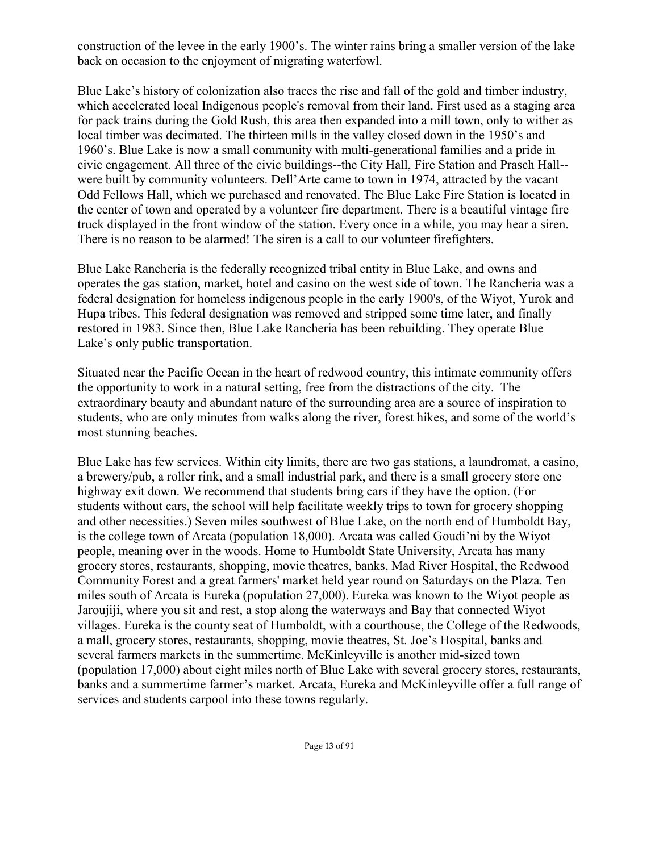construction of the levee in the early 1900's. The winter rains bring a smaller version of the lake back on occasion to the enjoyment of migrating waterfowl.

Blue Lake's history of colonization also traces the rise and fall of the gold and timber industry, which accelerated local Indigenous people's removal from their land. First used as a staging area for pack trains during the Gold Rush, this area then expanded into a mill town, only to wither as local timber was decimated. The thirteen mills in the valley closed down in the 1950's and 1960's. Blue Lake is now a small community with multi-generational families and a pride in civic engagement. All three of the civic buildings--the City Hall, Fire Station and Prasch Hall- were built by community volunteers. Dell'Arte came to town in 1974, attracted by the vacant Odd Fellows Hall, which we purchased and renovated. The Blue Lake Fire Station is located in the center of town and operated by a volunteer fire department. There is a beautiful vintage fire truck displayed in the front window of the station. Every once in a while, you may hear a siren. There is no reason to be alarmed! The siren is a call to our volunteer firefighters.

Blue Lake Rancheria is the federally recognized tribal entity in Blue Lake, and owns and operates the gas station, market, hotel and casino on the west side of town. The Rancheria was a federal designation for homeless indigenous people in the early 1900's, of the Wiyot, Yurok and Hupa tribes. This federal designation was removed and stripped some time later, and finally restored in 1983. Since then, Blue Lake Rancheria has been rebuilding. They operate Blue Lake's only public transportation.

Situated near the Pacific Ocean in the heart of redwood country, this intimate community offers the opportunity to work in a natural setting, free from the distractions of the city. The extraordinary beauty and abundant nature of the surrounding area are a source of inspiration to students, who are only minutes from walks along the river, forest hikes, and some of the world's most stunning beaches.

Blue Lake has few services. Within city limits, there are two gas stations, a laundromat, a casino, a brewery/pub, a roller rink, and a small industrial park, and there is a small grocery store one highway exit down. We recommend that students bring cars if they have the option. (For students without cars, the school will help facilitate weekly trips to town for grocery shopping and other necessities.) Seven miles southwest of Blue Lake, on the north end of Humboldt Bay, is the college town of Arcata (population  $18,000$ ). Arcata was called Goudi'ni by the Wiyot people, meaning over in the woods. Home to Humboldt State University, Arcata has many grocery stores, restaurants, shopping, movie theatres, banks, Mad River Hospital, the Redwood Community Forest and a great farmers' market held year round on Saturdays on the Plaza. Ten miles south of Arcata is Eureka (population 27,000). Eureka was known to the Wiyot people as Jaroujiji, where you sit and rest, a stop along the waterways and Bay that connected Wiyot villages. Eureka is the county seat of Humboldt, with a courthouse, the College of the Redwoods, a mall, grocery stores, restaurants, shopping, movie theatres, St. Joe's Hospital, banks and several farmers markets in the summertime. McKinleyville is another mid-sized town (population 17,000) about eight miles north of Blue Lake with several grocery stores, restaurants, banks and a summertime farmer's market. Arcata, Eureka and McKinleyville offer a full range of services and students carpool into these towns regularly.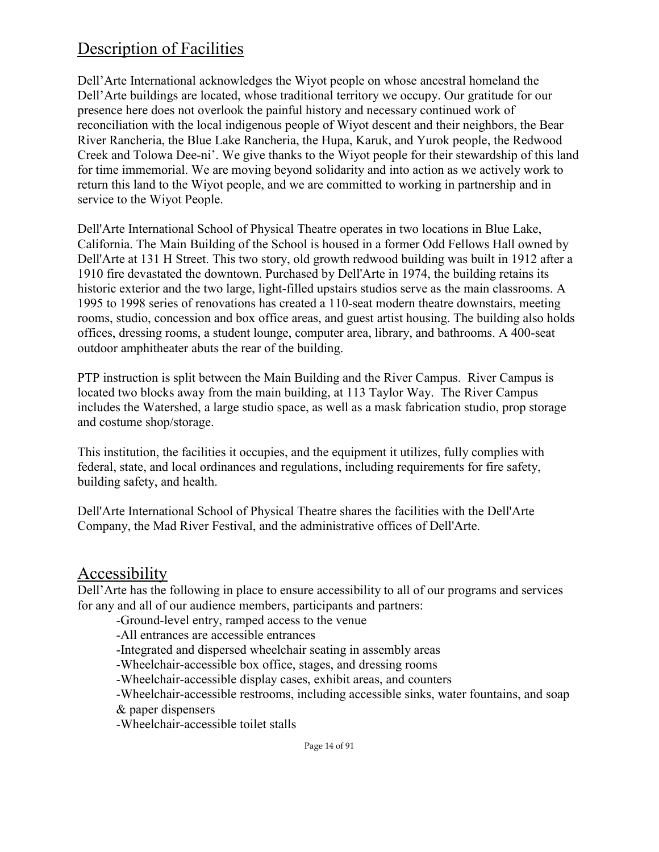## Description of Facilities

Dell'Arte International acknowledges the Wiyot people on whose ancestral homeland the Dell'Arte buildings are located, whose traditional territory we occupy. Our gratitude for our presence here does not overlook the painful history and necessary continued work of reconciliation with the local indigenous people of Wiyot descent and their neighbors, the Bear River Rancheria, the Blue Lake Rancheria, the Hupa, Karuk, and Yurok people, the Redwood Creek and Tolowa Dee-ni'. We give thanks to the Wiyot people for their stewardship of this land for time immemorial. We are moving beyond solidarity and into action as we actively work to return this land to the Wiyot people, and we are committed to working in partnership and in service to the Wiyot People.

Dell'Arte International School of Physical Theatre operates in two locations in Blue Lake, California. The Main Building of the School is housed in a former Odd Fellows Hall owned by Dell'Arte at 131 H Street. This two story, old growth redwood building was built in 1912 after a 1910 fire devastated the downtown. Purchased by Dell'Arte in 1974, the building retains its historic exterior and the two large, light-filled upstairs studios serve as the main classrooms. A 1995 to 1998 series of renovations has created a 110-seat modern theatre downstairs, meeting rooms, studio, concession and box office areas, and guest artist housing. The building also holds offices, dressing rooms, a student lounge, computer area, library, and bathrooms. A 400-seat outdoor amphitheater abuts the rear of the building.

PTP instruction is split between the Main Building and the River Campus. River Campus is located two blocks away from the main building, at 113 Taylor Way. The River Campus includes the Watershed, a large studio space, as well as a mask fabrication studio, prop storage and costume shop/storage.

This institution, the facilities it occupies, and the equipment it utilizes, fully complies with federal, state, and local ordinances and regulations, including requirements for fire safety, building safety, and health.

Dell'Arte International School of Physical Theatre shares the facilities with the Dell'Arte Company, the Mad River Festival, and the administrative offices of Dell'Arte.

### Accessibility

Dell'Arte has the following in place to ensure accessibility to all of our programs and services for any and all of our audience members, participants and partners:

-Ground-level entry, ramped access to the venue

-All entrances are accessible entrances

-Integrated and dispersed wheelchair seating in assembly areas

-Wheelchair-accessible box office, stages, and dressing rooms

-Wheelchair-accessible display cases, exhibit areas, and counters

-Wheelchair-accessible restrooms, including accessible sinks, water fountains, and soap & paper dispensers

-Wheelchair-accessible toilet stalls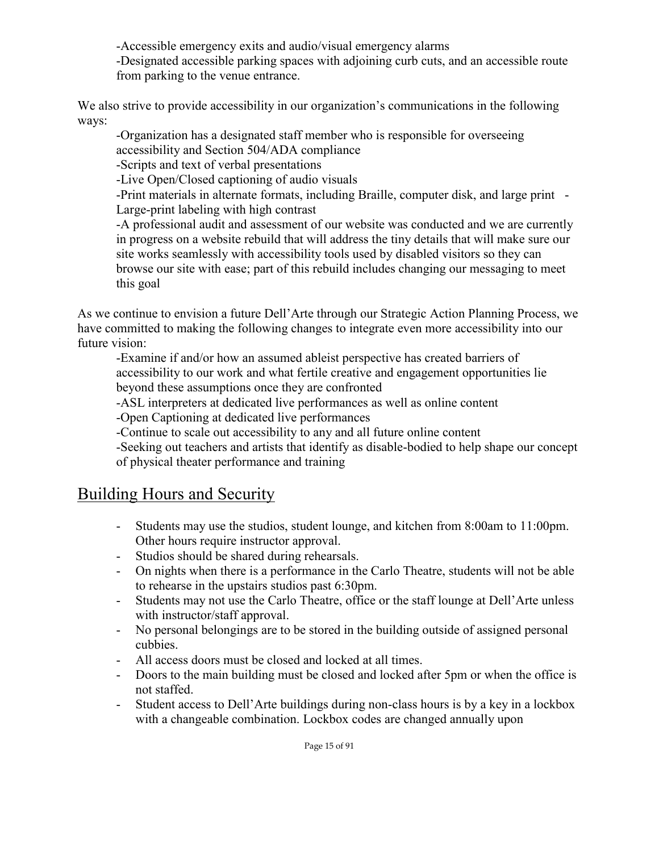-Accessible emergency exits and audio/visual emergency alarms

-Designated accessible parking spaces with adjoining curb cuts, and an accessible route from parking to the venue entrance.

We also strive to provide accessibility in our organization's communications in the following ways:

-Organization has a designated staff member who is responsible for overseeing accessibility and Section 504/ADA compliance

-Scripts and text of verbal presentations

-Live Open/Closed captioning of audio visuals

-Print materials in alternate formats, including Braille, computer disk, and large print - Large-print labeling with high contrast

-A professional audit and assessment of our website was conducted and we are currently in progress on a website rebuild that will address the tiny details that will make sure our site works seamlessly with accessibility tools used by disabled visitors so they can browse our site with ease; part of this rebuild includes changing our messaging to meet this goal

As we continue to envision a future Dell'Arte through our Strategic Action Planning Process, we have committed to making the following changes to integrate even more accessibility into our future vision:

-Examine if and/or how an assumed ableist perspective has created barriers of accessibility to our work and what fertile creative and engagement opportunities lie beyond these assumptions once they are confronted

-ASL interpreters at dedicated live performances as well as online content

-Open Captioning at dedicated live performances

-Continue to scale out accessibility to any and all future online content

-Seeking out teachers and artists that identify as disable-bodied to help shape our concept of physical theater performance and training

# Building Hours and Security

- Students may use the studios, student lounge, and kitchen from 8:00am to 11:00pm. Other hours require instructor approval.
- Studios should be shared during rehearsals.
- On nights when there is a performance in the Carlo Theatre, students will not be able to rehearse in the upstairs studios past 6:30pm.
- Students may not use the Carlo Theatre, office or the staff lounge at Dell'Arte unless with instructor/staff approval.
- No personal belongings are to be stored in the building outside of assigned personal cubbies.
- All access doors must be closed and locked at all times.
- Doors to the main building must be closed and locked after 5pm or when the office is not staffed.
- Student access to Dell'Arte buildings during non-class hours is by a key in a lockbox with a changeable combination. Lockbox codes are changed annually upon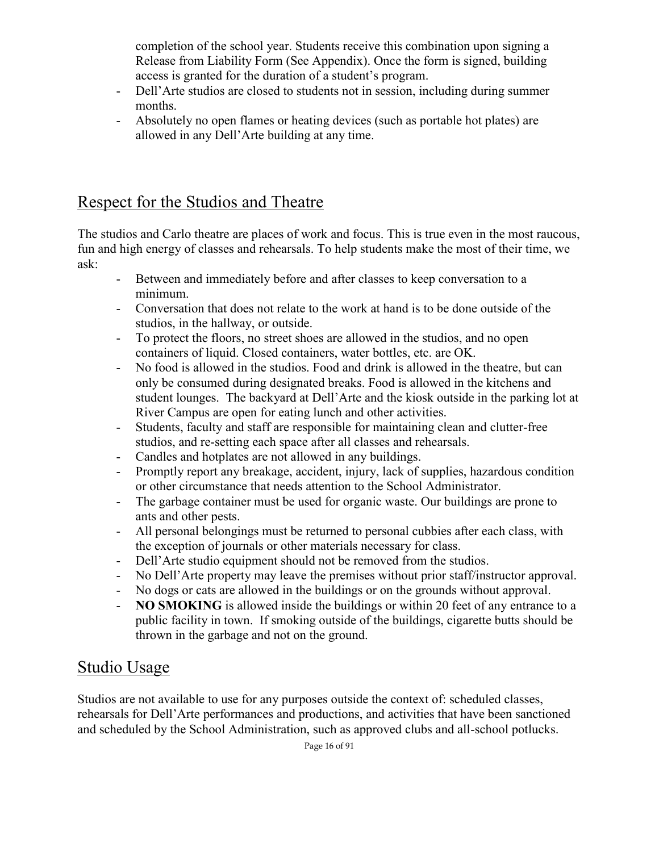completion of the school year. Students receive this combination upon signing a Release from Liability Form (See Appendix). Once the form is signed, building access is granted for the duration of a student's program.

- Dell'Arte studios are closed to students not in session, including during summer months.
- Absolutely no open flames or heating devices (such as portable hot plates) are allowed in any Dell'Arte building at any time.

## Respect for the Studios and Theatre

The studios and Carlo theatre are places of work and focus. This is true even in the most raucous, fun and high energy of classes and rehearsals. To help students make the most of their time, we ask:

- Between and immediately before and after classes to keep conversation to a minimum.
- Conversation that does not relate to the work at hand is to be done outside of the studios, in the hallway, or outside.
- To protect the floors, no street shoes are allowed in the studios, and no open containers of liquid. Closed containers, water bottles, etc. are OK.
- No food is allowed in the studios. Food and drink is allowed in the theatre, but can only be consumed during designated breaks. Food is allowed in the kitchens and student lounges. The backyard at Dell'Arte and the kiosk outside in the parking lot at River Campus are open for eating lunch and other activities.
- Students, faculty and staff are responsible for maintaining clean and clutter-free studios, and re-setting each space after all classes and rehearsals.
- Candles and hotplates are not allowed in any buildings.
- Promptly report any breakage, accident, injury, lack of supplies, hazardous condition or other circumstance that needs attention to the School Administrator.
- The garbage container must be used for organic waste. Our buildings are prone to ants and other pests.
- All personal belongings must be returned to personal cubbies after each class, with the exception of journals or other materials necessary for class.
- Dell'Arte studio equipment should not be removed from the studios.
- No Dell'Arte property may leave the premises without prior staff/instructor approval.
- No dogs or cats are allowed in the buildings or on the grounds without approval.
- **NO SMOKING** is allowed inside the buildings or within 20 feet of any entrance to a public facility in town. If smoking outside of the buildings, cigarette butts should be thrown in the garbage and not on the ground.

## Studio Usage

Studios are not available to use for any purposes outside the context of: scheduled classes, rehearsals for Dell'Arte performances and productions, and activities that have been sanctioned and scheduled by the School Administration, such as approved clubs and all-school potlucks.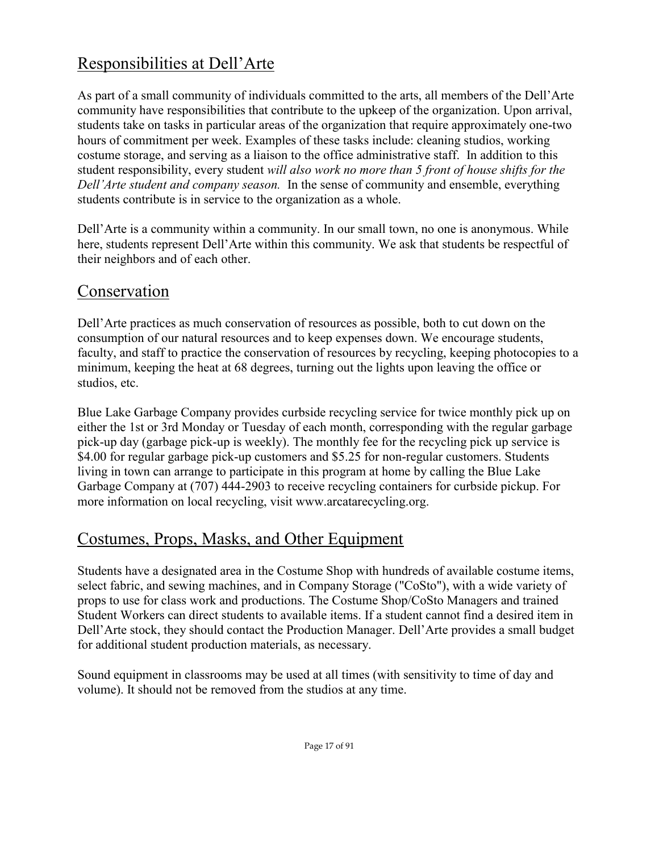# Responsibilities at Dell'Arte

As part of a small community of individuals committed to the arts, all members of the Dell'Arte community have responsibilities that contribute to the upkeep of the organization. Upon arrival, students take on tasks in particular areas of the organization that require approximately one-two hours of commitment per week. Examples of these tasks include: cleaning studios, working costume storage, and serving as a liaison to the office administrative staff. In addition to this student responsibility, every student *will also work no more than 5 front of house shifts for the Dell'Arte student and company season.* In the sense of community and ensemble, everything students contribute is in service to the organization as a whole.

Dell'Arte is a community within a community. In our small town, no one is anonymous. While here, students represent Dell'Arte within this community. We ask that students be respectful of their neighbors and of each other.

## Conservation

Dell'Arte practices as much conservation of resources as possible, both to cut down on the consumption of our natural resources and to keep expenses down. We encourage students, faculty, and staff to practice the conservation of resources by recycling, keeping photocopies to a minimum, keeping the heat at 68 degrees, turning out the lights upon leaving the office or studios, etc.

Blue Lake Garbage Company provides curbside recycling service for twice monthly pick up on either the 1st or 3rd Monday or Tuesday of each month, corresponding with the regular garbage pick-up day (garbage pick-up is weekly). The monthly fee for the recycling pick up service is \$4.00 for regular garbage pick-up customers and \$5.25 for non-regular customers. Students living in town can arrange to participate in this program at home by calling the Blue Lake Garbage Company at (707) 444-2903 to receive recycling containers for curbside pickup. For more information on local recycling, visit www.arcatarecycling.org.

## Costumes, Props, Masks, and Other Equipment

Students have a designated area in the Costume Shop with hundreds of available costume items, select fabric, and sewing machines, and in Company Storage ("CoSto"), with a wide variety of props to use for class work and productions. The Costume Shop/CoSto Managers and trained Student Workers can direct students to available items. If a student cannot find a desired item in Dell'Arte stock, they should contact the Production Manager. Dell'Arte provides a small budget for additional student production materials, as necessary.

Sound equipment in classrooms may be used at all times (with sensitivity to time of day and volume). It should not be removed from the studios at any time.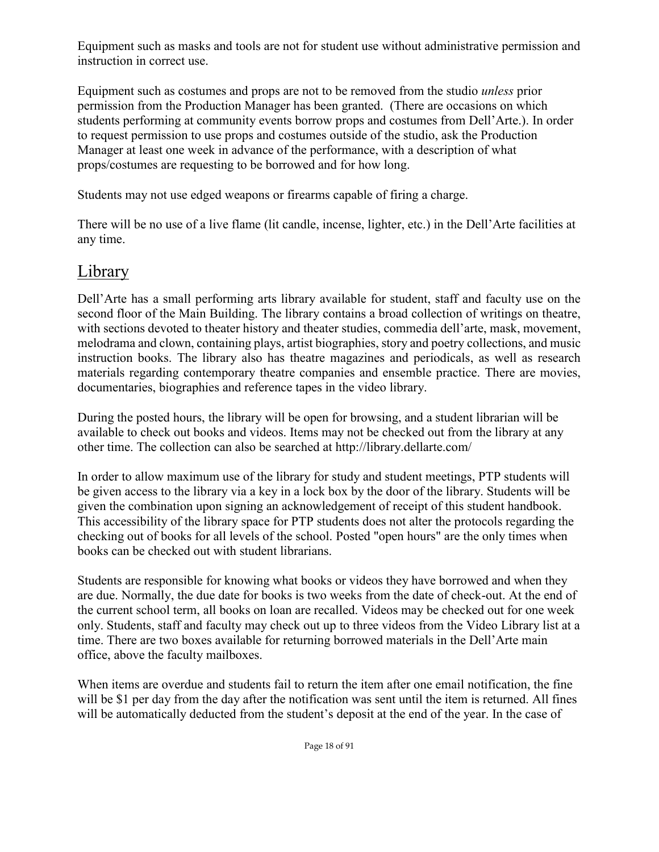Equipment such as masks and tools are not for student use without administrative permission and instruction in correct use.

Equipment such as costumes and props are not to be removed from the studio *unless* prior permission from the Production Manager has been granted. (There are occasions on which students performing at community events borrow props and costumes from Dell'Arte.). In order to request permission to use props and costumes outside of the studio, ask the Production Manager at least one week in advance of the performance, with a description of what props/costumes are requesting to be borrowed and for how long.

Students may not use edged weapons or firearms capable of firing a charge.

There will be no use of a live flame (lit candle, incense, lighter, etc.) in the Dell'Arte facilities at any time.

## Library

Dell'Arte has a small performing arts library available for student, staff and faculty use on the second floor of the Main Building. The library contains a broad collection of writings on theatre, with sections devoted to theater history and theater studies, commedia dell'arte, mask, movement, melodrama and clown, containing plays, artist biographies, story and poetry collections, and music instruction books. The library also has theatre magazines and periodicals, as well as research materials regarding contemporary theatre companies and ensemble practice. There are movies, documentaries, biographies and reference tapes in the video library.

During the posted hours, the library will be open for browsing, and a student librarian will be available to check out books and videos. Items may not be checked out from the library at any other time. The collection can also be searched at http://library.dellarte.com/

In order to allow maximum use of the library for study and student meetings, PTP students will be given access to the library via a key in a lock box by the door of the library. Students will be given the combination upon signing an acknowledgement of receipt of this student handbook. This accessibility of the library space for PTP students does not alter the protocols regarding the checking out of books for all levels of the school. Posted "open hours" are the only times when books can be checked out with student librarians.

Students are responsible for knowing what books or videos they have borrowed and when they are due. Normally, the due date for books is two weeks from the date of check-out. At the end of the current school term, all books on loan are recalled. Videos may be checked out for one week only. Students, staff and faculty may check out up to three videos from the Video Library list at a time. There are two boxes available for returning borrowed materials in the Dell'Arte main office, above the faculty mailboxes.

When items are overdue and students fail to return the item after one email notification, the fine will be \$1 per day from the day after the notification was sent until the item is returned. All fines will be automatically deducted from the student's deposit at the end of the year. In the case of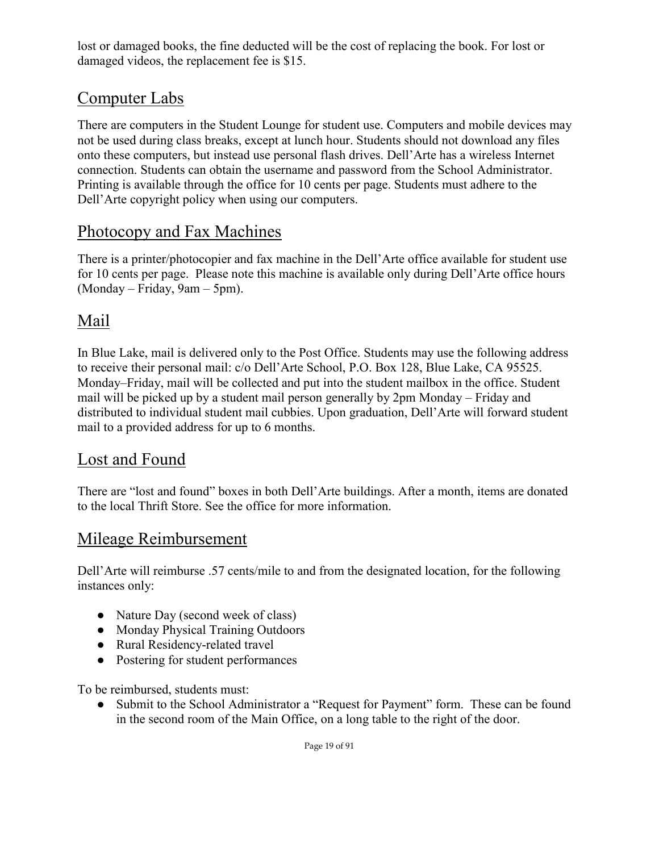lost or damaged books, the fine deducted will be the cost of replacing the book. For lost or damaged videos, the replacement fee is \$15.

## Computer Labs

There are computers in the Student Lounge for student use. Computers and mobile devices may not be used during class breaks, except at lunch hour. Students should not download any files onto these computers, but instead use personal flash drives. Dell'Arte has a wireless Internet connection. Students can obtain the username and password from the School Administrator. Printing is available through the office for 10 cents per page. Students must adhere to the Dell'Arte copyright policy when using our computers.

## Photocopy and Fax Machines

There is a printer/photocopier and fax machine in the Dell'Arte office available for student use for 10 cents per page. Please note this machine is available only during Dell'Arte office hours  $(Monday - Friday, 9am - 5pm).$ 

## Mail

In Blue Lake, mail is delivered only to the Post Office. Students may use the following address to receive their personal mail: c/o Dell'Arte School, P.O. Box 128, Blue Lake, CA 95525. Monday–Friday, mail will be collected and put into the student mailbox in the office. Student mail will be picked up by a student mail person generally by 2pm Monday – Friday and distributed to individual student mail cubbies. Upon graduation, Dell'Arte will forward student mail to a provided address for up to 6 months.

## Lost and Found

There are "lost and found" boxes in both Dell'Arte buildings. After a month, items are donated to the local Thrift Store. See the office for more information.

## Mileage Reimbursement

Dell'Arte will reimburse .57 cents/mile to and from the designated location, for the following instances only:

- Nature Day (second week of class)
- Monday Physical Training Outdoors
- Rural Residency-related travel
- Postering for student performances

To be reimbursed, students must:

• Submit to the School Administrator a "Request for Payment" form. These can be found in the second room of the Main Office, on a long table to the right of the door.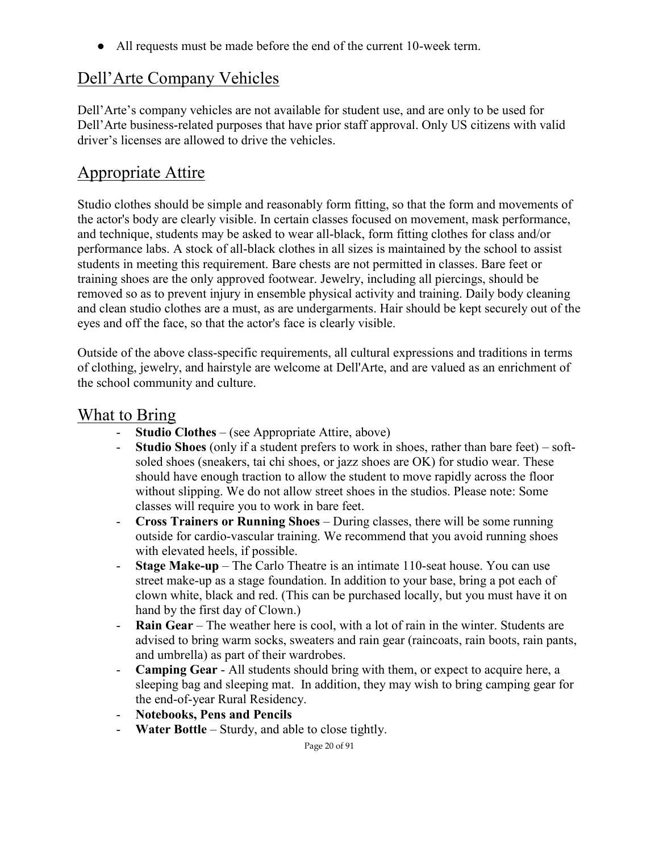Ɣ All requests must be made before the end of the current 10-week term.

## Dell'Arte Company Vehicles

Dell'Arte's company vehicles are not available for student use, and are only to be used for Dell'Arte business-related purposes that have prior staff approval. Only US citizens with valid driver's licenses are allowed to drive the vehicles.

## Appropriate Attire

Studio clothes should be simple and reasonably form fitting, so that the form and movements of the actor's body are clearly visible. In certain classes focused on movement, mask performance, and technique, students may be asked to wear all-black, form fitting clothes for class and/or performance labs. A stock of all-black clothes in all sizes is maintained by the school to assist students in meeting this requirement. Bare chests are not permitted in classes. Bare feet or training shoes are the only approved footwear. Jewelry, including all piercings, should be removed so as to prevent injury in ensemble physical activity and training. Daily body cleaning and clean studio clothes are a must, as are undergarments. Hair should be kept securely out of the eyes and off the face, so that the actor's face is clearly visible.

Outside of the above class-specific requirements, all cultural expressions and traditions in terms of clothing, jewelry, and hairstyle are welcome at Dell'Arte, and are valued as an enrichment of the school community and culture.

## What to Bring

- **Studio Clothes** (see Appropriate Attire, above)
- **Studio Shoes** (only if a student prefers to work in shoes, rather than bare feet)  $-$  softsoled shoes (sneakers, tai chi shoes, or jazz shoes are OK) for studio wear. These should have enough traction to allow the student to move rapidly across the floor without slipping. We do not allow street shoes in the studios. Please note: Some classes will require you to work in bare feet.
- **Cross Trainers or Running Shoes** During classes, there will be some running outside for cardio-vascular training. We recommend that you avoid running shoes with elevated heels, if possible.
- **Stage Make-up** The Carlo Theatre is an intimate 110-seat house. You can use street make-up as a stage foundation. In addition to your base, bring a pot each of clown white, black and red. (This can be purchased locally, but you must have it on hand by the first day of Clown.)
- **Rain Gear** The weather here is cool, with a lot of rain in the winter. Students are advised to bring warm socks, sweaters and rain gear (raincoats, rain boots, rain pants, and umbrella) as part of their wardrobes.
- **Camping Gear** All students should bring with them, or expect to acquire here, a sleeping bag and sleeping mat. In addition, they may wish to bring camping gear for the end-of-year Rural Residency.
- **Notebooks, Pens and Pencils**
- **Water Bottle** Sturdy, and able to close tightly.

Page 20 of 91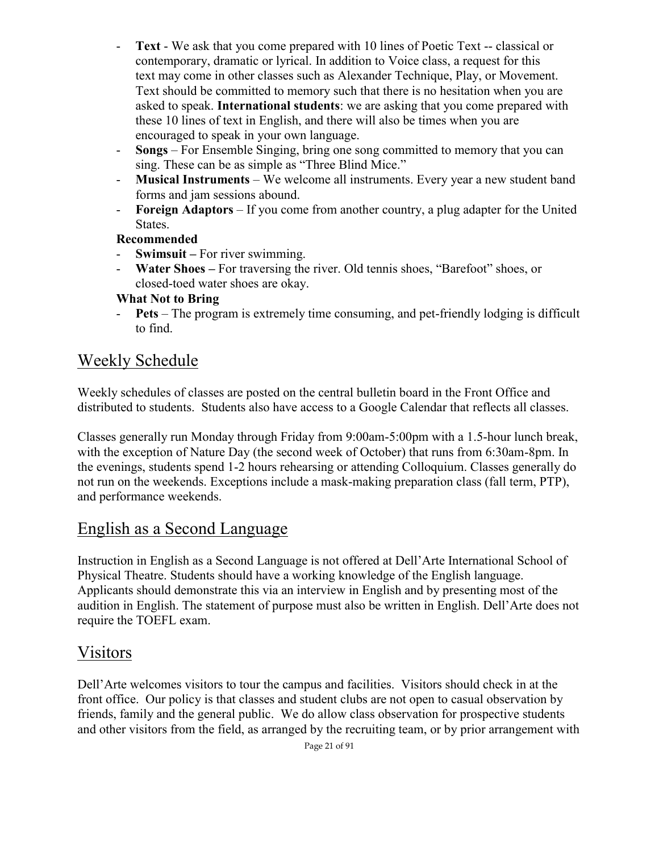- **Text** We ask that you come prepared with 10 lines of Poetic Text -- classical or contemporary, dramatic or lyrical. In addition to Voice class, a request for this text may come in other classes such as Alexander Technique, Play, or Movement. Text should be committed to memory such that there is no hesitation when you are asked to speak. **International students**: we are asking that you come prepared with these 10 lines of text in English, and there will also be times when you are encouraged to speak in your own language.
- **Songs** For Ensemble Singing, bring one song committed to memory that you can sing. These can be as simple as "Three Blind Mice."
- **Musical Instruments** We welcome all instruments. Every year a new student band forms and jam sessions abound.
- **Foreign Adaptors** If you come from another country, a plug adapter for the United States.

### **Recommended**

- **Example 1** For river swimming.
- **Water Shoes** For traversing the river. Old tennis shoes, "Barefoot" shoes, or closed-toed water shoes are okay.

### **What Not to Bring**

- **Pets** – The program is extremely time consuming, and pet-friendly lodging is difficult to find.

## Weekly Schedule

Weekly schedules of classes are posted on the central bulletin board in the Front Office and distributed to students. Students also have access to a Google Calendar that reflects all classes.

Classes generally run Monday through Friday from 9:00am-5:00pm with a 1.5-hour lunch break, with the exception of Nature Day (the second week of October) that runs from 6:30am-8pm. In the evenings, students spend 1-2 hours rehearsing or attending Colloquium. Classes generally do not run on the weekends. Exceptions include a mask-making preparation class (fall term, PTP), and performance weekends.

## English as a Second Language

Instruction in English as a Second Language is not offered at Dell'Arte International School of Physical Theatre. Students should have a working knowledge of the English language. Applicants should demonstrate this via an interview in English and by presenting most of the audition in English. The statement of purpose must also be written in English. Dell'Arte does not require the TOEFL exam.

### Visitors

Dell'Arte welcomes visitors to tour the campus and facilities. Visitors should check in at the front office. Our policy is that classes and student clubs are not open to casual observation by friends, family and the general public. We do allow class observation for prospective students and other visitors from the field, as arranged by the recruiting team, or by prior arrangement with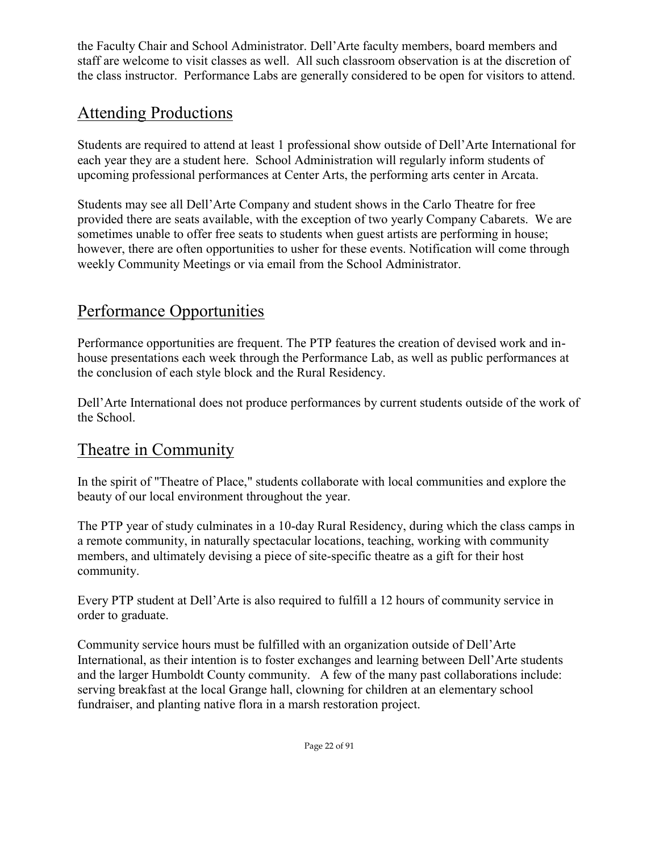the Faculty Chair and School Administrator. Dell'Arte faculty members, board members and staff are welcome to visit classes as well. All such classroom observation is at the discretion of the class instructor. Performance Labs are generally considered to be open for visitors to attend.

## Attending Productions

Students are required to attend at least 1 professional show outside of Dell'Arte International for each year they are a student here. School Administration will regularly inform students of upcoming professional performances at Center Arts, the performing arts center in Arcata.

Students may see all Dell'Arte Company and student shows in the Carlo Theatre for free provided there are seats available, with the exception of two yearly Company Cabarets. We are sometimes unable to offer free seats to students when guest artists are performing in house; however, there are often opportunities to usher for these events. Notification will come through weekly Community Meetings or via email from the School Administrator.

## Performance Opportunities

Performance opportunities are frequent. The PTP features the creation of devised work and inhouse presentations each week through the Performance Lab, as well as public performances at the conclusion of each style block and the Rural Residency.

Dell'Arte International does not produce performances by current students outside of the work of the School.

## Theatre in Community

In the spirit of "Theatre of Place," students collaborate with local communities and explore the beauty of our local environment throughout the year.

The PTP year of study culminates in a 10-day Rural Residency, during which the class camps in a remote community, in naturally spectacular locations, teaching, working with community members, and ultimately devising a piece of site-specific theatre as a gift for their host community.

Every PTP student at Dell'Arte is also required to fulfill a 12 hours of community service in order to graduate.

Community service hours must be fulfilled with an organization outside of Dell'Arte International, as their intention is to foster exchanges and learning between Dell'Arte students and the larger Humboldt County community. A few of the many past collaborations include: serving breakfast at the local Grange hall, clowning for children at an elementary school fundraiser, and planting native flora in a marsh restoration project.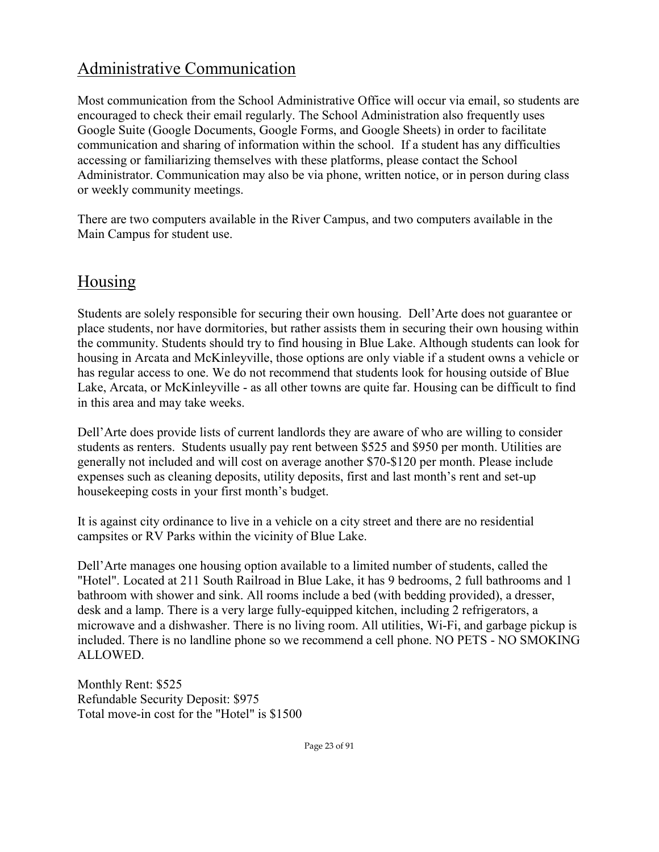## Administrative Communication

Most communication from the School Administrative Office will occur via email, so students are encouraged to check their email regularly. The School Administration also frequently uses Google Suite (Google Documents, Google Forms, and Google Sheets) in order to facilitate communication and sharing of information within the school. If a student has any difficulties accessing or familiarizing themselves with these platforms, please contact the School Administrator. Communication may also be via phone, written notice, or in person during class or weekly community meetings.

There are two computers available in the River Campus, and two computers available in the Main Campus for student use.

## Housing

Students are solely responsible for securing their own housing. Dell'Arte does not guarantee or place students, nor have dormitories, but rather assists them in securing their own housing within the community. Students should try to find housing in Blue Lake. Although students can look for housing in Arcata and McKinleyville, those options are only viable if a student owns a vehicle or has regular access to one. We do not recommend that students look for housing outside of Blue Lake, Arcata, or McKinleyville - as all other towns are quite far. Housing can be difficult to find in this area and may take weeks.

Dell'Arte does provide lists of current landlords they are aware of who are willing to consider students as renters. Students usually pay rent between \$525 and \$950 per month. Utilities are generally not included and will cost on average another \$70-\$120 per month. Please include expenses such as cleaning deposits, utility deposits, first and last month's rent and set-up housekeeping costs in your first month's budget.

It is against city ordinance to live in a vehicle on a city street and there are no residential campsites or RV Parks within the vicinity of Blue Lake.

Dell'Arte manages one housing option available to a limited number of students, called the "Hotel". Located at 211 South Railroad in Blue Lake, it has 9 bedrooms, 2 full bathrooms and 1 bathroom with shower and sink. All rooms include a bed (with bedding provided), a dresser, desk and a lamp. There is a very large fully-equipped kitchen, including 2 refrigerators, a microwave and a dishwasher. There is no living room. All utilities, Wi-Fi, and garbage pickup is included. There is no landline phone so we recommend a cell phone. NO PETS - NO SMOKING ALLOWED.

Monthly Rent: \$525 Refundable Security Deposit: \$975 Total move-in cost for the "Hotel" is \$1500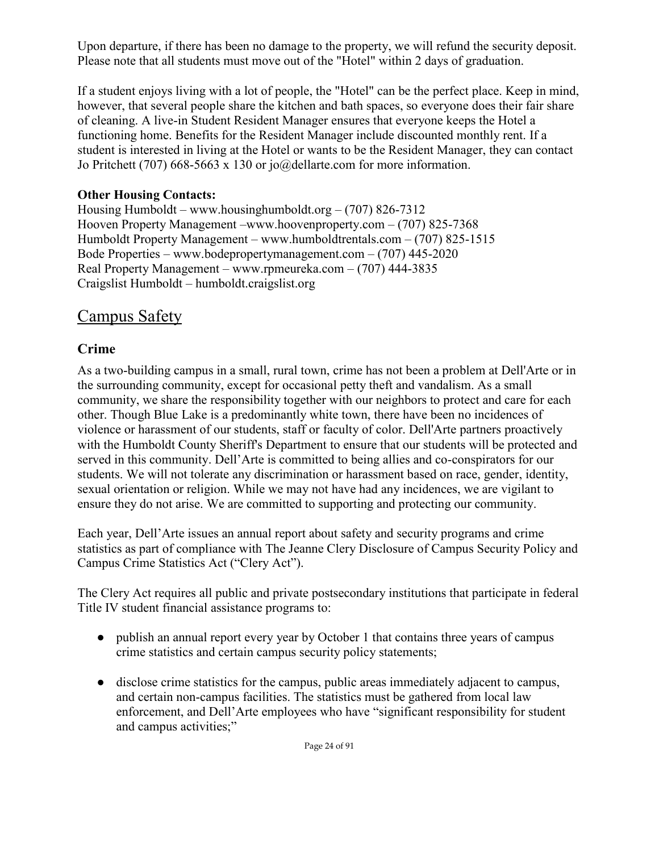Upon departure, if there has been no damage to the property, we will refund the security deposit. Please note that all students must move out of the "Hotel" within 2 days of graduation.

If a student enjoys living with a lot of people, the "Hotel" can be the perfect place. Keep in mind, however, that several people share the kitchen and bath spaces, so everyone does their fair share of cleaning. A live-in Student Resident Manager ensures that everyone keeps the Hotel a functioning home. Benefits for the Resident Manager include discounted monthly rent. If a student is interested in living at the Hotel or wants to be the Resident Manager, they can contact Jo Pritchett (707) 668-5663 x 130 or jo@dellarte.com for more information.

### **Other Housing Contacts:**

Housing Humboldt – www.housinghumboldt.org –  $(707)$  826-7312 Hooven Property Management  $-www.hooven property.com - (707) 825-7368$ Humboldt Property Management  $-$  www.humboldtrentals.com  $-$  (707) 825-1515 Bode Properties  $-$  www.bodepropertymanagement.com  $- (707)$  445-2020 Real Property Management  $-$  www.rpmeureka.com  $-$  (707) 444-3835  $Craigslist Humboldt - humboldt.craigslist.org$ 

## Campus Safety

### **Crime**

As a two-building campus in a small, rural town, crime has not been a problem at Dell'Arte or in the surrounding community, except for occasional petty theft and vandalism. As a small community, we share the responsibility together with our neighbors to protect and care for each other. Though Blue Lake is a predominantly white town, there have been no incidences of violence or harassment of our students, staff or faculty of color. Dell'Arte partners proactively with the Humboldt County Sheriff's Department to ensure that our students will be protected and served in this community. Dell'Arte is committed to being allies and co-conspirators for our students. We will not tolerate any discrimination or harassment based on race, gender, identity, sexual orientation or religion. While we may not have had any incidences, we are vigilant to ensure they do not arise. We are committed to supporting and protecting our community.

Each year, Dell'Arte issues an annual report about safety and security programs and crime statistics as part of compliance with The Jeanne Clery Disclosure of Campus Security Policy and Campus Crime Statistics Act ("Clery Act").

The Clery Act requires all public and private postsecondary institutions that participate in federal Title IV student financial assistance programs to:

- publish an annual report every year by October 1 that contains three years of campus crime statistics and certain campus security policy statements;
- disclose crime statistics for the campus, public areas immediately adjacent to campus, and certain non-campus facilities. The statistics must be gathered from local law enforcement, and Dell'Arte employees who have "significant responsibility for student and campus activities;"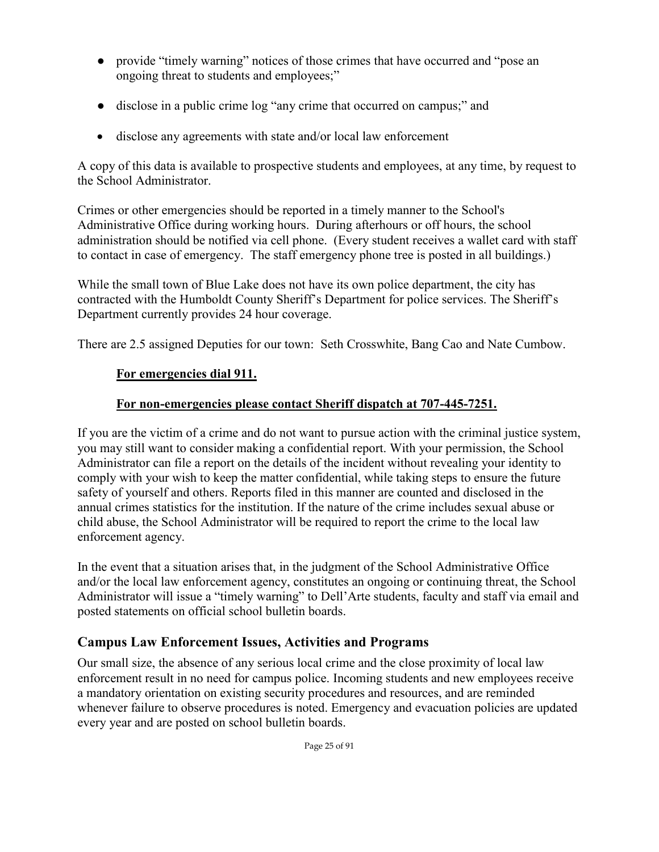- provide "timely warning" notices of those crimes that have occurred and "pose an ongoing threat to students and employees;"
- $\bullet$  disclose in a public crime log "any crime that occurred on campus;" and
- disclose any agreements with state and/or local law enforcement

A copy of this data is available to prospective students and employees, at any time, by request to the School Administrator.

Crimes or other emergencies should be reported in a timely manner to the School's Administrative Office during working hours. During afterhours or off hours, the school administration should be notified via cell phone. (Every student receives a wallet card with staff to contact in case of emergency. The staff emergency phone tree is posted in all buildings.)

While the small town of Blue Lake does not have its own police department, the city has contracted with the Humboldt County Sheriff's Department for police services. The Sheriff's Department currently provides 24 hour coverage.

There are 2.5 assigned Deputies for our town: Seth Crosswhite, Bang Cao and Nate Cumbow.

### **For emergencies dial 911.**

### **For non-emergencies please contact Sheriff dispatch at 707-445-7251.**

If you are the victim of a crime and do not want to pursue action with the criminal justice system, you may still want to consider making a confidential report. With your permission, the School Administrator can file a report on the details of the incident without revealing your identity to comply with your wish to keep the matter confidential, while taking steps to ensure the future safety of yourself and others. Reports filed in this manner are counted and disclosed in the annual crimes statistics for the institution. If the nature of the crime includes sexual abuse or child abuse, the School Administrator will be required to report the crime to the local law enforcement agency.

In the event that a situation arises that, in the judgment of the School Administrative Office and/or the local law enforcement agency, constitutes an ongoing or continuing threat, the School Administrator will issue a "timely warning" to Dell'Arte students, faculty and staff via email and posted statements on official school bulletin boards.

### **Campus Law Enforcement Issues, Activities and Programs**

Our small size, the absence of any serious local crime and the close proximity of local law enforcement result in no need for campus police. Incoming students and new employees receive a mandatory orientation on existing security procedures and resources, and are reminded whenever failure to observe procedures is noted. Emergency and evacuation policies are updated every year and are posted on school bulletin boards.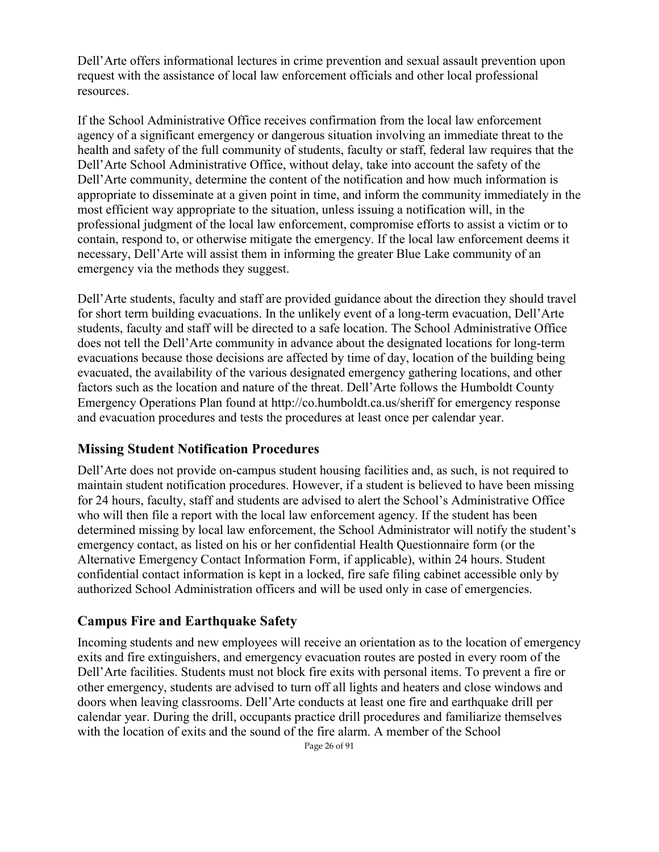Dell'Arte offers informational lectures in crime prevention and sexual assault prevention upon request with the assistance of local law enforcement officials and other local professional resources.

If the School Administrative Office receives confirmation from the local law enforcement agency of a significant emergency or dangerous situation involving an immediate threat to the health and safety of the full community of students, faculty or staff, federal law requires that the Dell'Arte School Administrative Office, without delay, take into account the safety of the Dell'Arte community, determine the content of the notification and how much information is appropriate to disseminate at a given point in time, and inform the community immediately in the most efficient way appropriate to the situation, unless issuing a notification will, in the professional judgment of the local law enforcement, compromise efforts to assist a victim or to contain, respond to, or otherwise mitigate the emergency. If the local law enforcement deems it necessary, Dell'Arte will assist them in informing the greater Blue Lake community of an emergency via the methods they suggest.

Dell'Arte students, faculty and staff are provided guidance about the direction they should travel for short term building evacuations. In the unlikely event of a long-term evacuation, Dell'Arte students, faculty and staff will be directed to a safe location. The School Administrative Office does not tell the Dell'Arte community in advance about the designated locations for long-term evacuations because those decisions are affected by time of day, location of the building being evacuated, the availability of the various designated emergency gathering locations, and other factors such as the location and nature of the threat. Dell'Arte follows the Humboldt County Emergency Operations Plan found at http://co.humboldt.ca.us/sheriff for emergency response and evacuation procedures and tests the procedures at least once per calendar year.

### **Missing Student Notification Procedures**

Dell'Arte does not provide on-campus student housing facilities and, as such, is not required to maintain student notification procedures. However, if a student is believed to have been missing for 24 hours, faculty, staff and students are advised to alert the School's Administrative Office who will then file a report with the local law enforcement agency. If the student has been determined missing by local law enforcement, the School Administrator will notify the student's emergency contact, as listed on his or her confidential Health Questionnaire form (or the Alternative Emergency Contact Information Form, if applicable), within 24 hours. Student confidential contact information is kept in a locked, fire safe filing cabinet accessible only by authorized School Administration officers and will be used only in case of emergencies.

### **Campus Fire and Earthquake Safety**

Incoming students and new employees will receive an orientation as to the location of emergency exits and fire extinguishers, and emergency evacuation routes are posted in every room of the Dell'Arte facilities. Students must not block fire exits with personal items. To prevent a fire or other emergency, students are advised to turn off all lights and heaters and close windows and doors when leaving classrooms. Dell'Arte conducts at least one fire and earthquake drill per calendar year. During the drill, occupants practice drill procedures and familiarize themselves with the location of exits and the sound of the fire alarm. A member of the School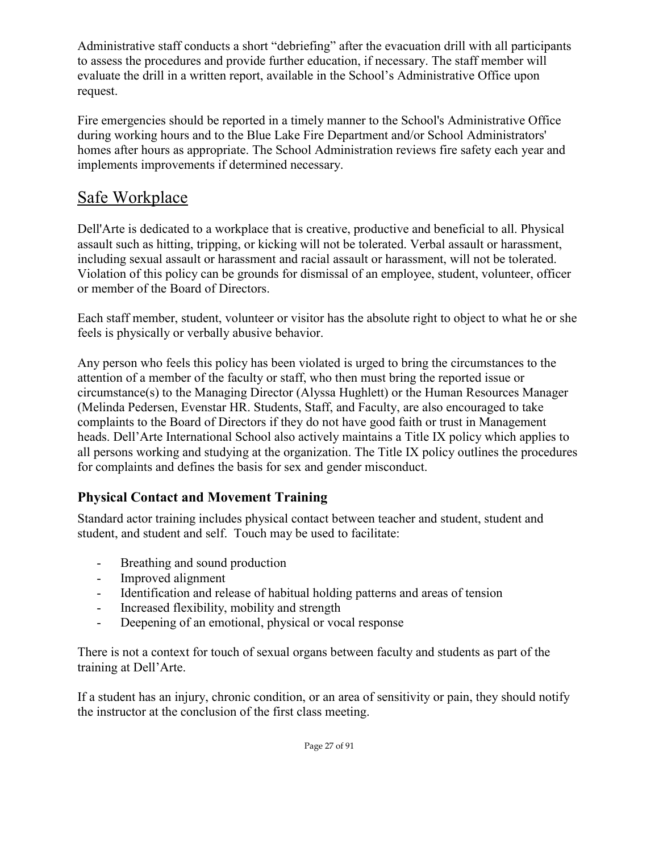Administrative staff conducts a short "debriefing" after the evacuation drill with all participants to assess the procedures and provide further education, if necessary. The staff member will evaluate the drill in a written report, available in the School's Administrative Office upon request.

Fire emergencies should be reported in a timely manner to the School's Administrative Office during working hours and to the Blue Lake Fire Department and/or School Administrators' homes after hours as appropriate. The School Administration reviews fire safety each year and implements improvements if determined necessary.

## Safe Workplace

Dell'Arte is dedicated to a workplace that is creative, productive and beneficial to all. Physical assault such as hitting, tripping, or kicking will not be tolerated. Verbal assault or harassment, including sexual assault or harassment and racial assault or harassment, will not be tolerated. Violation of this policy can be grounds for dismissal of an employee, student, volunteer, officer or member of the Board of Directors.

Each staff member, student, volunteer or visitor has the absolute right to object to what he or she feels is physically or verbally abusive behavior.

Any person who feels this policy has been violated is urged to bring the circumstances to the attention of a member of the faculty or staff, who then must bring the reported issue or circumstance(s) to the Managing Director (Alyssa Hughlett) or the Human Resources Manager (Melinda Pedersen, Evenstar HR. Students, Staff, and Faculty, are also encouraged to take complaints to the Board of Directors if they do not have good faith or trust in Management heads. Dell'Arte International School also actively maintains a Title IX policy which applies to all persons working and studying at the organization. The Title IX policy outlines the procedures for complaints and defines the basis for sex and gender misconduct.

### **Physical Contact and Movement Training**

Standard actor training includes physical contact between teacher and student, student and student, and student and self. Touch may be used to facilitate:

- Breathing and sound production
- Improved alignment
- Identification and release of habitual holding patterns and areas of tension
- Increased flexibility, mobility and strength
- Deepening of an emotional, physical or vocal response

There is not a context for touch of sexual organs between faculty and students as part of the training at Dell'Arte.

If a student has an injury, chronic condition, or an area of sensitivity or pain, they should notify the instructor at the conclusion of the first class meeting.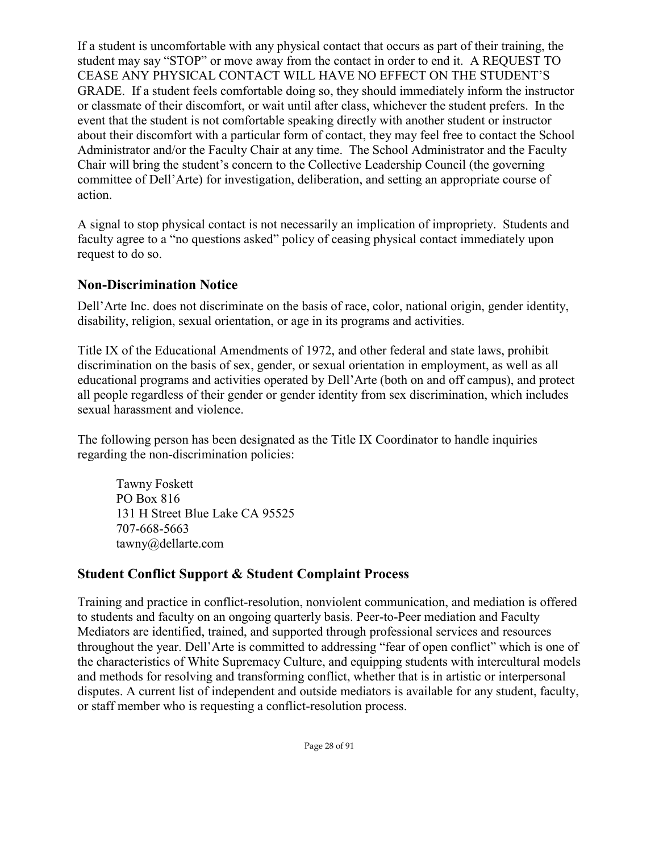If a student is uncomfortable with any physical contact that occurs as part of their training, the student may say "STOP" or move away from the contact in order to end it. A REQUEST TO CEASE ANY PHYSICAL CONTACT WILL HAVE NO EFFECT ON THE STUDENT'S GRADE. If a student feels comfortable doing so, they should immediately inform the instructor or classmate of their discomfort, or wait until after class, whichever the student prefers. In the event that the student is not comfortable speaking directly with another student or instructor about their discomfort with a particular form of contact, they may feel free to contact the School Administrator and/or the Faculty Chair at any time. The School Administrator and the Faculty Chair will bring the student's concern to the Collective Leadership Council (the governing committee of Dell'Arte) for investigation, deliberation, and setting an appropriate course of action.

A signal to stop physical contact is not necessarily an implication of impropriety. Students and faculty agree to a "no questions asked" policy of ceasing physical contact immediately upon request to do so.

### **Non-Discrimination Notice**

Dell'Arte Inc. does not discriminate on the basis of race, color, national origin, gender identity, disability, religion, sexual orientation, or age in its programs and activities.

Title IX of the Educational Amendments of 1972, and other federal and state laws, prohibit discrimination on the basis of sex, gender, or sexual orientation in employment, as well as all educational programs and activities operated by Dell'Arte (both on and off campus), and protect all people regardless of their gender or gender identity from sex discrimination, which includes sexual harassment and violence.

The following person has been designated as the Title IX Coordinator to handle inquiries regarding the non-discrimination policies:

Tawny Foskett PO Box 816 131 H Street Blue Lake CA 95525 707-668-5663 tawny@dellarte.com

### **Student Conflict Support & Student Complaint Process**

Training and practice in conflict-resolution, nonviolent communication, and mediation is offered to students and faculty on an ongoing quarterly basis. Peer-to-Peer mediation and Faculty Mediators are identified, trained, and supported through professional services and resources throughout the year. Dell'Arte is committed to addressing "fear of open conflict" which is one of the characteristics of White Supremacy Culture, and equipping students with intercultural models and methods for resolving and transforming conflict, whether that is in artistic or interpersonal disputes. A current list of independent and outside mediators is available for any student, faculty, or staff member who is requesting a conflict-resolution process.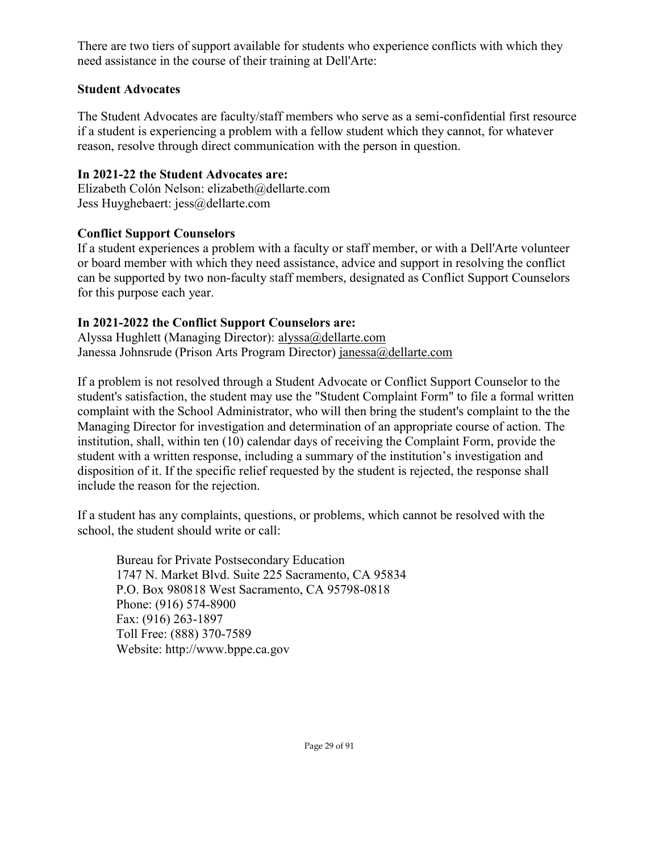There are two tiers of support available for students who experience conflicts with which they need assistance in the course of their training at Dell'Arte:

### **Student Advocates**

The Student Advocates are faculty/staff members who serve as a semi-confidential first resource if a student is experiencing a problem with a fellow student which they cannot, for whatever reason, resolve through direct communication with the person in question.

#### **In 2021-22 the Student Advocates are:**

Elizabeth Colón Nelson: elizabeth@dellarte.com Jess Huyghebaert: jess@dellarte.com

### **Conflict Support Counselors**

If a student experiences a problem with a faculty or staff member, or with a Dell'Arte volunteer or board member with which they need assistance, advice and support in resolving the conflict can be supported by two non-faculty staff members, designated as Conflict Support Counselors for this purpose each year.

### **In 2021-2022 the Conflict Support Counselors are:**

Alyssa Hughlett (Managing Director): alyssa@dellarte.com Janessa Johnsrude (Prison Arts Program Director) janessa@dellarte.com

If a problem is not resolved through a Student Advocate or Conflict Support Counselor to the student's satisfaction, the student may use the "Student Complaint Form" to file a formal written complaint with the School Administrator, who will then bring the student's complaint to the the Managing Director for investigation and determination of an appropriate course of action. The institution, shall, within ten (10) calendar days of receiving the Complaint Form, provide the student with a written response, including a summary of the institution's investigation and disposition of it. If the specific relief requested by the student is rejected, the response shall include the reason for the rejection.

If a student has any complaints, questions, or problems, which cannot be resolved with the school, the student should write or call:

Bureau for Private Postsecondary Education 1747 N. Market Blvd. Suite 225 Sacramento, CA 95834 P.O. Box 980818 West Sacramento, CA 95798-0818 Phone: (916) 574-8900 Fax: (916) 263-1897 Toll Free: (888) 370-7589 Website: http://www.bppe.ca.gov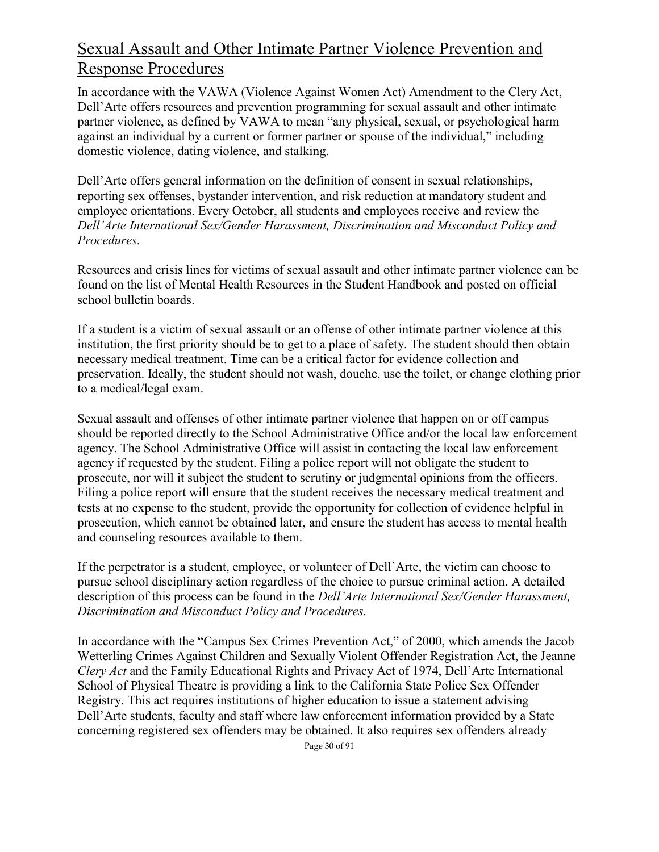# Sexual Assault and Other Intimate Partner Violence Prevention and Response Procedures

In accordance with the VAWA (Violence Against Women Act) Amendment to the Clery Act, Dell'Arte offers resources and prevention programming for sexual assault and other intimate partner violence, as defined by VAWA to mean "any physical, sexual, or psychological harm against an individual by a current or former partner or spouse of the individual," including domestic violence, dating violence, and stalking.

Dell'Arte offers general information on the definition of consent in sexual relationships, reporting sex offenses, bystander intervention, and risk reduction at mandatory student and employee orientations. Every October, all students and employees receive and review the *Dell'Arte International Sex/Gender Harassment, Discrimination and Misconduct Policy and Procedures*.

Resources and crisis lines for victims of sexual assault and other intimate partner violence can be found on the list of Mental Health Resources in the Student Handbook and posted on official school bulletin boards.

If a student is a victim of sexual assault or an offense of other intimate partner violence at this institution, the first priority should be to get to a place of safety. The student should then obtain necessary medical treatment. Time can be a critical factor for evidence collection and preservation. Ideally, the student should not wash, douche, use the toilet, or change clothing prior to a medical/legal exam.

Sexual assault and offenses of other intimate partner violence that happen on or off campus should be reported directly to the School Administrative Office and/or the local law enforcement agency. The School Administrative Office will assist in contacting the local law enforcement agency if requested by the student. Filing a police report will not obligate the student to prosecute, nor will it subject the student to scrutiny or judgmental opinions from the officers. Filing a police report will ensure that the student receives the necessary medical treatment and tests at no expense to the student, provide the opportunity for collection of evidence helpful in prosecution, which cannot be obtained later, and ensure the student has access to mental health and counseling resources available to them.

If the perpetrator is a student, employee, or volunteer of Dell'Arte, the victim can choose to pursue school disciplinary action regardless of the choice to pursue criminal action. A detailed description of this process can be found in the *Dell'Arte International Sex/Gender Harassment*, *Discrimination and Misconduct Policy and Procedures*.

In accordance with the "Campus Sex Crimes Prevention Act," of 2000, which amends the Jacob Wetterling Crimes Against Children and Sexually Violent Offender Registration Act, the Jeanne *Clery Act* and the Family Educational Rights and Privacy Act of 1974, Dell'Arte International School of Physical Theatre is providing a link to the California State Police Sex Offender Registry. This act requires institutions of higher education to issue a statement advising Dell'Arte students, faculty and staff where law enforcement information provided by a State concerning registered sex offenders may be obtained. It also requires sex offenders already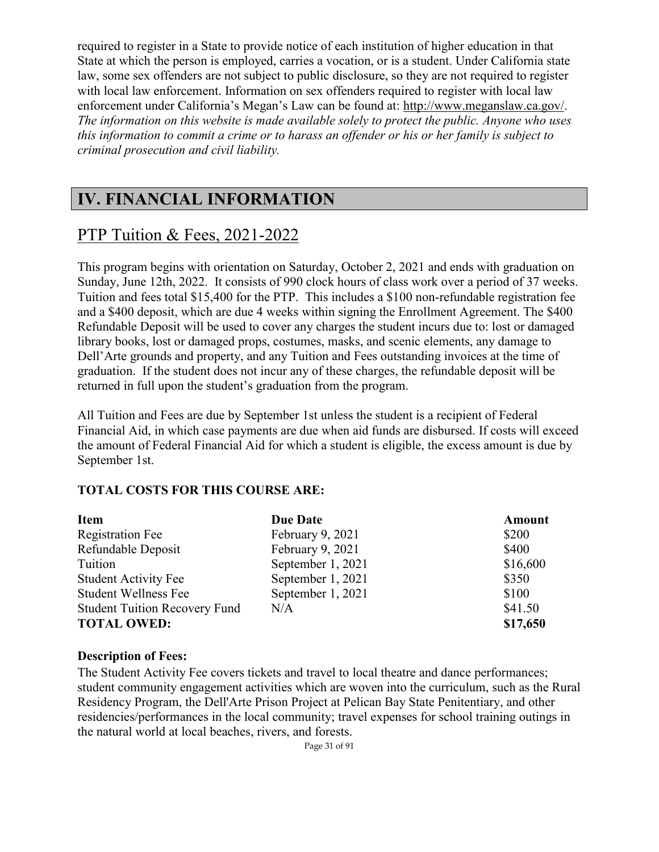required to register in a State to provide notice of each institution of higher education in that State at which the person is employed, carries a vocation, or is a student. Under California state law, some sex offenders are not subject to public disclosure, so they are not required to register with local law enforcement. Information on sex offenders required to register with local law enforcement under California's Megan's Law can be found at: http://www.meganslaw.ca.gov/. *The information on this website is made available solely to protect the public. Anyone who uses this information to commit a crime or to harass an offender or his or her family is subject to criminal prosecution and civil liability.*

# **IV. FINANCIAL INFORMATION**

## PTP Tuition & Fees, 2021-2022

This program begins with orientation on Saturday, October 2, 2021 and ends with graduation on Sunday, June 12th, 2022. It consists of 990 clock hours of class work over a period of 37 weeks. Tuition and fees total \$15,400 for the PTP. This includes a \$100 non-refundable registration fee and a \$400 deposit, which are due 4 weeks within signing the Enrollment Agreement. The \$400 Refundable Deposit will be used to cover any charges the student incurs due to: lost or damaged library books, lost or damaged props, costumes, masks, and scenic elements, any damage to Dell'Arte grounds and property, and any Tuition and Fees outstanding invoices at the time of graduation. If the student does not incur any of these charges, the refundable deposit will be returned in full upon the student's graduation from the program.

All Tuition and Fees are due by September 1st unless the student is a recipient of Federal Financial Aid, in which case payments are due when aid funds are disbursed. If costs will exceed the amount of Federal Financial Aid for which a student is eligible, the excess amount is due by September 1st.

### **TOTAL COSTS FOR THIS COURSE ARE:**

| <b>Item</b>                          | <b>Due Date</b>   | Amount   |
|--------------------------------------|-------------------|----------|
| <b>Registration Fee</b>              | February 9, 2021  | \$200    |
| Refundable Deposit                   | February 9, 2021  | \$400    |
| Tuition                              | September 1, 2021 | \$16,600 |
| <b>Student Activity Fee</b>          | September 1, 2021 | \$350    |
| <b>Student Wellness Fee</b>          | September 1, 2021 | \$100    |
| <b>Student Tuition Recovery Fund</b> | N/A               | \$41.50  |
| <b>TOTAL OWED:</b>                   |                   | \$17,650 |

#### **Description of Fees:**

The Student Activity Fee covers tickets and travel to local theatre and dance performances; student community engagement activities which are woven into the curriculum, such as the Rural Residency Program, the Dell'Arte Prison Project at Pelican Bay State Penitentiary, and other residencies/performances in the local community; travel expenses for school training outings in the natural world at local beaches, rivers, and forests.

Page 31 of 91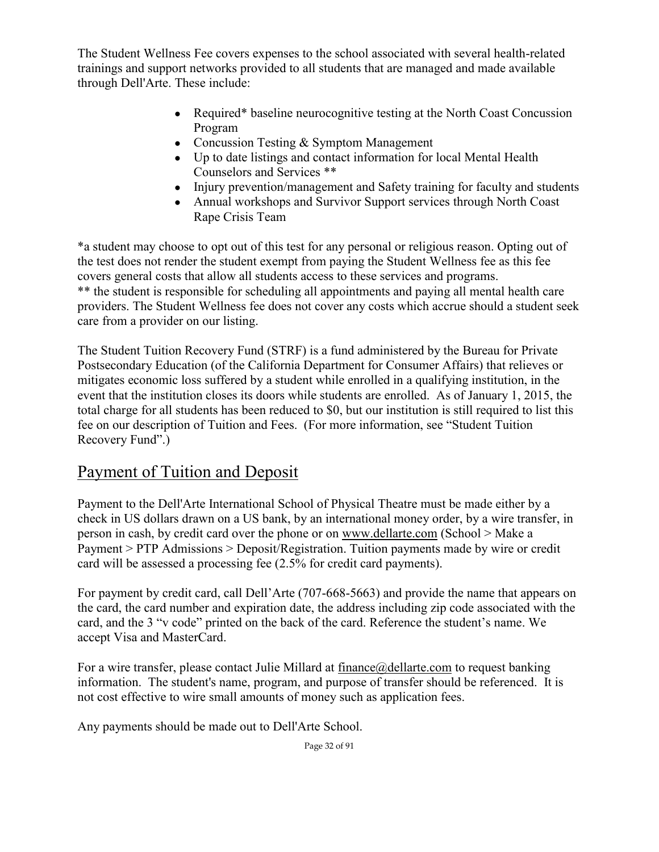The Student Wellness Fee covers expenses to the school associated with several health-related trainings and support networks provided to all students that are managed and made available through Dell'Arte. These include:

- Required\* baseline neurocognitive testing at the North Coast Concussion Program
- Concussion Testing & Symptom Management
- Up to date listings and contact information for local Mental Health Counselors and Services \*\*
- Injury prevention/management and Safety training for faculty and students
- Annual workshops and Survivor Support services through North Coast Rape Crisis Team

\*a student may choose to opt out of this test for any personal or religious reason. Opting out of the test does not render the student exempt from paying the Student Wellness fee as this fee covers general costs that allow all students access to these services and programs. \*\* the student is responsible for scheduling all appointments and paying all mental health care providers. The Student Wellness fee does not cover any costs which accrue should a student seek care from a provider on our listing.

The Student Tuition Recovery Fund (STRF) is a fund administered by the Bureau for Private Postsecondary Education (of the California Department for Consumer Affairs) that relieves or mitigates economic loss suffered by a student while enrolled in a qualifying institution, in the event that the institution closes its doors while students are enrolled. As of January 1, 2015, the total charge for all students has been reduced to \$0, but our institution is still required to list this fee on our description of Tuition and Fees. (For more information, see "Student Tuition Recovery Fund".)

## Payment of Tuition and Deposit

Payment to the Dell'Arte International School of Physical Theatre must be made either by a check in US dollars drawn on a US bank, by an international money order, by a wire transfer, in person in cash, by credit card over the phone or on www.dellarte.com (School > Make a Payment > PTP Admissions > Deposit/Registration. Tuition payments made by wire or credit card will be assessed a processing fee (2.5% for credit card payments).

For payment by credit card, call Dell'Arte (707-668-5663) and provide the name that appears on the card, the card number and expiration date, the address including zip code associated with the card, and the 3 "v code" printed on the back of the card. Reference the student's name. We accept Visa and MasterCard.

For a wire transfer, please contact Julie Millard at finance  $@$  dellarte.com to request banking information. The student's name, program, and purpose of transfer should be referenced. It is not cost effective to wire small amounts of money such as application fees.

Any payments should be made out to Dell'Arte School.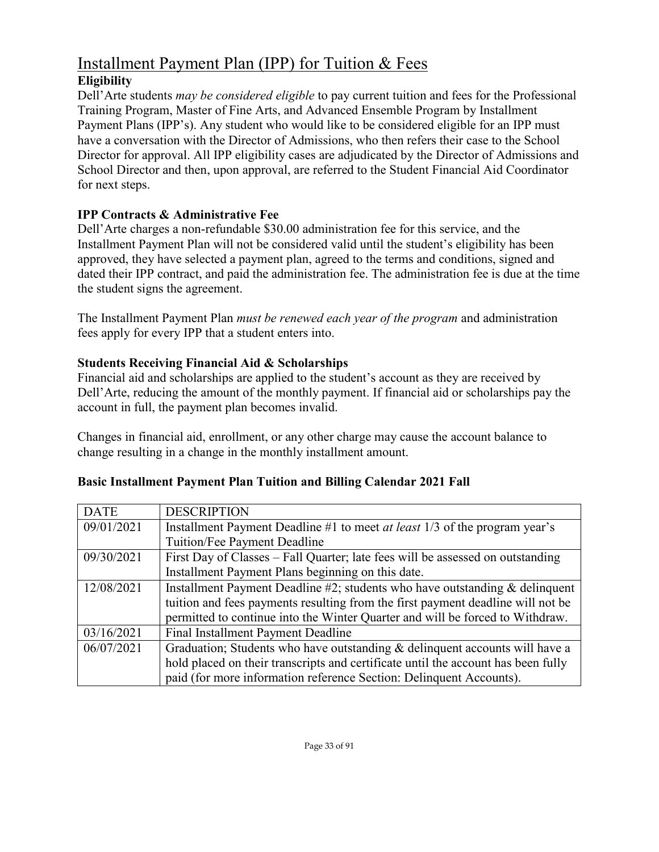### Installment Payment Plan (IPP) for Tuition & Fees **Eligibility**

Dell'Arte students *may be considered eligible* to pay current tuition and fees for the Professional Training Program, Master of Fine Arts, and Advanced Ensemble Program by Installment Payment Plans (IPP's). Any student who would like to be considered eligible for an IPP must have a conversation with the Director of Admissions, who then refers their case to the School Director for approval. All IPP eligibility cases are adjudicated by the Director of Admissions and School Director and then, upon approval, are referred to the Student Financial Aid Coordinator for next steps.

### **IPP Contracts & Administrative Fee**

Dell'Arte charges a non-refundable \$30.00 administration fee for this service, and the Installment Payment Plan will not be considered valid until the student's eligibility has been approved, they have selected a payment plan, agreed to the terms and conditions, signed and dated their IPP contract, and paid the administration fee. The administration fee is due at the time the student signs the agreement.

The Installment Payment Plan *must be renewed each year of the program* and administration fees apply for every IPP that a student enters into.

### **Students Receiving Financial Aid & Scholarships**

Financial aid and scholarships are applied to the student's account as they are received by Dell'Arte, reducing the amount of the monthly payment. If financial aid or scholarships pay the account in full, the payment plan becomes invalid.

Changes in financial aid, enrollment, or any other charge may cause the account balance to change resulting in a change in the monthly installment amount.

| <b>DATE</b> | <b>DESCRIPTION</b>                                                                |
|-------------|-----------------------------------------------------------------------------------|
| 09/01/2021  | Installment Payment Deadline #1 to meet <i>at least</i> 1/3 of the program year's |
|             | Tuition/Fee Payment Deadline                                                      |
| 09/30/2021  | First Day of Classes – Fall Quarter; late fees will be assessed on outstanding    |
|             | Installment Payment Plans beginning on this date.                                 |
| 12/08/2021  | Installment Payment Deadline #2; students who have outstanding & delinquent       |
|             | tuition and fees payments resulting from the first payment deadline will not be   |
|             | permitted to continue into the Winter Quarter and will be forced to Withdraw.     |
| 03/16/2021  | Final Installment Payment Deadline                                                |
| 06/07/2021  | Graduation; Students who have outstanding & delinquent accounts will have a       |
|             | hold placed on their transcripts and certificate until the account has been fully |
|             | paid (for more information reference Section: Delinquent Accounts).               |

### **Basic Installment Payment Plan Tuition and Billing Calendar 2021 Fall**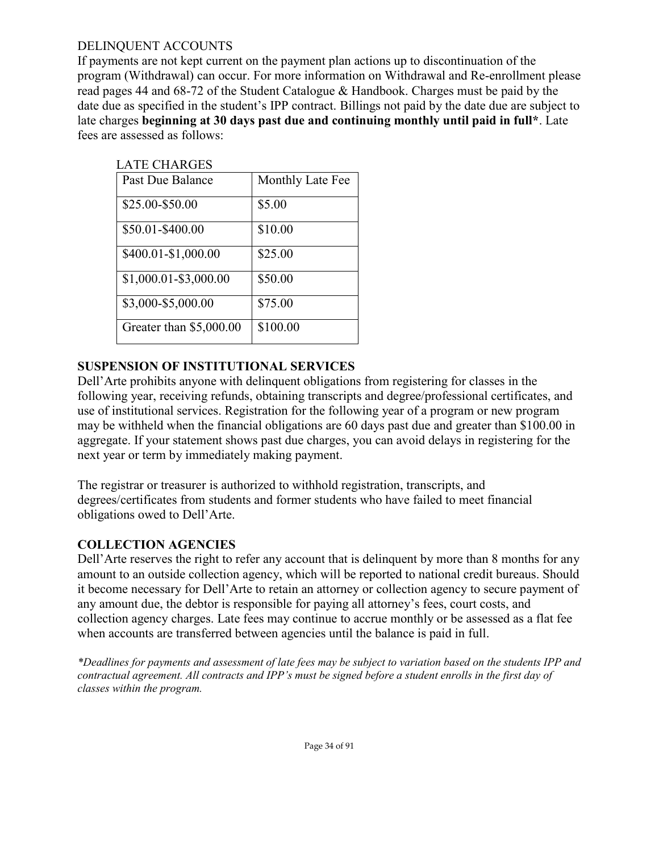### DELINQUENT ACCOUNTS

If payments are not kept current on the payment plan actions up to discontinuation of the program (Withdrawal) can occur. For more information on Withdrawal and Re-enrollment please read pages 44 and 68-72 of the Student Catalogue & Handbook. Charges must be paid by the date due as specified in the student's IPP contract. Billings not paid by the date due are subject to late charges **beginning at 30 days past due and continuing monthly until paid in full\***. Late fees are assessed as follows:

| <b>LATE CHARGES</b>     |                  |
|-------------------------|------------------|
| Past Due Balance        | Monthly Late Fee |
| \$25.00-\$50.00         | \$5.00           |
| \$50.01-\$400.00        | \$10.00          |
| \$400.01-\$1,000.00     | \$25.00          |
| \$1,000.01-\$3,000.00   | \$50.00          |
| \$3,000-\$5,000.00      | \$75.00          |
| Greater than \$5,000.00 | \$100.00         |

### **SUSPENSION OF INSTITUTIONAL SERVICES**

Dell'Arte prohibits anyone with delinquent obligations from registering for classes in the following year, receiving refunds, obtaining transcripts and degree/professional certificates, and use of institutional services. Registration for the following year of a program or new program may be withheld when the financial obligations are 60 days past due and greater than \$100.00 in aggregate. If your statement shows past due charges, you can avoid delays in registering for the next year or term by immediately making payment.

The registrar or treasurer is authorized to withhold registration, transcripts, and degrees/certificates from students and former students who have failed to meet financial obligations owed to Dell'Arte.

### **COLLECTION AGENCIES**

Dell'Arte reserves the right to refer any account that is delinguent by more than 8 months for any amount to an outside collection agency, which will be reported to national credit bureaus. Should it become necessary for Dell'Arte to retain an attorney or collection agency to secure payment of any amount due, the debtor is responsible for paying all attorney's fees, court costs, and collection agency charges. Late fees may continue to accrue monthly or be assessed as a flat fee when accounts are transferred between agencies until the balance is paid in full.

*\*Deadlines for payments and assessment of late fees may be subject to variation based on the students IPP and contractual agreement. All contracts and IPP's must be signed before a student enrolls in the first day of classes within the program.*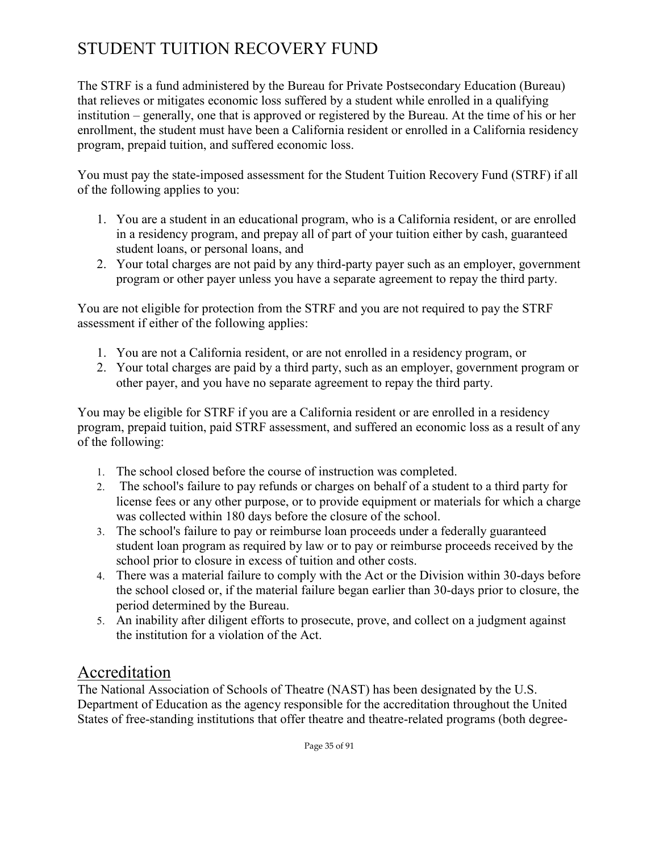# STUDENT TUITION RECOVERY FUND

The STRF is a fund administered by the Bureau for Private Postsecondary Education (Bureau) that relieves or mitigates economic loss suffered by a student while enrolled in a qualifying institution – generally, one that is approved or registered by the Bureau. At the time of his or her enrollment, the student must have been a California resident or enrolled in a California residency program, prepaid tuition, and suffered economic loss.

You must pay the state-imposed assessment for the Student Tuition Recovery Fund (STRF) if all of the following applies to you:

- 1. You are a student in an educational program, who is a California resident, or are enrolled in a residency program, and prepay all of part of your tuition either by cash, guaranteed student loans, or personal loans, and
- 2. Your total charges are not paid by any third-party payer such as an employer, government program or other payer unless you have a separate agreement to repay the third party.

You are not eligible for protection from the STRF and you are not required to pay the STRF assessment if either of the following applies:

- 1. You are not a California resident, or are not enrolled in a residency program, or
- 2. Your total charges are paid by a third party, such as an employer, government program or other payer, and you have no separate agreement to repay the third party.

You may be eligible for STRF if you are a California resident or are enrolled in a residency program, prepaid tuition, paid STRF assessment, and suffered an economic loss as a result of any of the following:

- 1. The school closed before the course of instruction was completed.
- 2. The school's failure to pay refunds or charges on behalf of a student to a third party for license fees or any other purpose, or to provide equipment or materials for which a charge was collected within 180 days before the closure of the school.
- 3. The school's failure to pay or reimburse loan proceeds under a federally guaranteed student loan program as required by law or to pay or reimburse proceeds received by the school prior to closure in excess of tuition and other costs.
- 4. There was a material failure to comply with the Act or the Division within 30-days before the school closed or, if the material failure began earlier than 30-days prior to closure, the period determined by the Bureau.
- 5. An inability after diligent efforts to prosecute, prove, and collect on a judgment against the institution for a violation of the Act.

## Accreditation

The National Association of Schools of Theatre (NAST) has been designated by the U.S. Department of Education as the agency responsible for the accreditation throughout the United States of free-standing institutions that offer theatre and theatre-related programs (both degree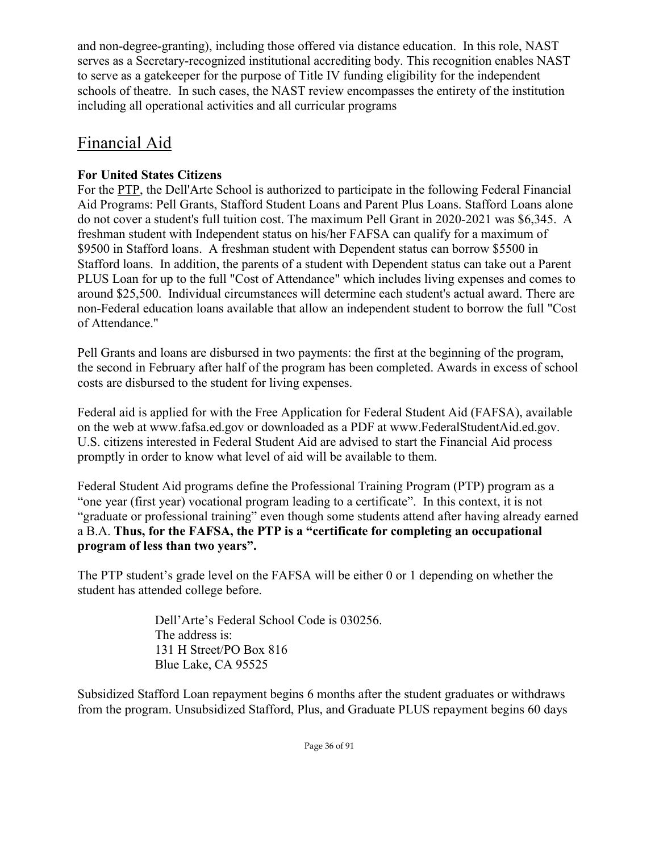and non-degree-granting), including those offered via distance education. In this role, NAST serves as a Secretary-recognized institutional accrediting body. This recognition enables NAST to serve as a gatekeeper for the purpose of Title IV funding eligibility for the independent schools of theatre. In such cases, the NAST review encompasses the entirety of the institution including all operational activities and all curricular programs

## Financial Aid

### **For United States Citizens**

For the PTP, the Dell'Arte School is authorized to participate in the following Federal Financial Aid Programs: Pell Grants, Stafford Student Loans and Parent Plus Loans. Stafford Loans alone do not cover a student's full tuition cost. The maximum Pell Grant in 2020-2021 was \$6,345. A freshman student with Independent status on his/her FAFSA can qualify for a maximum of \$9500 in Stafford loans. A freshman student with Dependent status can borrow \$5500 in Stafford loans. In addition, the parents of a student with Dependent status can take out a Parent PLUS Loan for up to the full "Cost of Attendance" which includes living expenses and comes to around \$25,500. Individual circumstances will determine each student's actual award. There are non-Federal education loans available that allow an independent student to borrow the full "Cost of Attendance."

Pell Grants and loans are disbursed in two payments: the first at the beginning of the program, the second in February after half of the program has been completed. Awards in excess of school costs are disbursed to the student for living expenses.

Federal aid is applied for with the Free Application for Federal Student Aid (FAFSA), available on the web at www.fafsa.ed.gov or downloaded as a PDF at www.FederalStudentAid.ed.gov. U.S. citizens interested in Federal Student Aid are advised to start the Financial Aid process promptly in order to know what level of aid will be available to them.

Federal Student Aid programs define the Professional Training Program (PTP) program as a "one year (first year) vocational program leading to a certificate". In this context, it is not "graduate or professional training" even though some students attend after having already earned a B.A. Thus, for the FAFSA, the PTP is a "certificate for completing an occupational program of less than two years".

The PTP student's grade level on the FAFSA will be either 0 or 1 depending on whether the student has attended college before.

> Dell'Arte's Federal School Code is 030256. The address is: 131 H Street/PO Box 816 Blue Lake, CA 95525

Subsidized Stafford Loan repayment begins 6 months after the student graduates or withdraws from the program. Unsubsidized Stafford, Plus, and Graduate PLUS repayment begins 60 days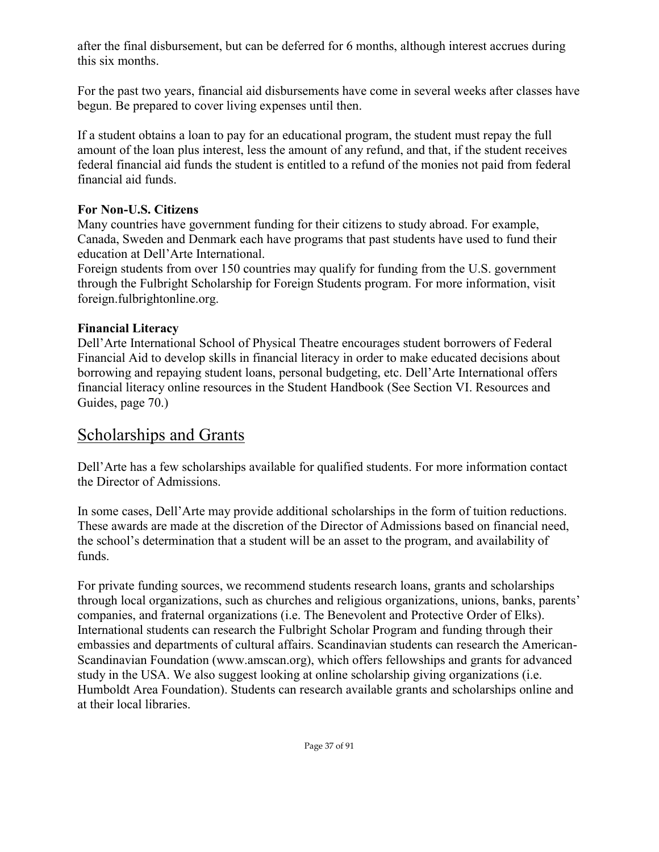after the final disbursement, but can be deferred for 6 months, although interest accrues during this six months.

For the past two years, financial aid disbursements have come in several weeks after classes have begun. Be prepared to cover living expenses until then.

If a student obtains a loan to pay for an educational program, the student must repay the full amount of the loan plus interest, less the amount of any refund, and that, if the student receives federal financial aid funds the student is entitled to a refund of the monies not paid from federal financial aid funds.

#### **For Non-U.S. Citizens**

Many countries have government funding for their citizens to study abroad. For example, Canada, Sweden and Denmark each have programs that past students have used to fund their education at Dell'Arte International.

Foreign students from over 150 countries may qualify for funding from the U.S. government through the Fulbright Scholarship for Foreign Students program. For more information, visit foreign.fulbrightonline.org.

### **Financial Literacy**

Dell'Arte International School of Physical Theatre encourages student borrowers of Federal Financial Aid to develop skills in financial literacy in order to make educated decisions about borrowing and repaying student loans, personal budgeting, etc. Dell'Arte International offers financial literacy online resources in the Student Handbook (See Section VI. Resources and Guides, page 70.)

## Scholarships and Grants

Dell'Arte has a few scholarships available for qualified students. For more information contact the Director of Admissions.

In some cases, Dell'Arte may provide additional scholarships in the form of tuition reductions. These awards are made at the discretion of the Director of Admissions based on financial need, the school's determination that a student will be an asset to the program, and availability of funds.

For private funding sources, we recommend students research loans, grants and scholarships through local organizations, such as churches and religious organizations, unions, banks, parents' companies, and fraternal organizations (i.e. The Benevolent and Protective Order of Elks). International students can research the Fulbright Scholar Program and funding through their embassies and departments of cultural affairs. Scandinavian students can research the American-Scandinavian Foundation (www.amscan.org), which offers fellowships and grants for advanced study in the USA. We also suggest looking at online scholarship giving organizations (i.e. Humboldt Area Foundation). Students can research available grants and scholarships online and at their local libraries.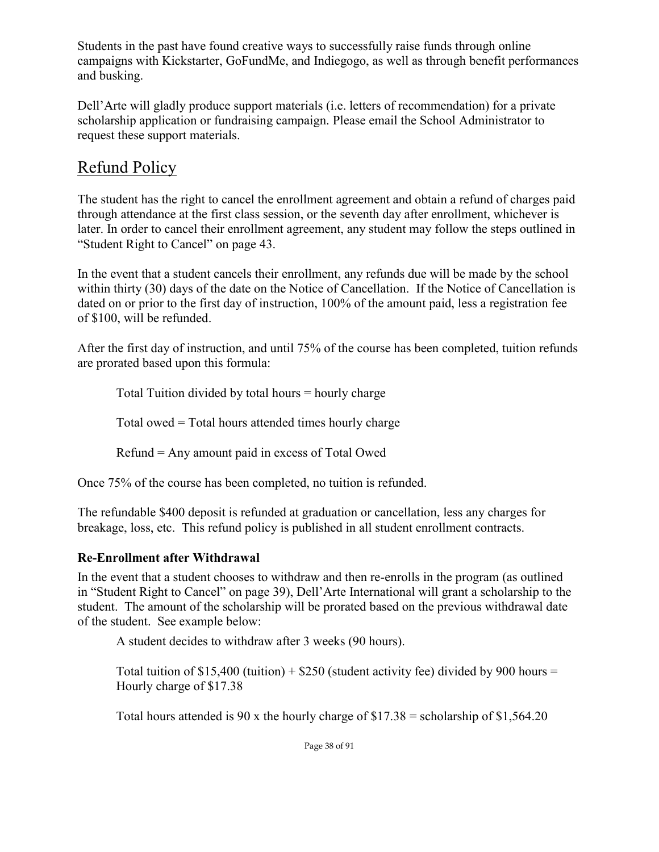Students in the past have found creative ways to successfully raise funds through online campaigns with Kickstarter, GoFundMe, and Indiegogo, as well as through benefit performances and busking.

Dell'Arte will gladly produce support materials (i.e. letters of recommendation) for a private scholarship application or fundraising campaign. Please email the School Administrator to request these support materials.

# Refund Policy

The student has the right to cancel the enrollment agreement and obtain a refund of charges paid through attendance at the first class session, or the seventh day after enrollment, whichever is later. In order to cancel their enrollment agreement, any student may follow the steps outlined in "Student Right to Cancel" on page 43.

In the event that a student cancels their enrollment, any refunds due will be made by the school within thirty (30) days of the date on the Notice of Cancellation. If the Notice of Cancellation is dated on or prior to the first day of instruction, 100% of the amount paid, less a registration fee of \$100, will be refunded.

After the first day of instruction, and until 75% of the course has been completed, tuition refunds are prorated based upon this formula:

Total Tuition divided by total hours = hourly charge

Total owed = Total hours attended times hourly charge

Refund = Any amount paid in excess of Total Owed

Once 75% of the course has been completed, no tuition is refunded.

The refundable \$400 deposit is refunded at graduation or cancellation, less any charges for breakage, loss, etc. This refund policy is published in all student enrollment contracts.

### **Re-Enrollment after Withdrawal**

In the event that a student chooses to withdraw and then re-enrolls in the program (as outlined in "Student Right to Cancel" on page 39), Dell'Arte International will grant a scholarship to the student. The amount of the scholarship will be prorated based on the previous withdrawal date of the student. See example below:

A student decides to withdraw after 3 weeks (90 hours).

Total tuition of \$15,400 (tuition)  $+$  \$250 (student activity fee) divided by 900 hours = Hourly charge of \$17.38

Total hours attended is 90 x the hourly charge of  $$17.38 =$  scholarship of  $$1,564.20$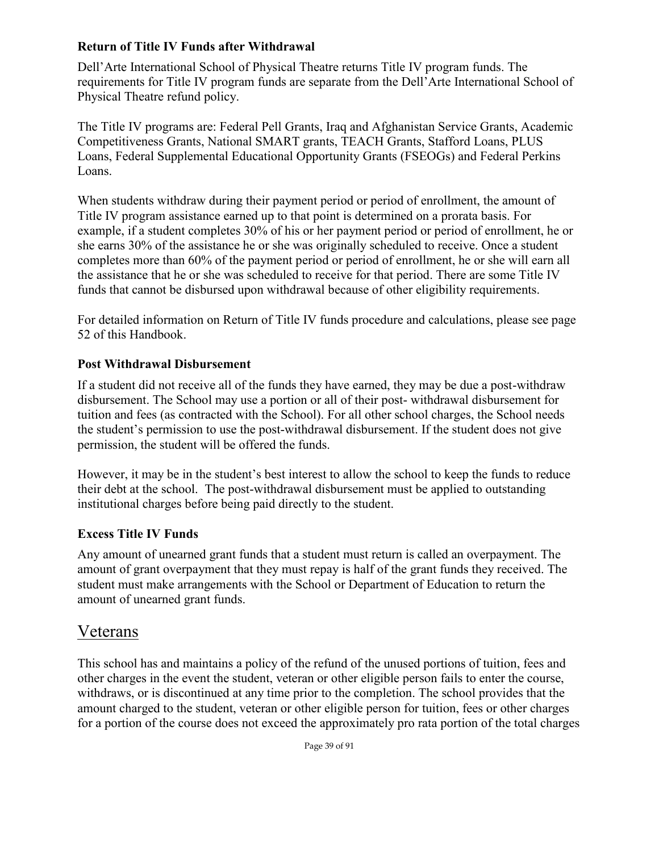### **Return of Title IV Funds after Withdrawal**

Dell'Arte International School of Physical Theatre returns Title IV program funds. The requirements for Title IV program funds are separate from the Dell'Arte International School of Physical Theatre refund policy.

The Title IV programs are: Federal Pell Grants, Iraq and Afghanistan Service Grants, Academic Competitiveness Grants, National SMART grants, TEACH Grants, Stafford Loans, PLUS Loans, Federal Supplemental Educational Opportunity Grants (FSEOGs) and Federal Perkins Loans.

When students withdraw during their payment period or period of enrollment, the amount of Title IV program assistance earned up to that point is determined on a prorata basis. For example, if a student completes 30% of his or her payment period or period of enrollment, he or she earns 30% of the assistance he or she was originally scheduled to receive. Once a student completes more than 60% of the payment period or period of enrollment, he or she will earn all the assistance that he or she was scheduled to receive for that period. There are some Title IV funds that cannot be disbursed upon withdrawal because of other eligibility requirements.

For detailed information on Return of Title IV funds procedure and calculations, please see page 52 of this Handbook.

### **Post Withdrawal Disbursement**

If a student did not receive all of the funds they have earned, they may be due a post-withdraw disbursement. The School may use a portion or all of their post- withdrawal disbursement for tuition and fees (as contracted with the School). For all other school charges, the School needs the student's permission to use the post-withdrawal disbursement. If the student does not give permission, the student will be offered the funds.

However, it may be in the student's best interest to allow the school to keep the funds to reduce their debt at the school. The post-withdrawal disbursement must be applied to outstanding institutional charges before being paid directly to the student.

## **Excess Title IV Funds**

Any amount of unearned grant funds that a student must return is called an overpayment. The amount of grant overpayment that they must repay is half of the grant funds they received. The student must make arrangements with the School or Department of Education to return the amount of unearned grant funds.

## Veterans

This school has and maintains a policy of the refund of the unused portions of tuition, fees and other charges in the event the student, veteran or other eligible person fails to enter the course, withdraws, or is discontinued at any time prior to the completion. The school provides that the amount charged to the student, veteran or other eligible person for tuition, fees or other charges for a portion of the course does not exceed the approximately pro rata portion of the total charges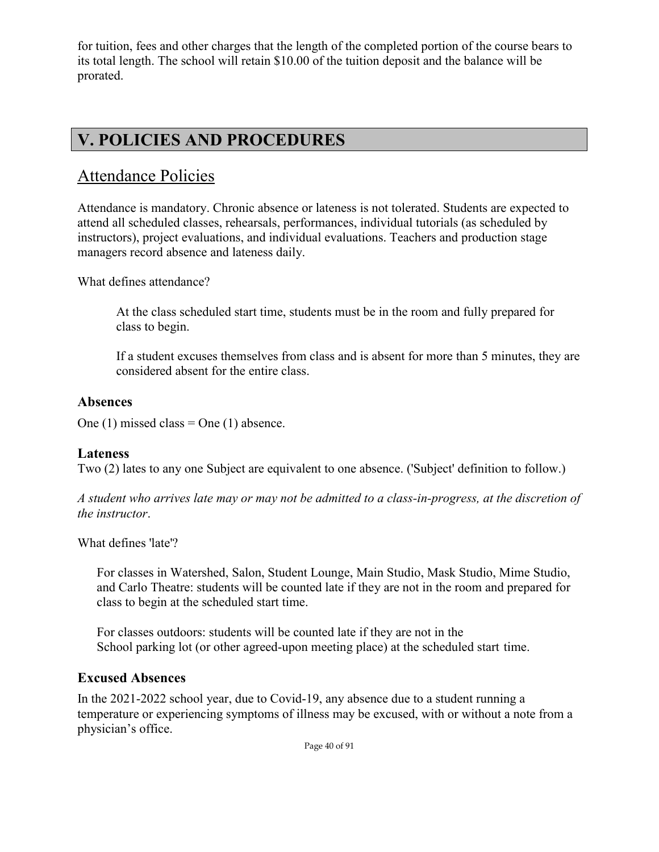for tuition, fees and other charges that the length of the completed portion of the course bears to its total length. The school will retain \$10.00 of the tuition deposit and the balance will be prorated.

# **V. POLICIES AND PROCEDURES**

# Attendance Policies

Attendance is mandatory. Chronic absence or lateness is not tolerated. Students are expected to attend all scheduled classes, rehearsals, performances, individual tutorials (as scheduled by instructors), project evaluations, and individual evaluations. Teachers and production stage managers record absence and lateness daily.

What defines attendance?

At the class scheduled start time, students must be in the room and fully prepared for class to begin.

If a student excuses themselves from class and is absent for more than 5 minutes, they are considered absent for the entire class.

### **Absences**

One (1) missed class = One (1) absence.

### **Lateness**

Two (2) lates to any one Subject are equivalent to one absence. ('Subject' definition to follow.)

*A student who arrives late may or may not be admitted to a class-in-progress, at the discretion of the instructor*.

What defines 'late'?

For classes in Watershed, Salon, Student Lounge, Main Studio, Mask Studio, Mime Studio, and Carlo Theatre: students will be counted late if they are not in the room and prepared for class to begin at the scheduled start time.

 For classes outdoors: students will be counted late if they are not in the School parking lot (or other agreed-upon meeting place) at the scheduled start time.

## **Excused Absences**

In the 2021-2022 school year, due to Covid-19, any absence due to a student running a temperature or experiencing symptoms of illness may be excused, with or without a note from a physician's office.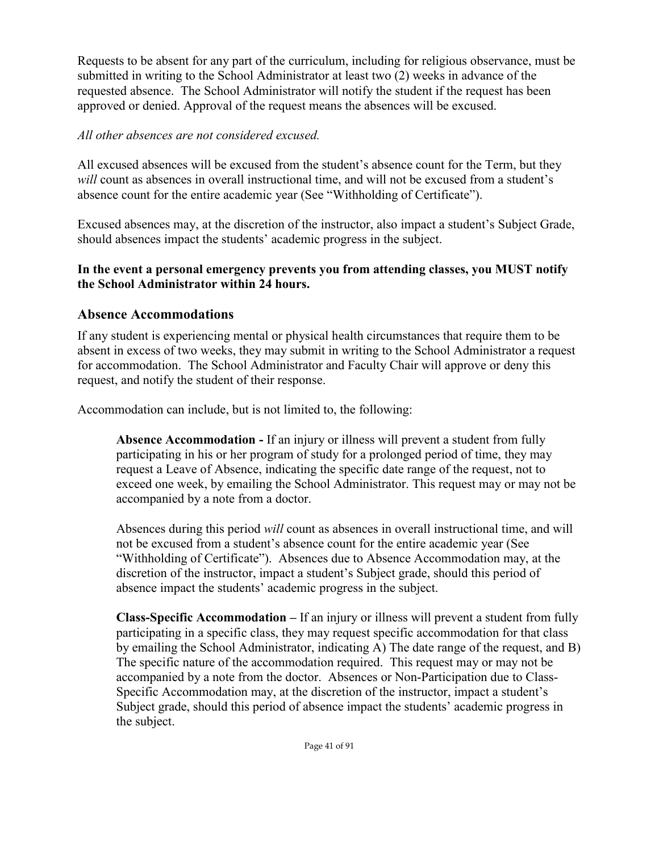Requests to be absent for any part of the curriculum, including for religious observance, must be submitted in writing to the School Administrator at least two (2) weeks in advance of the requested absence. The School Administrator will notify the student if the request has been approved or denied. Approval of the request means the absences will be excused.

#### *All other absences are not considered excused.*

All excused absences will be excused from the student's absence count for the Term, but they *will* count as absences in overall instructional time, and will not be excused from a student's absence count for the entire academic year (See "Withholding of Certificate").

Excused absences may, at the discretion of the instructor, also impact a student's Subject Grade, should absences impact the students' academic progress in the subject.

#### **In the event a personal emergency prevents you from attending classes, you MUST notify the School Administrator within 24 hours.**

### **Absence Accommodations**

If any student is experiencing mental or physical health circumstances that require them to be absent in excess of two weeks, they may submit in writing to the School Administrator a request for accommodation. The School Administrator and Faculty Chair will approve or deny this request, and notify the student of their response.

Accommodation can include, but is not limited to, the following:

**Absence Accommodation -** If an injury or illness will prevent a student from fully participating in his or her program of study for a prolonged period of time, they may request a Leave of Absence, indicating the specific date range of the request, not to exceed one week, by emailing the School Administrator. This request may or may not be accompanied by a note from a doctor.

Absences during this period *will* count as absences in overall instructional time, and will not be excused from a student's absence count for the entire academic year (See "Withholding of Certificate"). Absences due to Absence Accommodation may, at the discretion of the instructor, impact a student's Subject grade, should this period of absence impact the students' academic progress in the subject.

**Class-Specific Accommodation – If an injury or illness will prevent a student from fully** participating in a specific class, they may request specific accommodation for that class by emailing the School Administrator, indicating A) The date range of the request, and B) The specific nature of the accommodation required. This request may or may not be accompanied by a note from the doctor. Absences or Non-Participation due to Class-Specific Accommodation may, at the discretion of the instructor, impact a student's Subject grade, should this period of absence impact the students' academic progress in the subject.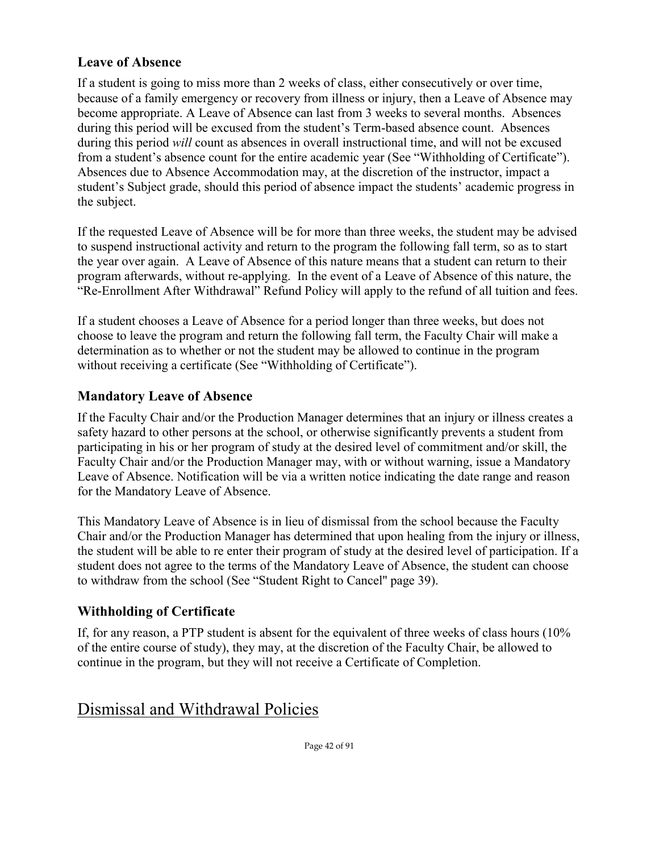## **Leave of Absence**

If a student is going to miss more than 2 weeks of class, either consecutively or over time, because of a family emergency or recovery from illness or injury, then a Leave of Absence may become appropriate. A Leave of Absence can last from 3 weeks to several months. Absences during this period will be excused from the student's Term-based absence count. Absences during this period *will* count as absences in overall instructional time, and will not be excused from a student's absence count for the entire academic year (See "Withholding of Certificate"). Absences due to Absence Accommodation may, at the discretion of the instructor, impact a student's Subject grade, should this period of absence impact the students' academic progress in the subject.

If the requested Leave of Absence will be for more than three weeks, the student may be advised to suspend instructional activity and return to the program the following fall term, so as to start the year over again. A Leave of Absence of this nature means that a student can return to their program afterwards, without re-applying. In the event of a Leave of Absence of this nature, the "Re-Enrollment After Withdrawal" Refund Policy will apply to the refund of all tuition and fees.

If a student chooses a Leave of Absence for a period longer than three weeks, but does not choose to leave the program and return the following fall term, the Faculty Chair will make a determination as to whether or not the student may be allowed to continue in the program without receiving a certificate (See "Withholding of Certificate").

## **Mandatory Leave of Absence**

If the Faculty Chair and/or the Production Manager determines that an injury or illness creates a safety hazard to other persons at the school, or otherwise significantly prevents a student from participating in his or her program of study at the desired level of commitment and/or skill, the Faculty Chair and/or the Production Manager may, with or without warning, issue a Mandatory Leave of Absence. Notification will be via a written notice indicating the date range and reason for the Mandatory Leave of Absence.

This Mandatory Leave of Absence is in lieu of dismissal from the school because the Faculty Chair and/or the Production Manager has determined that upon healing from the injury or illness, the student will be able to re enter their program of study at the desired level of participation. If a student does not agree to the terms of the Mandatory Leave of Absence, the student can choose to withdraw from the school (See "Student Right to Cancel" page 39).

## **Withholding of Certificate**

If, for any reason, a PTP student is absent for the equivalent of three weeks of class hours (10% of the entire course of study), they may, at the discretion of the Faculty Chair, be allowed to continue in the program, but they will not receive a Certificate of Completion.

# Dismissal and Withdrawal Policies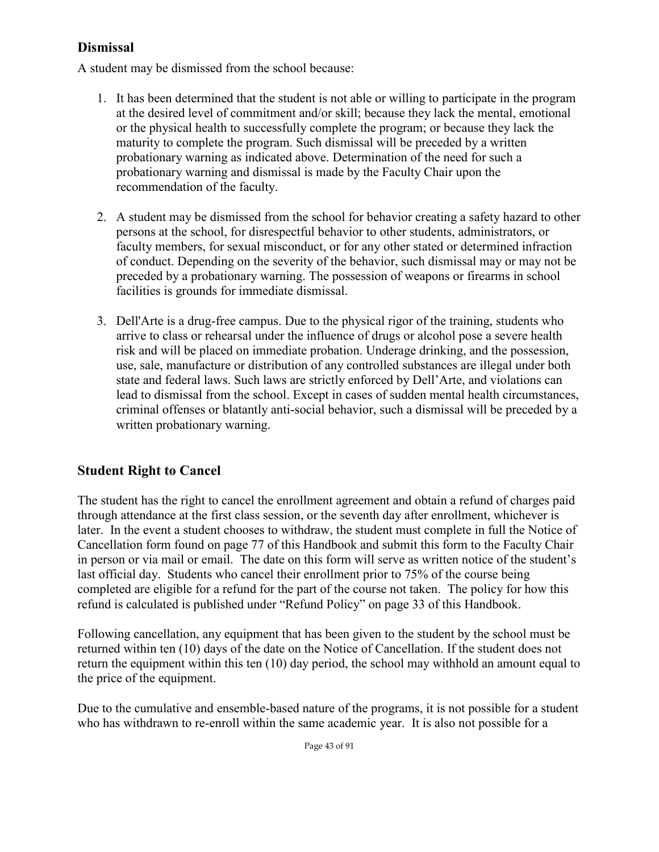## **Dismissal**

A student may be dismissed from the school because:

- 1. It has been determined that the student is not able or willing to participate in the program at the desired level of commitment and/or skill; because they lack the mental, emotional or the physical health to successfully complete the program; or because they lack the maturity to complete the program. Such dismissal will be preceded by a written probationary warning as indicated above. Determination of the need for such a probationary warning and dismissal is made by the Faculty Chair upon the recommendation of the faculty.
- 2. A student may be dismissed from the school for behavior creating a safety hazard to other persons at the school, for disrespectful behavior to other students, administrators, or faculty members, for sexual misconduct, or for any other stated or determined infraction of conduct. Depending on the severity of the behavior, such dismissal may or may not be preceded by a probationary warning. The possession of weapons or firearms in school facilities is grounds for immediate dismissal.
- 3. Dell'Arte is a drug-free campus. Due to the physical rigor of the training, students who arrive to class or rehearsal under the influence of drugs or alcohol pose a severe health risk and will be placed on immediate probation. Underage drinking, and the possession, use, sale, manufacture or distribution of any controlled substances are illegal under both state and federal laws. Such laws are strictly enforced by Dell'Arte, and violations can lead to dismissal from the school. Except in cases of sudden mental health circumstances, criminal offenses or blatantly anti-social behavior, such a dismissal will be preceded by a written probationary warning.

## **Student Right to Cancel**

The student has the right to cancel the enrollment agreement and obtain a refund of charges paid through attendance at the first class session, or the seventh day after enrollment, whichever is later. In the event a student chooses to withdraw, the student must complete in full the Notice of Cancellation form found on page 77 of this Handbook and submit this form to the Faculty Chair in person or via mail or email. The date on this form will serve as written notice of the student's last official day. Students who cancel their enrollment prior to 75% of the course being completed are eligible for a refund for the part of the course not taken. The policy for how this refund is calculated is published under "Refund Policy" on page 33 of this Handbook.

Following cancellation, any equipment that has been given to the student by the school must be returned within ten (10) days of the date on the Notice of Cancellation. If the student does not return the equipment within this ten (10) day period, the school may withhold an amount equal to the price of the equipment.

Due to the cumulative and ensemble-based nature of the programs, it is not possible for a student who has withdrawn to re-enroll within the same academic year. It is also not possible for a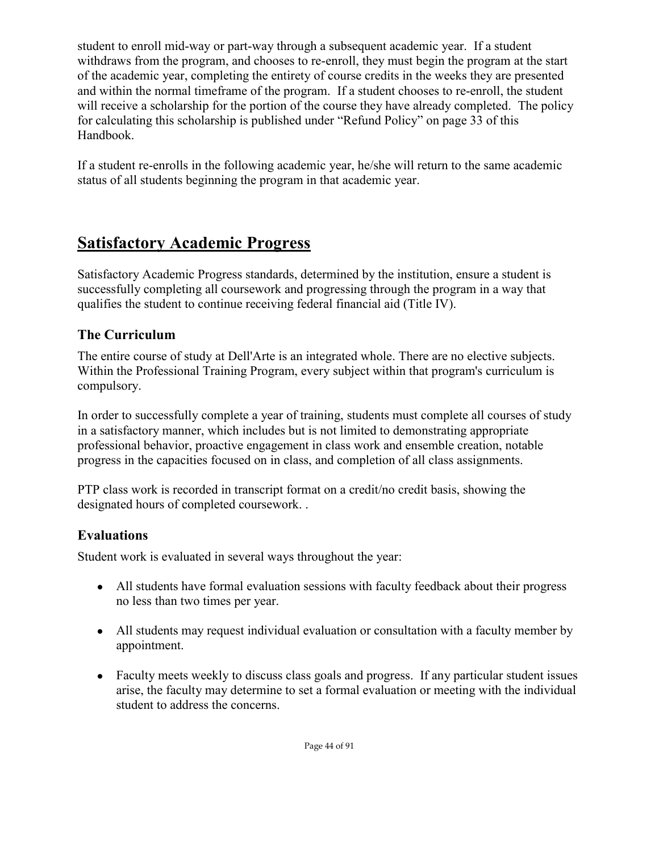student to enroll mid-way or part-way through a subsequent academic year. If a student withdraws from the program, and chooses to re-enroll, they must begin the program at the start of the academic year, completing the entirety of course credits in the weeks they are presented and within the normal timeframe of the program. If a student chooses to re-enroll, the student will receive a scholarship for the portion of the course they have already completed. The policy for calculating this scholarship is published under "Refund Policy" on page 33 of this Handbook.

If a student re-enrolls in the following academic year, he/she will return to the same academic status of all students beginning the program in that academic year.

# **Satisfactory Academic Progress**

Satisfactory Academic Progress standards, determined by the institution, ensure a student is successfully completing all coursework and progressing through the program in a way that qualifies the student to continue receiving federal financial aid (Title IV).

## **The Curriculum**

The entire course of study at Dell'Arte is an integrated whole. There are no elective subjects. Within the Professional Training Program, every subject within that program's curriculum is compulsory.

In order to successfully complete a year of training, students must complete all courses of study in a satisfactory manner, which includes but is not limited to demonstrating appropriate professional behavior, proactive engagement in class work and ensemble creation, notable progress in the capacities focused on in class, and completion of all class assignments.

PTP class work is recorded in transcript format on a credit/no credit basis, showing the designated hours of completed coursework. .

## **Evaluations**

Student work is evaluated in several ways throughout the year:

- All students have formal evaluation sessions with faculty feedback about their progress no less than two times per year.
- All students may request individual evaluation or consultation with a faculty member by appointment.
- Faculty meets weekly to discuss class goals and progress. If any particular student issues arise, the faculty may determine to set a formal evaluation or meeting with the individual student to address the concerns.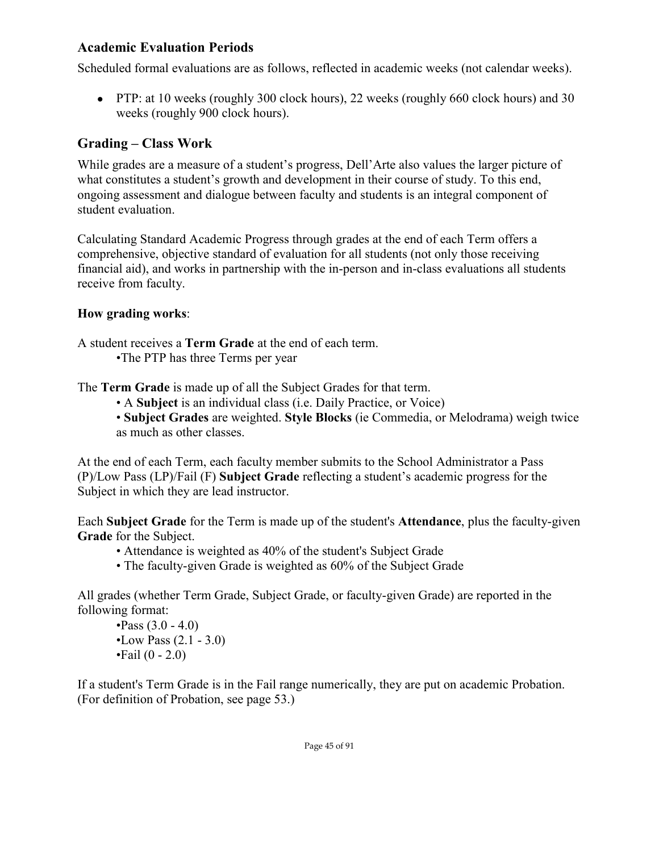### **Academic Evaluation Periods**

Scheduled formal evaluations are as follows, reflected in academic weeks (not calendar weeks).

• PTP: at 10 weeks (roughly 300 clock hours), 22 weeks (roughly 660 clock hours) and 30 weeks (roughly 900 clock hours).

### **Grading ± Class Work**

While grades are a measure of a student's progress, Dell'Arte also values the larger picture of what constitutes a student's growth and development in their course of study. To this end, ongoing assessment and dialogue between faculty and students is an integral component of student evaluation.

Calculating Standard Academic Progress through grades at the end of each Term offers a comprehensive, objective standard of evaluation for all students (not only those receiving financial aid), and works in partnership with the in-person and in-class evaluations all students receive from faculty.

### **How grading works**:

A student receives a **Term Grade** at the end of each term.

•The PTP has three Terms per year

The **Term Grade** is made up of all the Subject Grades for that term.

- A **Subject** is an individual class (i.e. Daily Practice, or Voice)
- **Subject Grades** are weighted. **Style Blocks** (ie Commedia, or Melodrama) weigh twice as much as other classes.

At the end of each Term, each faculty member submits to the School Administrator a Pass (P)/Low Pass (LP)/Fail (F) **Subject Grade** reflecting a student's academic progress for the Subject in which they are lead instructor.

Each **Subject Grade** for the Term is made up of the student's **Attendance**, plus the faculty-given **Grade** for the Subject.

- Attendance is weighted as 40% of the student's Subject Grade
- $\cdot$  The faculty-given Grade is weighted as 60% of the Subject Grade

All grades (whether Term Grade, Subject Grade, or faculty-given Grade) are reported in the following format:

 $\textbf{Pass} (3.0 - 4.0)$  $\cdot$ Low Pass (2.1 - 3.0)  $\cdot$ Fail (0 - 2.0)

If a student's Term Grade is in the Fail range numerically, they are put on academic Probation. (For definition of Probation, see page 53.)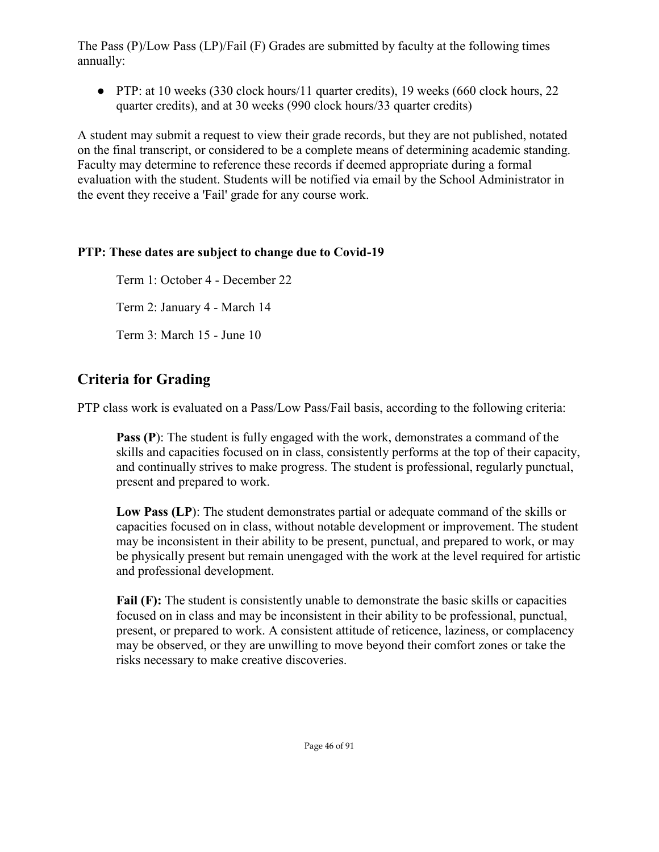The Pass (P)/Low Pass (LP)/Fail (F) Grades are submitted by faculty at the following times annually:

• PTP: at 10 weeks (330 clock hours/11 quarter credits), 19 weeks (660 clock hours, 22 quarter credits), and at 30 weeks (990 clock hours/33 quarter credits)

A student may submit a request to view their grade records, but they are not published, notated on the final transcript, or considered to be a complete means of determining academic standing. Faculty may determine to reference these records if deemed appropriate during a formal evaluation with the student. Students will be notified via email by the School Administrator in the event they receive a 'Fail' grade for any course work.

#### **PTP: These dates are subject to change due to Covid-19**

 Term 1: October 4 - December 22 Term 2: January 4 - March 14 Term 3: March 15 - June 10

## **Criteria for Grading**

PTP class work is evaluated on a Pass/Low Pass/Fail basis, according to the following criteria:

**Pass (P)**: The student is fully engaged with the work, demonstrates a command of the skills and capacities focused on in class, consistently performs at the top of their capacity, and continually strives to make progress. The student is professional, regularly punctual, present and prepared to work.

**Low Pass (LP**): The student demonstrates partial or adequate command of the skills or capacities focused on in class, without notable development or improvement. The student may be inconsistent in their ability to be present, punctual, and prepared to work, or may be physically present but remain unengaged with the work at the level required for artistic and professional development.

**Fail (F):** The student is consistently unable to demonstrate the basic skills or capacities focused on in class and may be inconsistent in their ability to be professional, punctual, present, or prepared to work. A consistent attitude of reticence, laziness, or complacency may be observed, or they are unwilling to move beyond their comfort zones or take the risks necessary to make creative discoveries.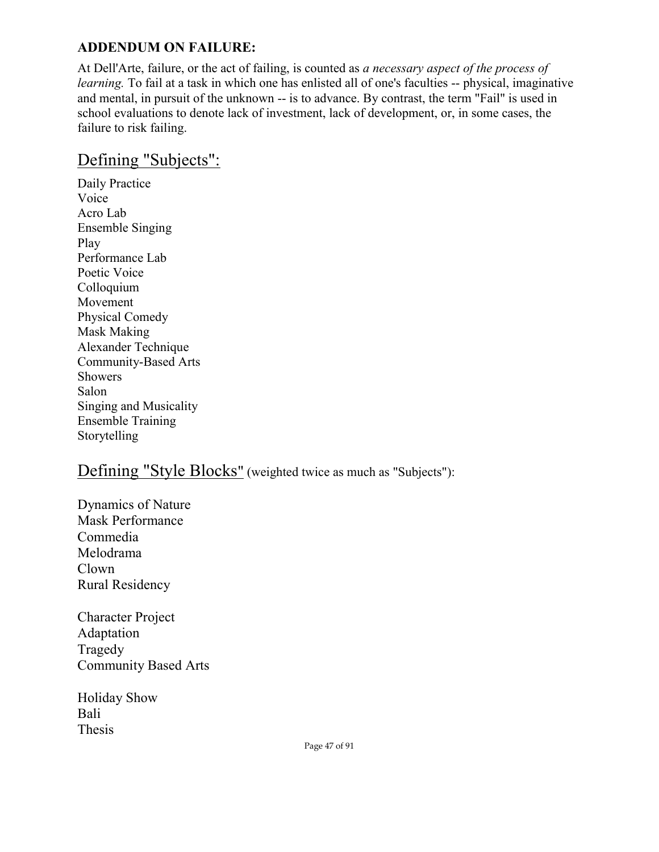### **ADDENDUM ON FAILURE:**

At Dell'Arte, failure, or the act of failing, is counted as *a necessary aspect of the process of learning*. To fail at a task in which one has enlisted all of one's faculties -- physical, imaginative and mental, in pursuit of the unknown -- is to advance. By contrast, the term "Fail" is used in school evaluations to denote lack of investment, lack of development, or, in some cases, the failure to risk failing.

## Defining "Subjects":

Daily Practice Voice Acro Lab Ensemble Singing Play Performance Lab Poetic Voice Colloquium Movement Physical Comedy Mask Making Alexander Technique Community-Based Arts Showers Salon Singing and Musicality Ensemble Training Storytelling

## Defining "Style Blocks" (weighted twice as much as "Subjects"):

Dynamics of Nature Mask Performance Commedia Melodrama Clown Rural Residency

Character Project Adaptation Tragedy Community Based Arts

Holiday Show Bali Thesis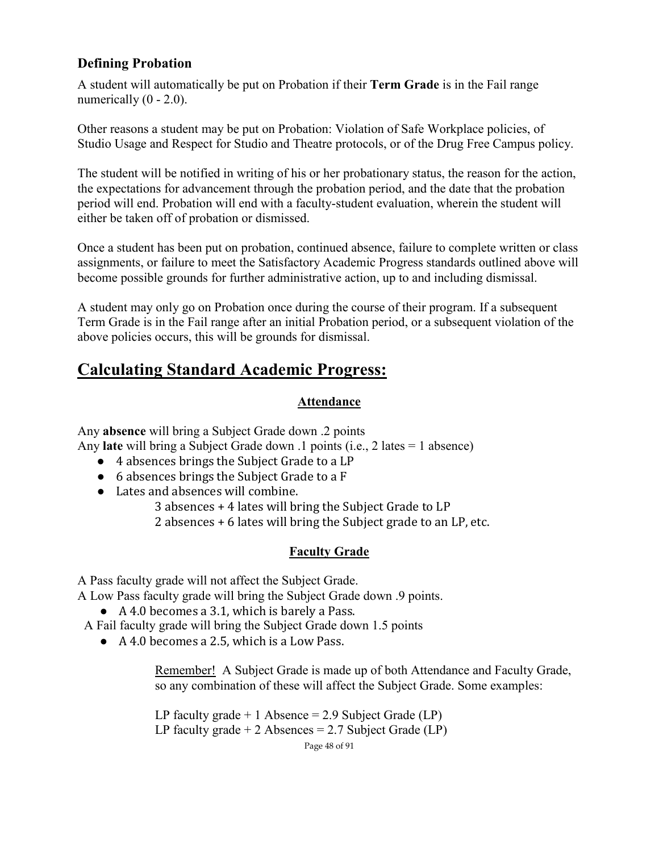### **Defining Probation**

A student will automatically be put on Probation if their **Term Grade** is in the Fail range numerically  $(0 - 2.0)$ .

Other reasons a student may be put on Probation: Violation of Safe Workplace policies, of Studio Usage and Respect for Studio and Theatre protocols, or of the Drug Free Campus policy.

The student will be notified in writing of his or her probationary status, the reason for the action, the expectations for advancement through the probation period, and the date that the probation period will end. Probation will end with a faculty-student evaluation, wherein the student will either be taken off of probation or dismissed.

Once a student has been put on probation, continued absence, failure to complete written or class assignments, or failure to meet the Satisfactory Academic Progress standards outlined above will become possible grounds for further administrative action, up to and including dismissal.

A student may only go on Probation once during the course of their program. If a subsequent Term Grade is in the Fail range after an initial Probation period, or a subsequent violation of the above policies occurs, this will be grounds for dismissal.

# **Calculating Standard Academic Progress:**

### **Attendance**

Any **absence** will bring a Subject Grade down .2 points Any **late** will bring a Subject Grade down .1 points (i.e., 2 lates = 1 absence)

- Ɣ 4 absences brings the Subject Grade to a LP
- Ɣ 6 absences brings the Subject Grade to a F
- Lates and absences will combine.

3 absences + 4 lates will bring the Subject Grade to LP 2 absences + 6 lates will bring the Subject grade to an LP, etc.

### **Faculty Grade**

A Pass faculty grade will not affect the Subject Grade.

A Low Pass faculty grade will bring the Subject Grade down .9 points.

Ɣ A 4.0 becomes a 3.1, which is barely a Pass.

A Fail faculty grade will bring the Subject Grade down 1.5 points

● A 4.0 becomes a 2.5, which is a Low Pass.

Remember! A Subject Grade is made up of both Attendance and Faculty Grade, so any combination of these will affect the Subject Grade. Some examples:

Page 48 of 91 LP faculty grade  $+ 1$  Absence  $= 2.9$  Subject Grade (LP) LP faculty grade  $+ 2$  Absences  $= 2.7$  Subject Grade (LP)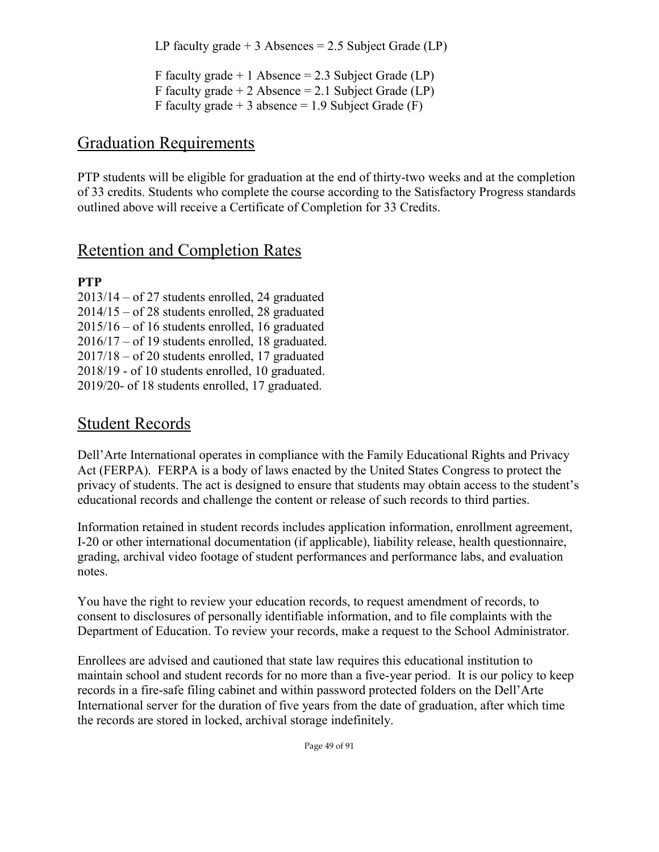LP faculty grade  $+3$  Absences = 2.5 Subject Grade (LP)

F faculty grade  $+ 1$  Absence  $= 2.3$  Subject Grade (LP) F faculty grade  $+ 2$  Absence  $= 2.1$  Subject Grade (LP) F faculty grade  $+3$  absence  $= 1.9$  Subject Grade (F)

# Graduation Requirements

PTP students will be eligible for graduation at the end of thirty-two weeks and at the completion of 33 credits. Students who complete the course according to the Satisfactory Progress standards outlined above will receive a Certificate of Completion for 33 Credits.

# Retention and Completion Rates

## **PTP**

 $2013/14 - of 27$  students enrolled, 24 graduated  $2014/15 - of 28$  students enrolled, 28 graduated  $2015/16 - of 16$  students enrolled, 16 graduated  $2016/17 - of 19$  students enrolled, 18 graduated.  $2017/18 - of 20$  students enrolled, 17 graduated 2018/19 - of 10 students enrolled, 10 graduated. 2019/20- of 18 students enrolled, 17 graduated.

## Student Records

Dell'Arte International operates in compliance with the Family Educational Rights and Privacy Act (FERPA). FERPA is a body of laws enacted by the United States Congress to protect the privacy of students. The act is designed to ensure that students may obtain access to the student's educational records and challenge the content or release of such records to third parties.

Information retained in student records includes application information, enrollment agreement, I-20 or other international documentation (if applicable), liability release, health questionnaire, grading, archival video footage of student performances and performance labs, and evaluation notes.

You have the right to review your education records, to request amendment of records, to consent to disclosures of personally identifiable information, and to file complaints with the Department of Education. To review your records, make a request to the School Administrator.

Enrollees are advised and cautioned that state law requires this educational institution to maintain school and student records for no more than a five-year period. It is our policy to keep records in a fire-safe filing cabinet and within password protected folders on the Dell'Arte International server for the duration of five years from the date of graduation, after which time the records are stored in locked, archival storage indefinitely.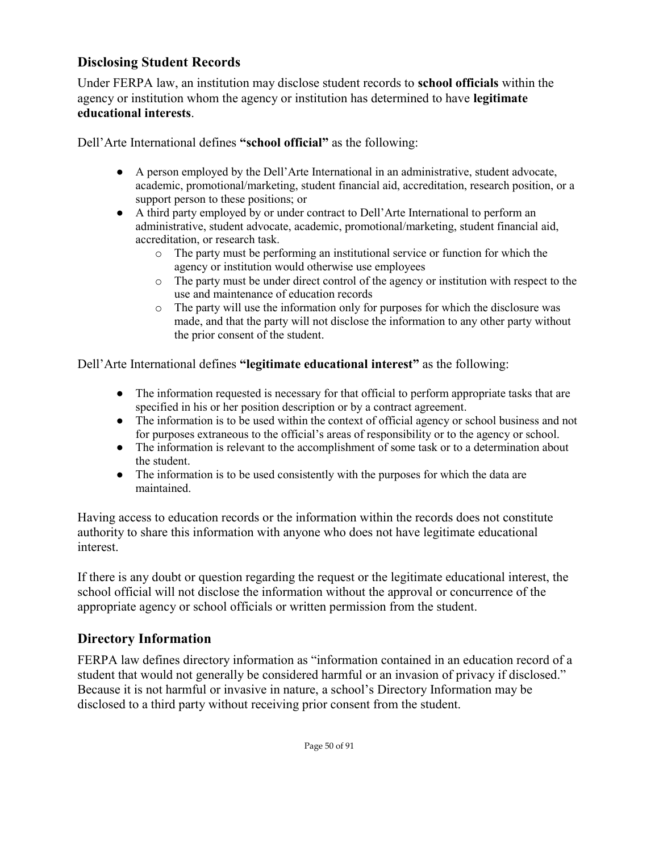## **Disclosing Student Records**

Under FERPA law, an institution may disclose student records to **school officials** within the agency or institution whom the agency or institution has determined to have **legitimate educational interests**.

Dell'Arte International defines "school official" as the following:

- A person employed by the Dell'Arte International in an administrative, student advocate, academic, promotional/marketing, student financial aid, accreditation, research position, or a support person to these positions; or
- $\bullet$  A third party employed by or under contract to Dell'Arte International to perform an administrative, student advocate, academic, promotional/marketing, student financial aid, accreditation, or research task.
	- o The party must be performing an institutional service or function for which the agency or institution would otherwise use employees
	- o The party must be under direct control of the agency or institution with respect to the use and maintenance of education records
	- o The party will use the information only for purposes for which the disclosure was made, and that the party will not disclose the information to any other party without the prior consent of the student.

Dell'Arte International defines "legitimate educational interest" as the following:

- The information requested is necessary for that official to perform appropriate tasks that are specified in his or her position description or by a contract agreement.
- The information is to be used within the context of official agency or school business and not for purposes extraneous to the official's areas of responsibility or to the agency or school.
- The information is relevant to the accomplishment of some task or to a determination about the student.
- The information is to be used consistently with the purposes for which the data are maintained.

Having access to education records or the information within the records does not constitute authority to share this information with anyone who does not have legitimate educational interest.

If there is any doubt or question regarding the request or the legitimate educational interest, the school official will not disclose the information without the approval or concurrence of the appropriate agency or school officials or written permission from the student.

### **Directory Information**

FERPA law defines directory information as "information contained in an education record of a student that would not generally be considered harmful or an invasion of privacy if disclosed." Because it is not harmful or invasive in nature, a school's Directory Information may be disclosed to a third party without receiving prior consent from the student.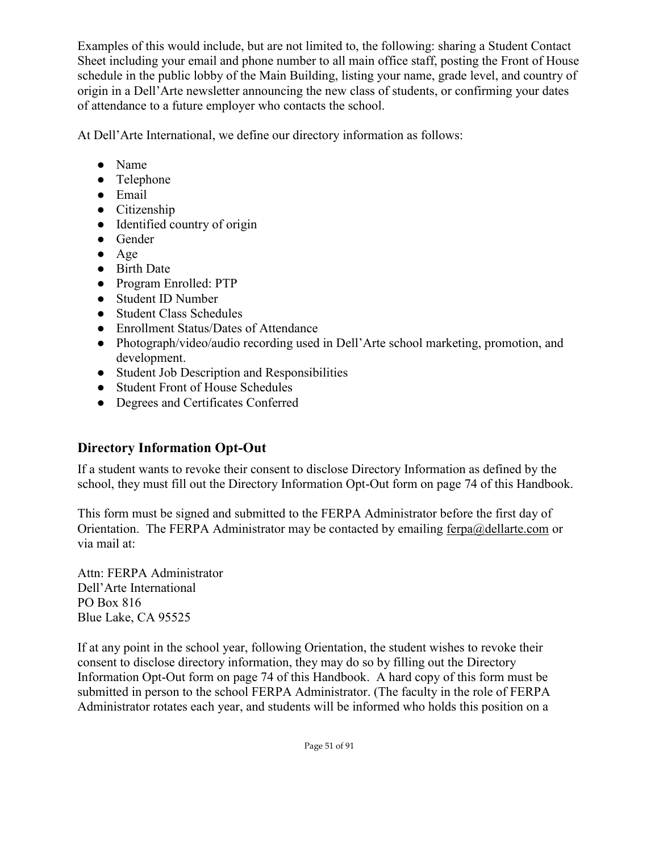Examples of this would include, but are not limited to, the following: sharing a Student Contact Sheet including your email and phone number to all main office staff, posting the Front of House schedule in the public lobby of the Main Building, listing your name, grade level, and country of origin in a Dell'Arte newsletter announcing the new class of students, or confirming your dates of attendance to a future employer who contacts the school.

At Dell'Arte International, we define our directory information as follows:

- Name
- Telephone
- Email
- Citizenship
- Identified country of origin
- Gender
- $\bullet$  Age
- Birth Date
- Program Enrolled: PTP
- Student ID Number
- Student Class Schedules
- Enrollment Status/Dates of Attendance
- Photograph/video/audio recording used in Dell'Arte school marketing, promotion, and development.
- Ɣ Student Job Description and Responsibilities
- Student Front of House Schedules
- Degrees and Certificates Conferred

## **Directory Information Opt-Out**

If a student wants to revoke their consent to disclose Directory Information as defined by the school, they must fill out the Directory Information Opt-Out form on page 74 of this Handbook.

This form must be signed and submitted to the FERPA Administrator before the first day of Orientation. The FERPA Administrator may be contacted by emailing ferpa@dellarte.com or via mail at:

Attn: FERPA Administrator Dell'Arte International PO Box 816 Blue Lake, CA 95525

If at any point in the school year, following Orientation, the student wishes to revoke their consent to disclose directory information, they may do so by filling out the Directory Information Opt-Out form on page 74 of this Handbook. A hard copy of this form must be submitted in person to the school FERPA Administrator. (The faculty in the role of FERPA Administrator rotates each year, and students will be informed who holds this position on a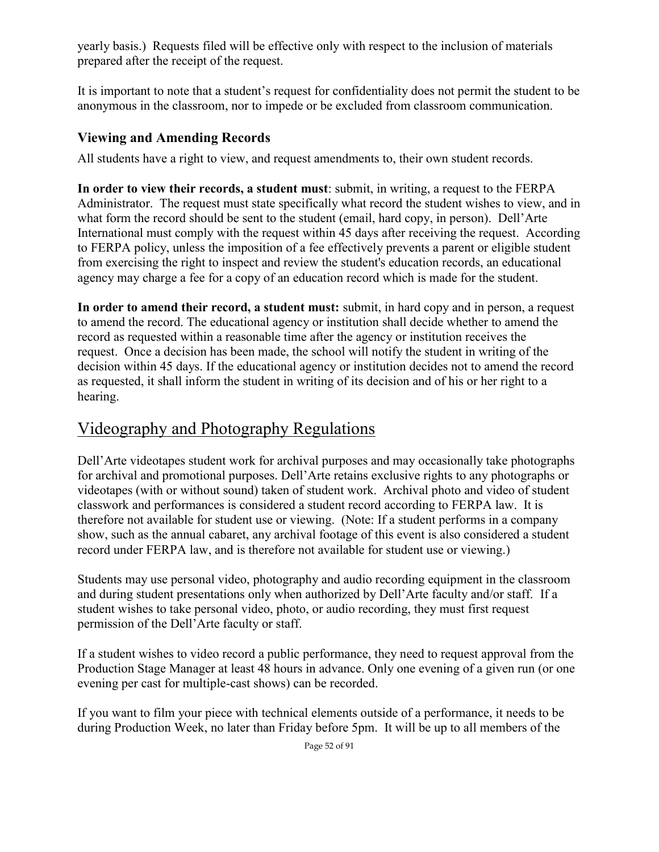yearly basis.) Requests filed will be effective only with respect to the inclusion of materials prepared after the receipt of the request.

It is important to note that a student's request for confidentiality does not permit the student to be anonymous in the classroom, nor to impede or be excluded from classroom communication.

## **Viewing and Amending Records**

All students have a right to view, and request amendments to, their own student records.

**In order to view their records, a student must**: submit, in writing, a request to the FERPA Administrator. The request must state specifically what record the student wishes to view, and in what form the record should be sent to the student (email, hard copy, in person). Dell'Arte International must comply with the request within 45 days after receiving the request. According to FERPA policy, unless the imposition of a fee effectively prevents a parent or eligible student from exercising the right to inspect and review the student's education records, an educational agency may charge a fee for a copy of an education record which is made for the student.

**In order to amend their record, a student must:** submit, in hard copy and in person, a request to amend the record. The educational agency or institution shall decide whether to amend the record as requested within a reasonable time after the agency or institution receives the request. Once a decision has been made, the school will notify the student in writing of the decision within 45 days. If the educational agency or institution decides not to amend the record as requested, it shall inform the student in writing of its decision and of his or her right to a hearing.

# Videography and Photography Regulations

Dell'Arte videotapes student work for archival purposes and may occasionally take photographs for archival and promotional purposes. Dell'Arte retains exclusive rights to any photographs or videotapes (with or without sound) taken of student work. Archival photo and video of student classwork and performances is considered a student record according to FERPA law. It is therefore not available for student use or viewing. (Note: If a student performs in a company show, such as the annual cabaret, any archival footage of this event is also considered a student record under FERPA law, and is therefore not available for student use or viewing.)

Students may use personal video, photography and audio recording equipment in the classroom and during student presentations only when authorized by Dell'Arte faculty and/or staff. If a student wishes to take personal video, photo, or audio recording, they must first request permission of the Dell'Arte faculty or staff.

If a student wishes to video record a public performance, they need to request approval from the Production Stage Manager at least 48 hours in advance. Only one evening of a given run (or one evening per cast for multiple-cast shows) can be recorded.

If you want to film your piece with technical elements outside of a performance, it needs to be during Production Week, no later than Friday before 5pm. It will be up to all members of the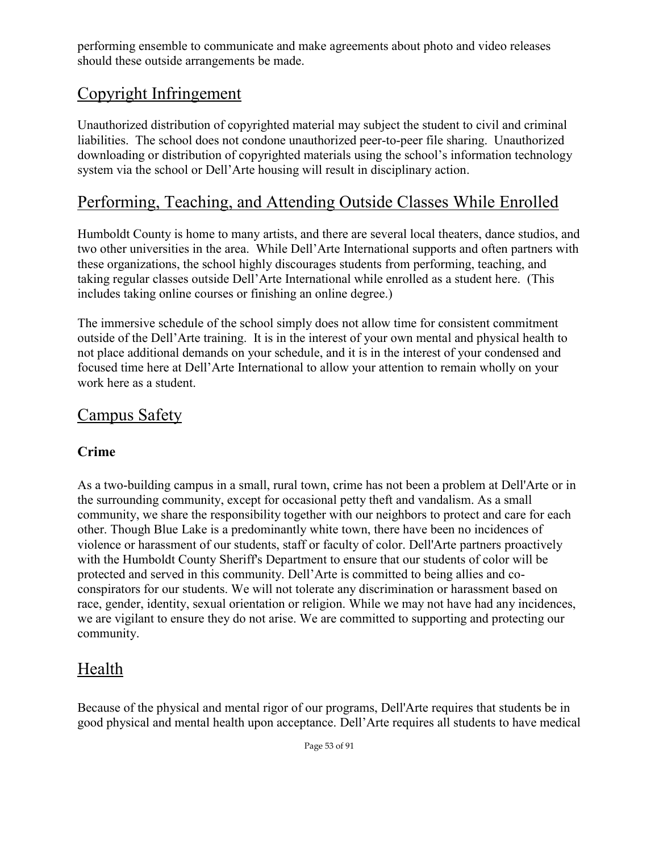performing ensemble to communicate and make agreements about photo and video releases should these outside arrangements be made.

# Copyright Infringement

Unauthorized distribution of copyrighted material may subject the student to civil and criminal liabilities. The school does not condone unauthorized peer-to-peer file sharing. Unauthorized downloading or distribution of copyrighted materials using the school's information technology system via the school or Dell'Arte housing will result in disciplinary action.

# Performing, Teaching, and Attending Outside Classes While Enrolled

Humboldt County is home to many artists, and there are several local theaters, dance studios, and two other universities in the area. While Dell'Arte International supports and often partners with these organizations, the school highly discourages students from performing, teaching, and taking regular classes outside Dell'Arte International while enrolled as a student here. (This includes taking online courses or finishing an online degree.)

The immersive schedule of the school simply does not allow time for consistent commitment outside of the Dell'Arte training. It is in the interest of your own mental and physical health to not place additional demands on your schedule, and it is in the interest of your condensed and focused time here at Dell'Arte International to allow your attention to remain wholly on your work here as a student.

# Campus Safety

## **Crime**

As a two-building campus in a small, rural town, crime has not been a problem at Dell'Arte or in the surrounding community, except for occasional petty theft and vandalism. As a small community, we share the responsibility together with our neighbors to protect and care for each other. Though Blue Lake is a predominantly white town, there have been no incidences of violence or harassment of our students, staff or faculty of color. Dell'Arte partners proactively with the Humboldt County Sheriff's Department to ensure that our students of color will be protected and served in this community. Dell'Arte is committed to being allies and coconspirators for our students. We will not tolerate any discrimination or harassment based on race, gender, identity, sexual orientation or religion. While we may not have had any incidences, we are vigilant to ensure they do not arise. We are committed to supporting and protecting our community.

# Health

Because of the physical and mental rigor of our programs, Dell'Arte requires that students be in good physical and mental health upon acceptance. Dell'Arte requires all students to have medical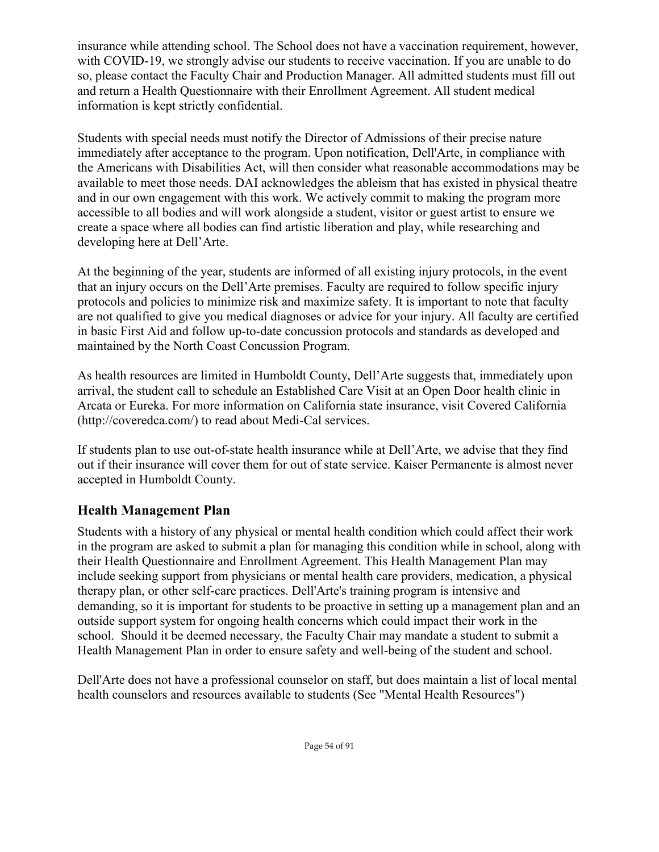insurance while attending school. The School does not have a vaccination requirement, however, with COVID-19, we strongly advise our students to receive vaccination. If you are unable to do so, please contact the Faculty Chair and Production Manager. All admitted students must fill out and return a Health Questionnaire with their Enrollment Agreement. All student medical information is kept strictly confidential.

Students with special needs must notify the Director of Admissions of their precise nature immediately after acceptance to the program. Upon notification, Dell'Arte, in compliance with the Americans with Disabilities Act, will then consider what reasonable accommodations may be available to meet those needs. DAI acknowledges the ableism that has existed in physical theatre and in our own engagement with this work. We actively commit to making the program more accessible to all bodies and will work alongside a student, visitor or guest artist to ensure we create a space where all bodies can find artistic liberation and play, while researching and developing here at Dell'Arte.

At the beginning of the year, students are informed of all existing injury protocols, in the event that an injury occurs on the Dell'Arte premises. Faculty are required to follow specific injury protocols and policies to minimize risk and maximize safety. It is important to note that faculty are not qualified to give you medical diagnoses or advice for your injury. All faculty are certified in basic First Aid and follow up-to-date concussion protocols and standards as developed and maintained by the North Coast Concussion Program.

As health resources are limited in Humboldt County, Dell'Arte suggests that, immediately upon arrival, the student call to schedule an Established Care Visit at an Open Door health clinic in Arcata or Eureka. For more information on California state insurance, visit Covered California (http://coveredca.com/) to read about Medi-Cal services.

If students plan to use out-of-state health insurance while at Dell'Arte, we advise that they find out if their insurance will cover them for out of state service. Kaiser Permanente is almost never accepted in Humboldt County.

## **Health Management Plan**

Students with a history of any physical or mental health condition which could affect their work in the program are asked to submit a plan for managing this condition while in school, along with their Health Questionnaire and Enrollment Agreement. This Health Management Plan may include seeking support from physicians or mental health care providers, medication, a physical therapy plan, or other self-care practices. Dell'Arte's training program is intensive and demanding, so it is important for students to be proactive in setting up a management plan and an outside support system for ongoing health concerns which could impact their work in the school. Should it be deemed necessary, the Faculty Chair may mandate a student to submit a Health Management Plan in order to ensure safety and well-being of the student and school.

Dell'Arte does not have a professional counselor on staff, but does maintain a list of local mental health counselors and resources available to students (See "Mental Health Resources")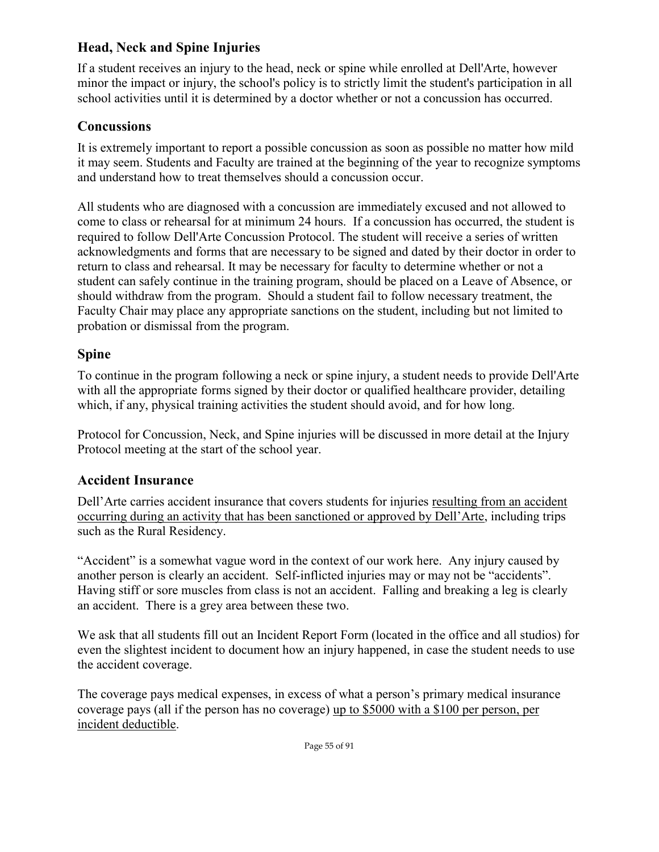## **Head, Neck and Spine Injuries**

If a student receives an injury to the head, neck or spine while enrolled at Dell'Arte, however minor the impact or injury, the school's policy is to strictly limit the student's participation in all school activities until it is determined by a doctor whether or not a concussion has occurred.

## **Concussions**

It is extremely important to report a possible concussion as soon as possible no matter how mild it may seem. Students and Faculty are trained at the beginning of the year to recognize symptoms and understand how to treat themselves should a concussion occur.

All students who are diagnosed with a concussion are immediately excused and not allowed to come to class or rehearsal for at minimum 24 hours. If a concussion has occurred, the student is required to follow Dell'Arte Concussion Protocol. The student will receive a series of written acknowledgments and forms that are necessary to be signed and dated by their doctor in order to return to class and rehearsal. It may be necessary for faculty to determine whether or not a student can safely continue in the training program, should be placed on a Leave of Absence, or should withdraw from the program. Should a student fail to follow necessary treatment, the Faculty Chair may place any appropriate sanctions on the student, including but not limited to probation or dismissal from the program.

## **Spine**

To continue in the program following a neck or spine injury, a student needs to provide Dell'Arte with all the appropriate forms signed by their doctor or qualified healthcare provider, detailing which, if any, physical training activities the student should avoid, and for how long.

Protocol for Concussion, Neck, and Spine injuries will be discussed in more detail at the Injury Protocol meeting at the start of the school year.

## **Accident Insurance**

Dell'Arte carries accident insurance that covers students for injuries resulting from an accident occurring during an activity that has been sanctioned or approved by Dell'Arte, including trips such as the Rural Residency.

"Accident" is a somewhat vague word in the context of our work here. Any injury caused by another person is clearly an accident. Self-inflicted injuries may or may not be "accidents". Having stiff or sore muscles from class is not an accident. Falling and breaking a leg is clearly an accident. There is a grey area between these two.

We ask that all students fill out an Incident Report Form (located in the office and all studios) for even the slightest incident to document how an injury happened, in case the student needs to use the accident coverage.

The coverage pays medical expenses, in excess of what a person's primary medical insurance coverage pays (all if the person has no coverage) up to \$5000 with a \$100 per person, per incident deductible.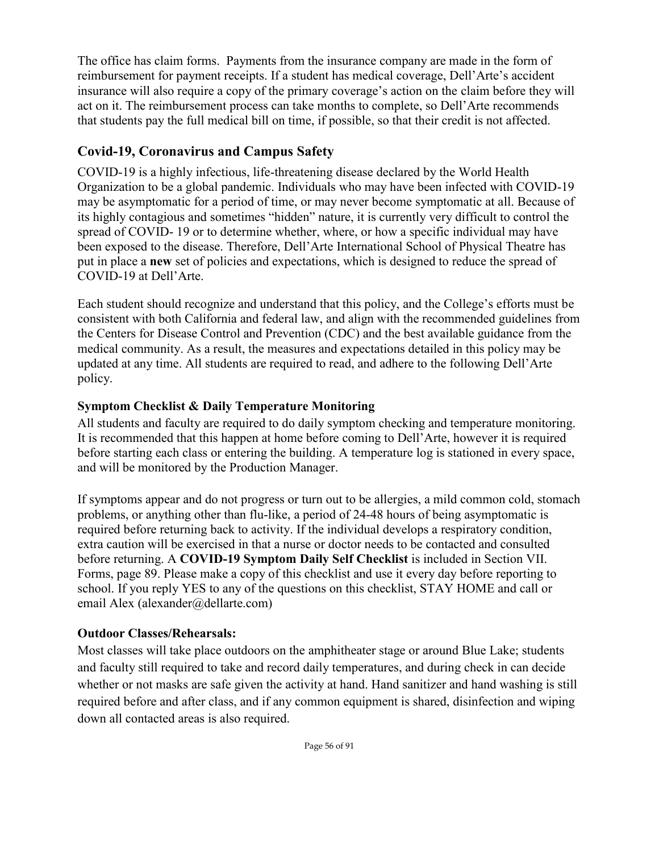The office has claim forms. Payments from the insurance company are made in the form of reimbursement for payment receipts. If a student has medical coverage, Dell'Arte's accident insurance will also require a copy of the primary coverage's action on the claim before they will act on it. The reimbursement process can take months to complete, so Dell'Arte recommends that students pay the full medical bill on time, if possible, so that their credit is not affected.

## **Covid-19, Coronavirus and Campus Safety**

COVID-19 is a highly infectious, life-threatening disease declared by the World Health Organization to be a global pandemic. Individuals who may have been infected with COVID-19 may be asymptomatic for a period of time, or may never become symptomatic at all. Because of its highly contagious and sometimes "hidden" nature, it is currently very difficult to control the spread of COVID- 19 or to determine whether, where, or how a specific individual may have been exposed to the disease. Therefore, Dell'Arte International School of Physical Theatre has put in place a **new** set of policies and expectations, which is designed to reduce the spread of COVID-19 at Dell'Arte.

Each student should recognize and understand that this policy, and the College's efforts must be consistent with both California and federal law, and align with the recommended guidelines from the Centers for Disease Control and Prevention (CDC) and the best available guidance from the medical community. As a result, the measures and expectations detailed in this policy may be updated at any time. All students are required to read, and adhere to the following Dell'Arte policy.

## **Symptom Checklist & Daily Temperature Monitoring**

All students and faculty are required to do daily symptom checking and temperature monitoring. It is recommended that this happen at home before coming to Dell'Arte, however it is required before starting each class or entering the building. A temperature log is stationed in every space, and will be monitored by the Production Manager.

If symptoms appear and do not progress or turn out to be allergies, a mild common cold, stomach problems, or anything other than flu-like, a period of 24-48 hours of being asymptomatic is required before returning back to activity. If the individual develops a respiratory condition, extra caution will be exercised in that a nurse or doctor needs to be contacted and consulted before returning. A **COVID-19 Symptom Daily Self Checklist** is included in Section VII. Forms, page 89. Please make a copy of this checklist and use it every day before reporting to school. If you reply YES to any of the questions on this checklist, STAY HOME and call or email Alex (alexander@dellarte.com)

## **Outdoor Classes/Rehearsals:**

Most classes will take place outdoors on the amphitheater stage or around Blue Lake; students and faculty still required to take and record daily temperatures, and during check in can decide whether or not masks are safe given the activity at hand. Hand sanitizer and hand washing is still required before and after class, and if any common equipment is shared, disinfection and wiping down all contacted areas is also required.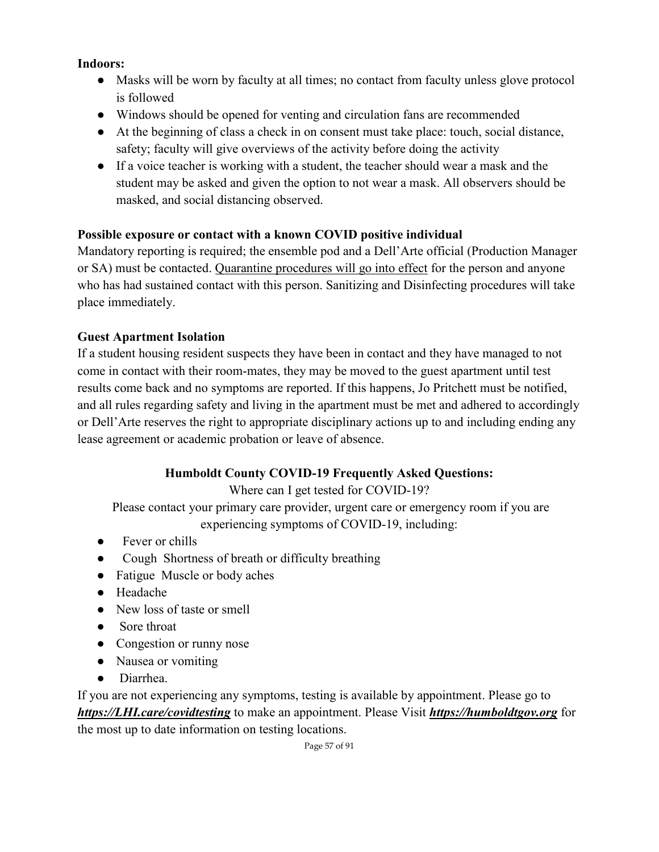#### **Indoors:**

- Masks will be worn by faculty at all times; no contact from faculty unless glove protocol is followed
- Windows should be opened for venting and circulation fans are recommended
- Ɣ At the beginning of class a check in on consent must take place: touch, social distance, safety; faculty will give overviews of the activity before doing the activity
- If a voice teacher is working with a student, the teacher should wear a mask and the student may be asked and given the option to not wear a mask. All observers should be masked, and social distancing observed.

#### **Possible exposure or contact with a known COVID positive individual**

Mandatory reporting is required; the ensemble pod and a Dell'Arte official (Production Manager or SA) must be contacted. Quarantine procedures will go into effect for the person and anyone who has had sustained contact with this person. Sanitizing and Disinfecting procedures will take place immediately.

#### **Guest Apartment Isolation**

If a student housing resident suspects they have been in contact and they have managed to not come in contact with their room-mates, they may be moved to the guest apartment until test results come back and no symptoms are reported. If this happens, Jo Pritchett must be notified, and all rules regarding safety and living in the apartment must be met and adhered to accordingly or Dell'Arte reserves the right to appropriate disciplinary actions up to and including ending any lease agreement or academic probation or leave of absence.

### **Humboldt County COVID-19 Frequently Asked Questions:**

Where can I get tested for COVID-19?

 Please contact your primary care provider, urgent care or emergency room if you are experiencing symptoms of COVID-19, including:

- Fever or chills
- Cough Shortness of breath or difficulty breathing
- Fatigue Muscle or body aches
- Headache
- New loss of taste or smell
- Sore throat
- Congestion or runny nose
- Nausea or vomiting
- Diarrhea.

If you are not experiencing any symptoms, testing is available by appointment. Please go to *https://LHI.care/covidtesting* to make an appointment. Please Visit *https://humboldtgov.org* for the most up to date information on testing locations.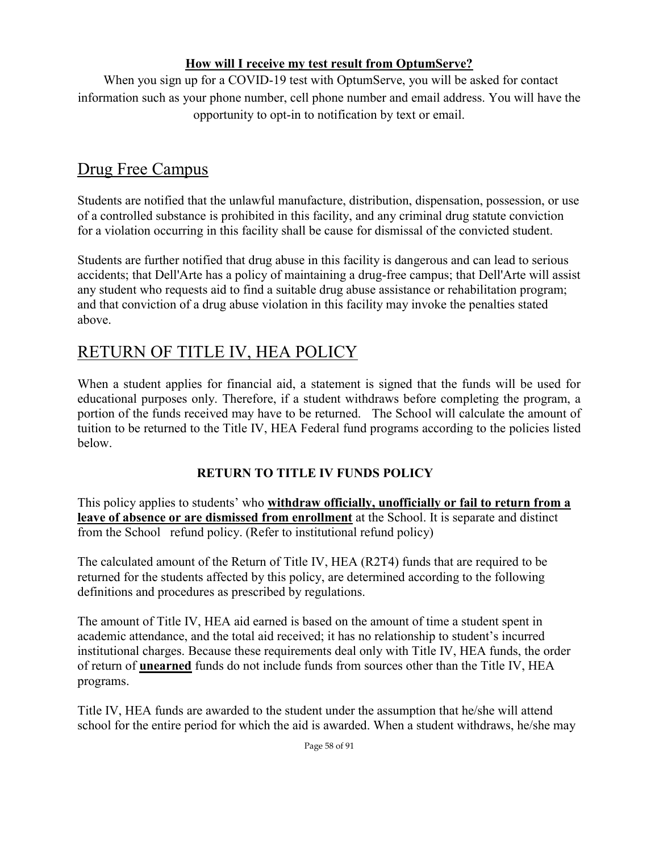### **How will I receive my test result from OptumServe?**

 When you sign up for a COVID-19 test with OptumServe, you will be asked for contact information such as your phone number, cell phone number and email address. You will have the opportunity to opt-in to notification by text or email.

# Drug Free Campus

Students are notified that the unlawful manufacture, distribution, dispensation, possession, or use of a controlled substance is prohibited in this facility, and any criminal drug statute conviction for a violation occurring in this facility shall be cause for dismissal of the convicted student.

Students are further notified that drug abuse in this facility is dangerous and can lead to serious accidents; that Dell'Arte has a policy of maintaining a drug-free campus; that Dell'Arte will assist any student who requests aid to find a suitable drug abuse assistance or rehabilitation program; and that conviction of a drug abuse violation in this facility may invoke the penalties stated above.

# RETURN OF TITLE IV, HEA POLICY

When a student applies for financial aid, a statement is signed that the funds will be used for educational purposes only. Therefore, if a student withdraws before completing the program, a portion of the funds received may have to be returned. The School will calculate the amount of tuition to be returned to the Title IV, HEA Federal fund programs according to the policies listed below.

### **RETURN TO TITLE IV FUNDS POLICY**

This policy applies to students' who **withdraw officially, unofficially or fail to return from a leave of absence or are dismissed from enrollment** at the School. It is separate and distinct from the School refund policy. (Refer to institutional refund policy)

The calculated amount of the Return of Title IV, HEA (R2T4) funds that are required to be returned for the students affected by this policy, are determined according to the following definitions and procedures as prescribed by regulations.

The amount of Title IV, HEA aid earned is based on the amount of time a student spent in academic attendance, and the total aid received; it has no relationship to student's incurred institutional charges. Because these requirements deal only with Title IV, HEA funds, the order of return of **unearned** funds do not include funds from sources other than the Title IV, HEA programs.

Title IV, HEA funds are awarded to the student under the assumption that he/she will attend school for the entire period for which the aid is awarded. When a student withdraws, he/she may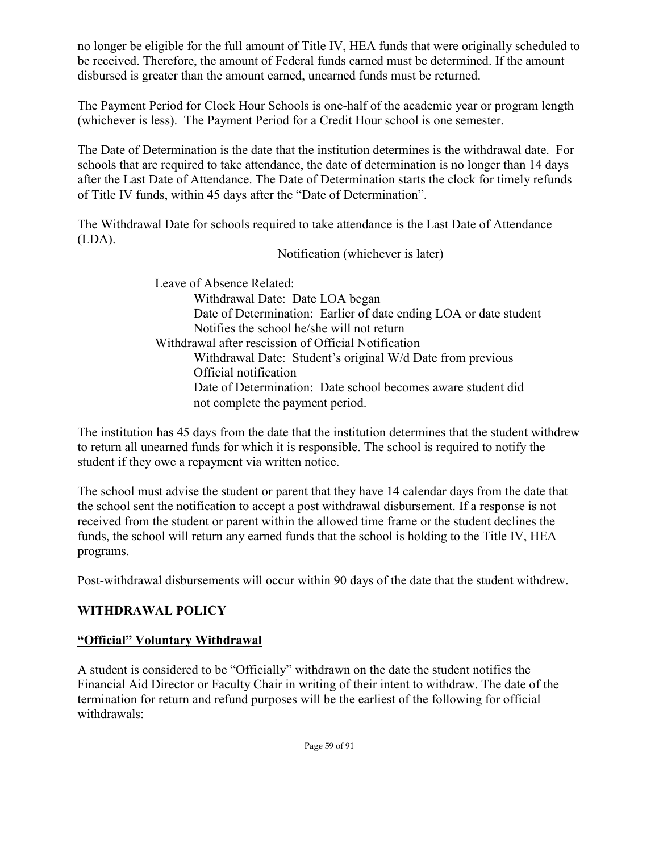no longer be eligible for the full amount of Title IV, HEA funds that were originally scheduled to be received. Therefore, the amount of Federal funds earned must be determined. If the amount disbursed is greater than the amount earned, unearned funds must be returned.

The Payment Period for Clock Hour Schools is one-half of the academic year or program length (whichever is less). The Payment Period for a Credit Hour school is one semester.

The Date of Determination is the date that the institution determines is the withdrawal date. For schools that are required to take attendance, the date of determination is no longer than 14 days after the Last Date of Attendance. The Date of Determination starts the clock for timely refunds of Title IV funds, within 45 days after the "Date of Determination".

The Withdrawal Date for schools required to take attendance is the Last Date of Attendance (LDA).

Notification (whichever is later)

 Leave of Absence Related: Withdrawal Date: Date LOA began Date of Determination: Earlier of date ending LOA or date student Notifies the school he/she will not return Withdrawal after rescission of Official Notification Withdrawal Date: Student's original W/d Date from previous Official notification Date of Determination: Date school becomes aware student did not complete the payment period.

The institution has 45 days from the date that the institution determines that the student withdrew to return all unearned funds for which it is responsible. The school is required to notify the student if they owe a repayment via written notice.

The school must advise the student or parent that they have 14 calendar days from the date that the school sent the notification to accept a post withdrawal disbursement. If a response is not received from the student or parent within the allowed time frame or the student declines the funds, the school will return any earned funds that the school is holding to the Title IV, HEA programs.

Post-withdrawal disbursements will occur within 90 days of the date that the student withdrew.

### **WITHDRAWAL POLICY**

### "Official" Voluntary Withdrawal

A student is considered to be "Officially" withdrawn on the date the student notifies the Financial Aid Director or Faculty Chair in writing of their intent to withdraw. The date of the termination for return and refund purposes will be the earliest of the following for official withdrawals: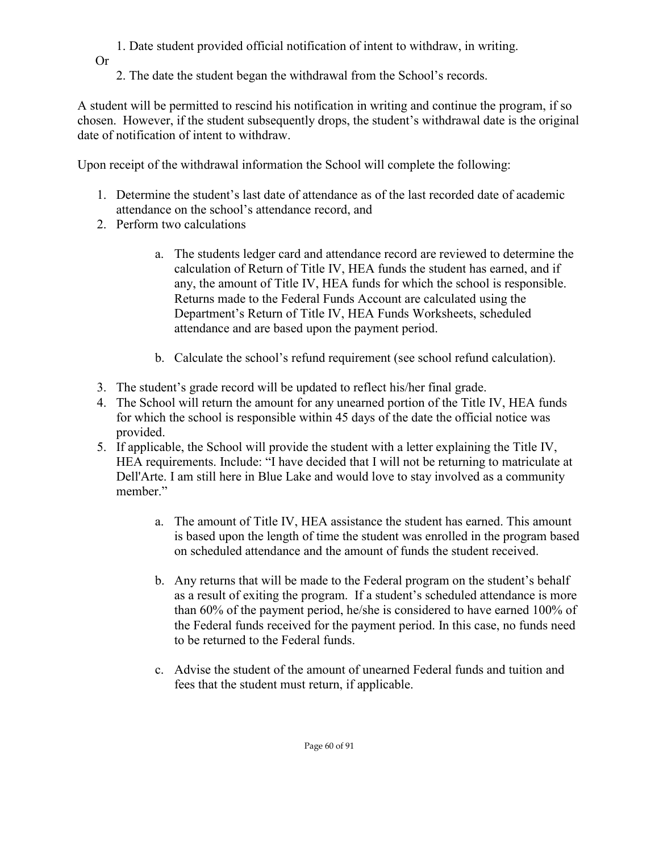1. Date student provided official notification of intent to withdraw, in writing.

Or

2. The date the student began the withdrawal from the School's records.

A student will be permitted to rescind his notification in writing and continue the program, if so chosen. However, if the student subsequently drops, the student's withdrawal date is the original date of notification of intent to withdraw.

Upon receipt of the withdrawal information the School will complete the following:

- 1. Determine the student's last date of attendance as of the last recorded date of academic attendance on the school's attendance record, and
- 2. Perform two calculations
	- a. The students ledger card and attendance record are reviewed to determine the calculation of Return of Title IV, HEA funds the student has earned, and if any, the amount of Title IV, HEA funds for which the school is responsible. Returns made to the Federal Funds Account are calculated using the Department's Return of Title IV, HEA Funds Worksheets, scheduled attendance and are based upon the payment period.
	- b. Calculate the school's refund requirement (see school refund calculation).
- 3. The student's grade record will be updated to reflect his/her final grade.
- 4. The School will return the amount for any unearned portion of the Title IV, HEA funds for which the school is responsible within 45 days of the date the official notice was provided.
- 5. If applicable, the School will provide the student with a letter explaining the Title IV, HEA requirements. Include: "I have decided that I will not be returning to matriculate at Dell'Arte. I am still here in Blue Lake and would love to stay involved as a community member."
	- a. The amount of Title IV, HEA assistance the student has earned. This amount is based upon the length of time the student was enrolled in the program based on scheduled attendance and the amount of funds the student received.
	- b. Any returns that will be made to the Federal program on the student's behalf as a result of exiting the program. If a student's scheduled attendance is more than 60% of the payment period, he/she is considered to have earned 100% of the Federal funds received for the payment period. In this case, no funds need to be returned to the Federal funds.
	- c. Advise the student of the amount of unearned Federal funds and tuition and fees that the student must return, if applicable.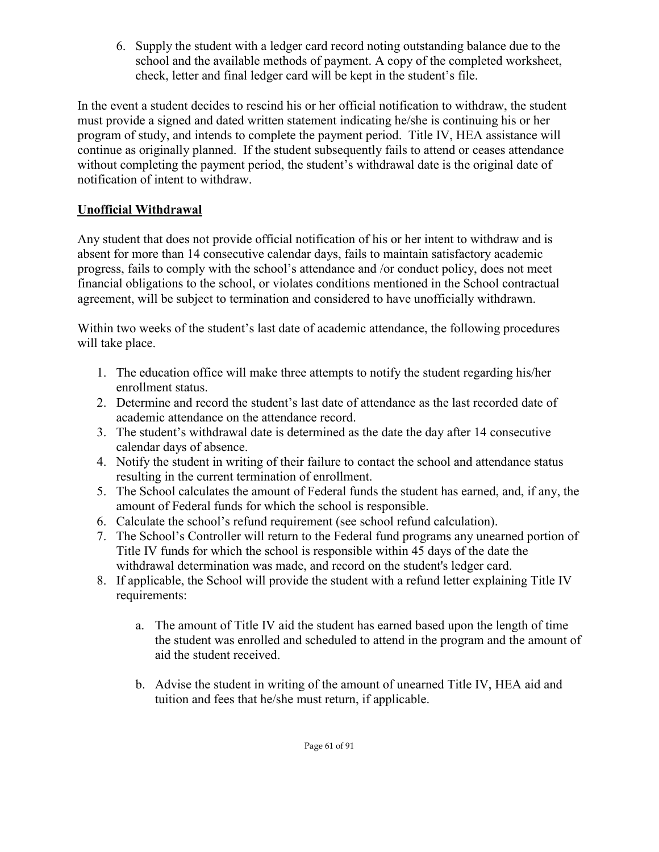6. Supply the student with a ledger card record noting outstanding balance due to the school and the available methods of payment. A copy of the completed worksheet, check, letter and final ledger card will be kept in the student's file.

In the event a student decides to rescind his or her official notification to withdraw, the student must provide a signed and dated written statement indicating he/she is continuing his or her program of study, and intends to complete the payment period. Title IV, HEA assistance will continue as originally planned. If the student subsequently fails to attend or ceases attendance without completing the payment period, the student's withdrawal date is the original date of notification of intent to withdraw.

## **Unofficial Withdrawal**

Any student that does not provide official notification of his or her intent to withdraw and is absent for more than 14 consecutive calendar days, fails to maintain satisfactory academic progress, fails to comply with the school's attendance and /or conduct policy, does not meet financial obligations to the school, or violates conditions mentioned in the School contractual agreement, will be subject to termination and considered to have unofficially withdrawn.

Within two weeks of the student's last date of academic attendance, the following procedures will take place.

- 1. The education office will make three attempts to notify the student regarding his/her enrollment status.
- 2. Determine and record the student's last date of attendance as the last recorded date of academic attendance on the attendance record.
- 3. The student's withdrawal date is determined as the date the day after 14 consecutive calendar days of absence.
- 4. Notify the student in writing of their failure to contact the school and attendance status resulting in the current termination of enrollment.
- 5. The School calculates the amount of Federal funds the student has earned, and, if any, the amount of Federal funds for which the school is responsible.
- 6. Calculate the school's refund requirement (see school refund calculation).
- 7. The School's Controller will return to the Federal fund programs any unearned portion of Title IV funds for which the school is responsible within 45 days of the date the withdrawal determination was made, and record on the student's ledger card.
- 8. If applicable, the School will provide the student with a refund letter explaining Title IV requirements:
	- a. The amount of Title IV aid the student has earned based upon the length of time the student was enrolled and scheduled to attend in the program and the amount of aid the student received.
	- b. Advise the student in writing of the amount of unearned Title IV, HEA aid and tuition and fees that he/she must return, if applicable.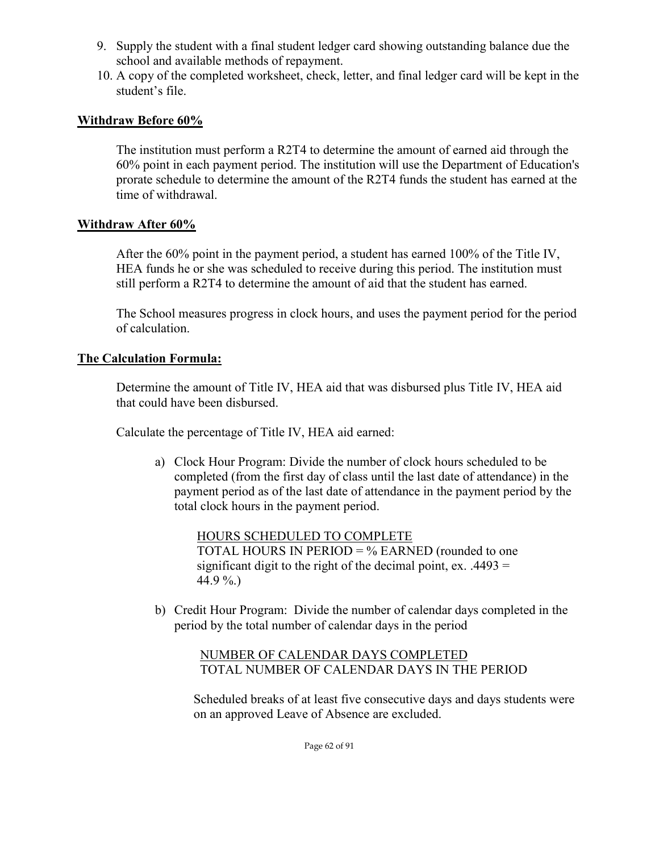- 9. Supply the student with a final student ledger card showing outstanding balance due the school and available methods of repayment.
- 10. A copy of the completed worksheet, check, letter, and final ledger card will be kept in the student's file.

#### **Withdraw Before 60%**

The institution must perform a R2T4 to determine the amount of earned aid through the 60% point in each payment period. The institution will use the Department of Education's prorate schedule to determine the amount of the R2T4 funds the student has earned at the time of withdrawal.

#### **Withdraw After 60%**

After the 60% point in the payment period, a student has earned 100% of the Title IV, HEA funds he or she was scheduled to receive during this period. The institution must still perform a R2T4 to determine the amount of aid that the student has earned.

The School measures progress in clock hours, and uses the payment period for the period of calculation.

### **The Calculation Formula:**

Determine the amount of Title IV, HEA aid that was disbursed plus Title IV, HEA aid that could have been disbursed.

Calculate the percentage of Title IV, HEA aid earned:

a) Clock Hour Program: Divide the number of clock hours scheduled to be completed (from the first day of class until the last date of attendance) in the payment period as of the last date of attendance in the payment period by the total clock hours in the payment period.

> HOURS SCHEDULED TO COMPLETE TOTAL HOURS IN PERIOD =  $%$  EARNED (rounded to one) significant digit to the right of the decimal point, ex.  $.4493 =$ 44.9 %.)

b) Credit Hour Program: Divide the number of calendar days completed in the period by the total number of calendar days in the period

#### NUMBER OF CALENDAR DAYS COMPLETED TOTAL NUMBER OF CALENDAR DAYS IN THE PERIOD

Scheduled breaks of at least five consecutive days and days students were on an approved Leave of Absence are excluded.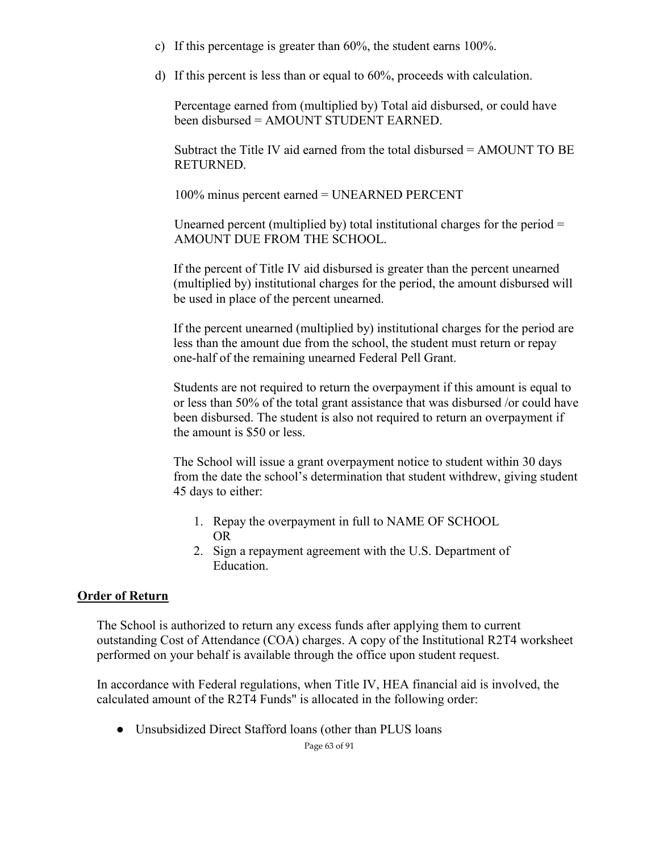- c) If this percentage is greater than 60%, the student earns 100%.
- d) If this percent is less than or equal to 60%, proceeds with calculation.

Percentage earned from (multiplied by) Total aid disbursed, or could have been disbursed = AMOUNT STUDENT EARNED.

Subtract the Title IV aid earned from the total disbursed = AMOUNT TO BE RETURNED.

100% minus percent earned = UNEARNED PERCENT

Unearned percent (multiplied by) total institutional charges for the period  $=$ AMOUNT DUE FROM THE SCHOOL.

If the percent of Title IV aid disbursed is greater than the percent unearned (multiplied by) institutional charges for the period, the amount disbursed will be used in place of the percent unearned.

If the percent unearned (multiplied by) institutional charges for the period are less than the amount due from the school, the student must return or repay one-half of the remaining unearned Federal Pell Grant.

Students are not required to return the overpayment if this amount is equal to or less than 50% of the total grant assistance that was disbursed /or could have been disbursed. The student is also not required to return an overpayment if the amount is \$50 or less.

The School will issue a grant overpayment notice to student within 30 days from the date the school's determination that student withdrew, giving student 45 days to either:

- 1. Repay the overpayment in full to NAME OF SCHOOL OR
- 2. Sign a repayment agreement with the U.S. Department of Education.

#### **Order of Return**

The School is authorized to return any excess funds after applying them to current outstanding Cost of Attendance (COA) charges. A copy of the Institutional R2T4 worksheet performed on your behalf is available through the office upon student request.

In accordance with Federal regulations, when Title IV, HEA financial aid is involved, the calculated amount of the R2T4 Funds" is allocated in the following order:

• Unsubsidized Direct Stafford loans (other than PLUS loans

Page 63 of 91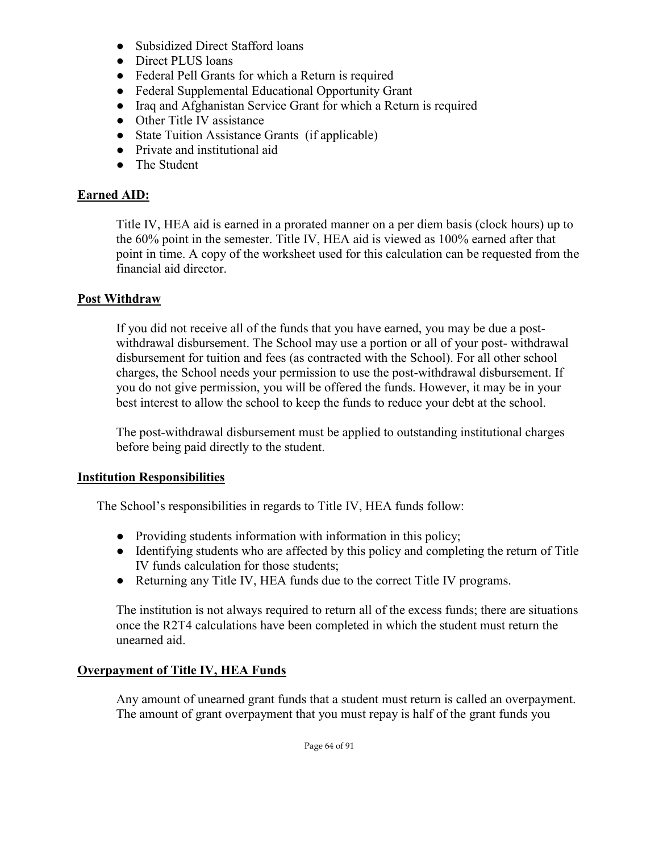- Subsidized Direct Stafford loans
- Direct PLUS loans
- Ɣ Federal Pell Grants for which a Return is required
- Federal Supplemental Educational Opportunity Grant
- Iraq and Afghanistan Service Grant for which a Return is required
- Other Title IV assistance
- State Tuition Assistance Grants (if applicable)
- Private and institutional aid
- The Student

### **Earned AID:**

Title IV, HEA aid is earned in a prorated manner on a per diem basis (clock hours) up to the 60% point in the semester. Title IV, HEA aid is viewed as 100% earned after that point in time. A copy of the worksheet used for this calculation can be requested from the financial aid director.

### **Post Withdraw**

If you did not receive all of the funds that you have earned, you may be due a postwithdrawal disbursement. The School may use a portion or all of your post- withdrawal disbursement for tuition and fees (as contracted with the School). For all other school charges, the School needs your permission to use the post-withdrawal disbursement. If you do not give permission, you will be offered the funds. However, it may be in your best interest to allow the school to keep the funds to reduce your debt at the school.

The post-withdrawal disbursement must be applied to outstanding institutional charges before being paid directly to the student.

### **Institution Responsibilities**

The School's responsibilities in regards to Title IV, HEA funds follow:

- Providing students information with information in this policy;
- Identifying students who are affected by this policy and completing the return of Title IV funds calculation for those students;
- Returning any Title IV, HEA funds due to the correct Title IV programs.

The institution is not always required to return all of the excess funds; there are situations once the R2T4 calculations have been completed in which the student must return the unearned aid.

## **Overpayment of Title IV, HEA Funds**

Any amount of unearned grant funds that a student must return is called an overpayment. The amount of grant overpayment that you must repay is half of the grant funds you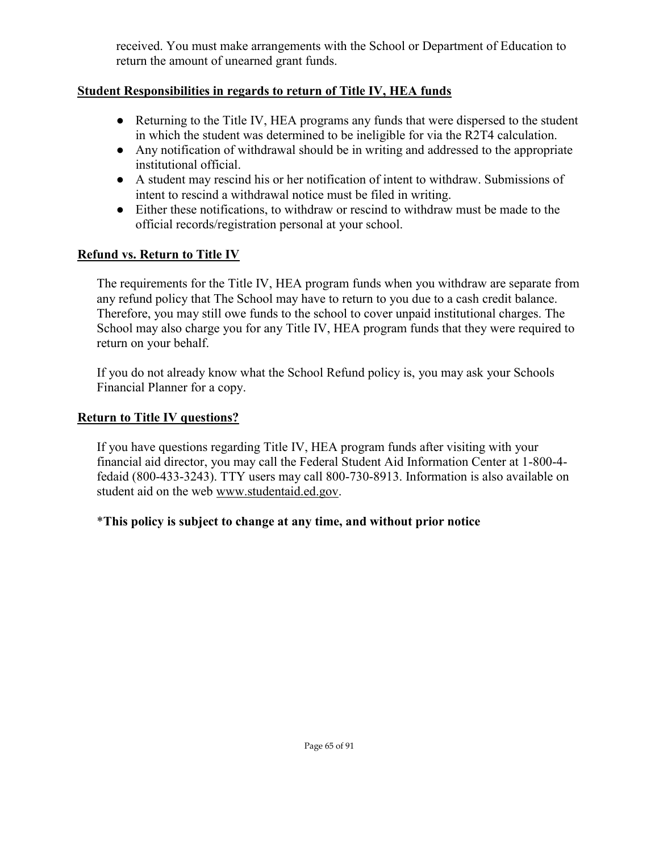received. You must make arrangements with the School or Department of Education to return the amount of unearned grant funds.

### **Student Responsibilities in regards to return of Title IV, HEA funds**

- Returning to the Title IV, HEA programs any funds that were dispersed to the student in which the student was determined to be ineligible for via the R2T4 calculation.
- Any notification of withdrawal should be in writing and addressed to the appropriate institutional official.
- Ɣ A student may rescind his or her notification of intent to withdraw. Submissions of intent to rescind a withdrawal notice must be filed in writing.
- Either these notifications, to withdraw or rescind to withdraw must be made to the official records/registration personal at your school.

### **Refund vs. Return to Title IV**

The requirements for the Title IV, HEA program funds when you withdraw are separate from any refund policy that The School may have to return to you due to a cash credit balance. Therefore, you may still owe funds to the school to cover unpaid institutional charges. The School may also charge you for any Title IV, HEA program funds that they were required to return on your behalf.

If you do not already know what the School Refund policy is, you may ask your Schools Financial Planner for a copy.

### **Return to Title IV questions?**

If you have questions regarding Title IV, HEA program funds after visiting with your financial aid director, you may call the Federal Student Aid Information Center at 1-800-4 fedaid (800-433-3243). TTY users may call 800-730-8913. Information is also available on student aid on the web www.studentaid.ed.gov.

### \***This policy is subject to change at any time, and without prior notice**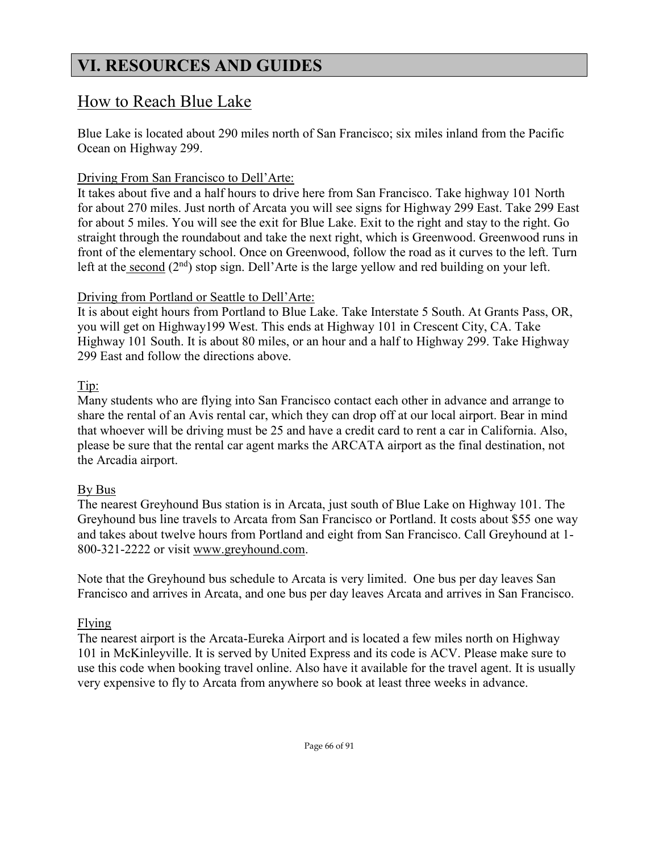# **VI. RESOURCES AND GUIDES**

# How to Reach Blue Lake

Blue Lake is located about 290 miles north of San Francisco; six miles inland from the Pacific Ocean on Highway 299.

### Driving From San Francisco to Dell'Arte:

It takes about five and a half hours to drive here from San Francisco. Take highway 101 North for about 270 miles. Just north of Arcata you will see signs for Highway 299 East. Take 299 East for about 5 miles. You will see the exit for Blue Lake. Exit to the right and stay to the right. Go straight through the roundabout and take the next right, which is Greenwood. Greenwood runs in front of the elementary school. Once on Greenwood, follow the road as it curves to the left. Turn left at the second  $(2^{nd})$  stop sign. Dell'Arte is the large yellow and red building on your left.

### Driving from Portland or Seattle to Dell'Arte:

It is about eight hours from Portland to Blue Lake. Take Interstate 5 South. At Grants Pass, OR, you will get on Highway199 West. This ends at Highway 101 in Crescent City, CA. Take Highway 101 South. It is about 80 miles, or an hour and a half to Highway 299. Take Highway 299 East and follow the directions above.

### Tip:

Many students who are flying into San Francisco contact each other in advance and arrange to share the rental of an Avis rental car, which they can drop off at our local airport. Bear in mind that whoever will be driving must be 25 and have a credit card to rent a car in California. Also, please be sure that the rental car agent marks the ARCATA airport as the final destination, not the Arcadia airport.

### By Bus

The nearest Greyhound Bus station is in Arcata, just south of Blue Lake on Highway 101. The Greyhound bus line travels to Arcata from San Francisco or Portland. It costs about \$55 one way and takes about twelve hours from Portland and eight from San Francisco. Call Greyhound at 1- 800-321-2222 or visit www.greyhound.com.

Note that the Greyhound bus schedule to Arcata is very limited. One bus per day leaves San Francisco and arrives in Arcata, and one bus per day leaves Arcata and arrives in San Francisco.

## Flying

The nearest airport is the Arcata-Eureka Airport and is located a few miles north on Highway 101 in McKinleyville. It is served by United Express and its code is ACV. Please make sure to use this code when booking travel online. Also have it available for the travel agent. It is usually very expensive to fly to Arcata from anywhere so book at least three weeks in advance.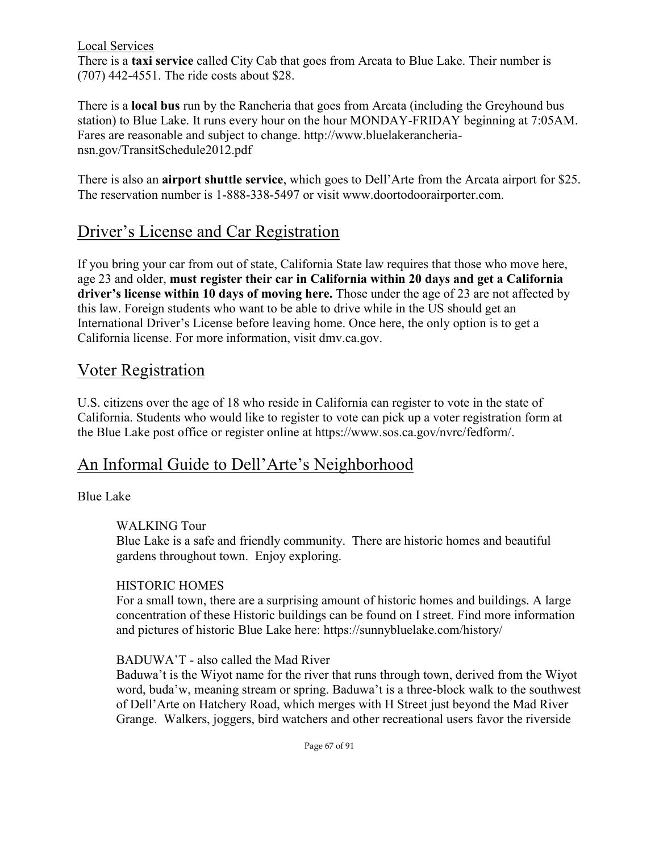Local Services

There is a **taxi service** called City Cab that goes from Arcata to Blue Lake. Their number is (707) 442-4551. The ride costs about \$28.

There is a **local bus** run by the Rancheria that goes from Arcata (including the Greyhound bus station) to Blue Lake. It runs every hour on the hour MONDAY-FRIDAY beginning at 7:05AM. Fares are reasonable and subject to change. http://www.bluelakerancheriansn.gov/TransitSchedule2012.pdf

There is also an **airport shuttle service**, which goes to Dell'Arte from the Arcata airport for \$25. The reservation number is 1-888-338-5497 or visit www.doortodoorairporter.com.

# Driver's License and Car Registration

If you bring your car from out of state, California State law requires that those who move here, age 23 and older, **must register their car in California within 20 days and get a California driver's license within 10 days of moving here.** Those under the age of 23 are not affected by this law. Foreign students who want to be able to drive while in the US should get an International Driver's License before leaving home. Once here, the only option is to get a California license. For more information, visit dmv.ca.gov.

## Voter Registration

U.S. citizens over the age of 18 who reside in California can register to vote in the state of California. Students who would like to register to vote can pick up a voter registration form at the Blue Lake post office or register online at https://www.sos.ca.gov/nvrc/fedform/.

## An Informal Guide to Dell'Arte's Neighborhood

Blue Lake

### WALKING Tour

Blue Lake is a safe and friendly community. There are historic homes and beautiful gardens throughout town. Enjoy exploring.

### HISTORIC HOMES

For a small town, there are a surprising amount of historic homes and buildings. A large concentration of these Historic buildings can be found on I street. Find more information and pictures of historic Blue Lake here: https://sunnybluelake.com/history/

### BADUWA'T - also called the Mad River

Baduwa't is the Wiyot name for the river that runs through town, derived from the Wiyot word, buda'w, meaning stream or spring. Baduwa't is a three-block walk to the southwest of Dell'Arte on Hatchery Road, which merges with H Street just beyond the Mad River Grange. Walkers, joggers, bird watchers and other recreational users favor the riverside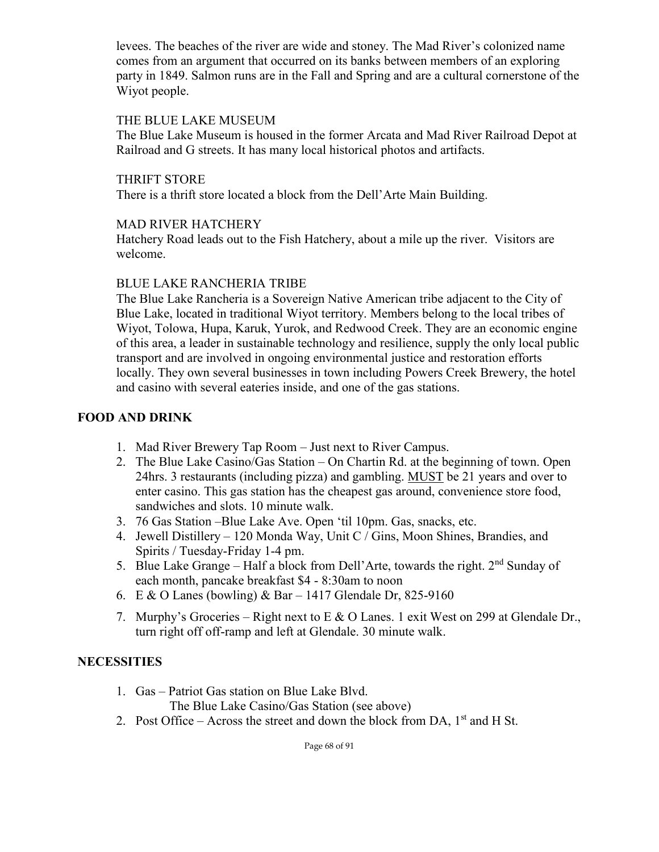levees. The beaches of the river are wide and stoney. The Mad River's colonized name comes from an argument that occurred on its banks between members of an exploring party in 1849. Salmon runs are in the Fall and Spring and are a cultural cornerstone of the Wiyot people.

#### THE BLUE LAKE MUSEUM

The Blue Lake Museum is housed in the former Arcata and Mad River Railroad Depot at Railroad and G streets. It has many local historical photos and artifacts.

THRIFT STORE There is a thrift store located a block from the Dell'Arte Main Building.

#### MAD RIVER HATCHERY

Hatchery Road leads out to the Fish Hatchery, about a mile up the river. Visitors are welcome.

#### BLUE LAKE RANCHERIA TRIBE

The Blue Lake Rancheria is a Sovereign Native American tribe adjacent to the City of Blue Lake, located in traditional Wiyot territory. Members belong to the local tribes of Wiyot, Tolowa, Hupa, Karuk, Yurok, and Redwood Creek. They are an economic engine of this area, a leader in sustainable technology and resilience, supply the only local public transport and are involved in ongoing environmental justice and restoration efforts locally. They own several businesses in town including Powers Creek Brewery, the hotel and casino with several eateries inside, and one of the gas stations.

#### **FOOD AND DRINK**

- 1. Mad River Brewery Tap Room Just next to River Campus.
- 2. The Blue Lake Casino/Gas Station  $-$  On Chartin Rd. at the beginning of town. Open 24hrs. 3 restaurants (including pizza) and gambling. MUST be 21 years and over to enter casino. This gas station has the cheapest gas around, convenience store food, sandwiches and slots. 10 minute walk.
- 3. 76 Gas Station Blue Lake Ave. Open 'til 10pm. Gas, snacks, etc.
- 4. Jewell Distillery  $-120$  Monda Way, Unit C / Gins, Moon Shines, Brandies, and Spirits / Tuesday-Friday 1-4 pm.
- 5. Blue Lake Grange Half a block from Dell'Arte, towards the right.  $2^{nd}$  Sunday of each month, pancake breakfast \$4 - 8:30am to noon
- 6. E & O Lanes (bowling) & Bar 1417 Glendale Dr, 825-9160
- 7. Murphy's Groceries Right next to E & O Lanes. 1 exit West on 299 at Glendale Dr., turn right off off-ramp and left at Glendale. 30 minute walk.

#### **NECESSITIES**

1. Gas – Patriot Gas station on Blue Lake Blvd.

The Blue Lake Casino/Gas Station (see above)

2. Post Office – Across the street and down the block from DA,  $1<sup>st</sup>$  and H St.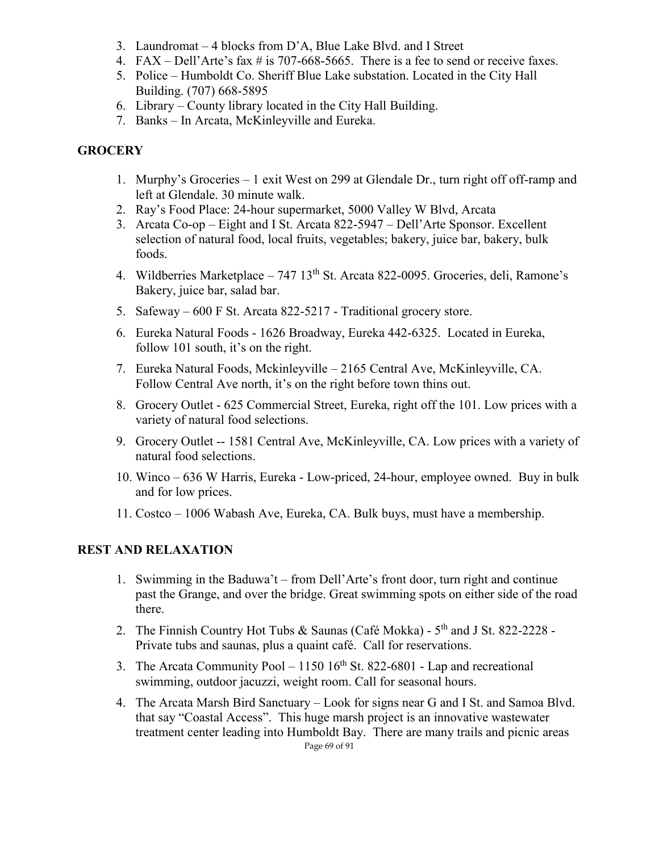- 3. Laundromat  $-4$  blocks from D'A, Blue Lake Blvd. and I Street
- 4. FAX Dell'Arte's fax # is 707-668-5665. There is a fee to send or receive faxes.
- 5. Police Humboldt Co. Sheriff Blue Lake substation. Located in the City Hall Building. (707) 668-5895
- 6. Library  $-$  County library located in the City Hall Building.
- 7. Banks In Arcata, McKinleyville and Eureka.

#### **GROCERY**

- 1. Murphy's Groceries  $-1$  exit West on 299 at Glendale Dr., turn right off off-ramp and left at Glendale. 30 minute walk.
- 2. Ray's Food Place: 24-hour supermarket, 5000 Valley W Blvd, Arcata
- 3. Arcata Co-op  $-$  Eight and I St. Arcata 822-5947  $-$  Dell'Arte Sponsor. Excellent selection of natural food, local fruits, vegetables; bakery, juice bar, bakery, bulk foods.
- 4. Wildberries Marketplace  $-747$   $13<sup>th</sup>$  St. Arcata 822-0095. Groceries, deli, Ramone's Bakery, juice bar, salad bar.
- 5. Safeway  $-600$  F St. Arcata 822-5217 Traditional grocery store.
- 6. Eureka Natural Foods 1626 Broadway, Eureka 442-6325. Located in Eureka, follow 101 south, it's on the right.
- 7. Eureka Natural Foods, Mckinleyville 2165 Central Ave, McKinleyville, CA. Follow Central Ave north, it's on the right before town thins out.
- 8. Grocery Outlet 625 Commercial Street, Eureka, right off the 101. Low prices with a variety of natural food selections.
- 9. Grocery Outlet -- 1581 Central Ave, McKinleyville, CA. Low prices with a variety of natural food selections.
- 10. Winco 636 W Harris, Eureka Low-priced, 24-hour, employee owned. Buy in bulk and for low prices.
- 11. Costco 1006 Wabash Ave, Eureka, CA. Bulk buys, must have a membership.

### **REST AND RELAXATION**

- 1. Swimming in the Baduwa't  $-$  from Dell'Arte's front door, turn right and continue past the Grange, and over the bridge. Great swimming spots on either side of the road there.
- 2. The Finnish Country Hot Tubs & Saunas (Café Mokka)  $5<sup>th</sup>$  and J St. 822-2228 -Private tubs and saunas, plus a quaint café. Call for reservations.
- 3. The Arcata Community Pool  $-1150$  16<sup>th</sup> St. 822-6801 Lap and recreational swimming, outdoor jacuzzi, weight room. Call for seasonal hours.
- Page 69 of 91 4. The Arcata Marsh Bird Sanctuary – Look for signs near G and I St. and Samoa Blvd. that say "Coastal Access". This huge marsh project is an innovative wastewater treatment center leading into Humboldt Bay. There are many trails and picnic areas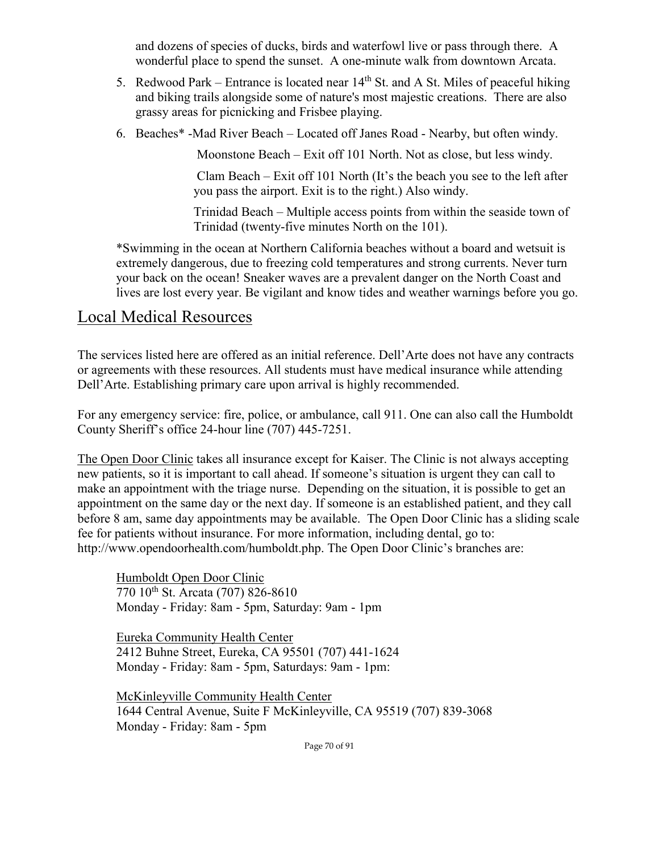and dozens of species of ducks, birds and waterfowl live or pass through there. A wonderful place to spend the sunset. A one-minute walk from downtown Arcata.

- 5. Redwood Park Entrance is located near  $14<sup>th</sup>$  St. and A St. Miles of peaceful hiking and biking trails alongside some of nature's most majestic creations. There are also grassy areas for picnicking and Frisbee playing.
- 6. Beaches\* -Mad River Beach Located off Janes Road Nearby, but often windy.

Moonstone Beach  $-$  Exit off 101 North. Not as close, but less windy.

Clam Beach  $-$  Exit off 101 North (It's the beach you see to the left after you pass the airport. Exit is to the right.) Also windy.

Trinidad Beach – Multiple access points from within the seaside town of Trinidad (twenty-five minutes North on the 101).

\*Swimming in the ocean at Northern California beaches without a board and wetsuit is extremely dangerous, due to freezing cold temperatures and strong currents. Never turn your back on the ocean! Sneaker waves are a prevalent danger on the North Coast and lives are lost every year. Be vigilant and know tides and weather warnings before you go.

## Local Medical Resources

The services listed here are offered as an initial reference. Dell'Arte does not have any contracts or agreements with these resources. All students must have medical insurance while attending Dell'Arte. Establishing primary care upon arrival is highly recommended.

For any emergency service: fire, police, or ambulance, call 911. One can also call the Humboldt County Sheriff's office 24-hour line  $(707)$  445-7251.

The Open Door Clinic takes all insurance except for Kaiser. The Clinic is not always accepting new patients, so it is important to call ahead. If someone's situation is urgent they can call to make an appointment with the triage nurse. Depending on the situation, it is possible to get an appointment on the same day or the next day. If someone is an established patient, and they call before 8 am, same day appointments may be available. The Open Door Clinic has a sliding scale fee for patients without insurance. For more information, including dental, go to: http://www.opendoorhealth.com/humboldt.php. The Open Door Clinic's branches are:

Humboldt Open Door Clinic 770 10th St. Arcata (707) 826-8610 Monday - Friday: 8am - 5pm, Saturday: 9am - 1pm

Eureka Community Health Center 2412 Buhne Street, Eureka, CA 95501 (707) 441-1624 Monday - Friday: 8am - 5pm, Saturdays: 9am - 1pm:

McKinleyville Community Health Center 1644 Central Avenue, Suite F McKinleyville, CA 95519 (707) 839-3068 Monday - Friday: 8am - 5pm

Page 70 of 91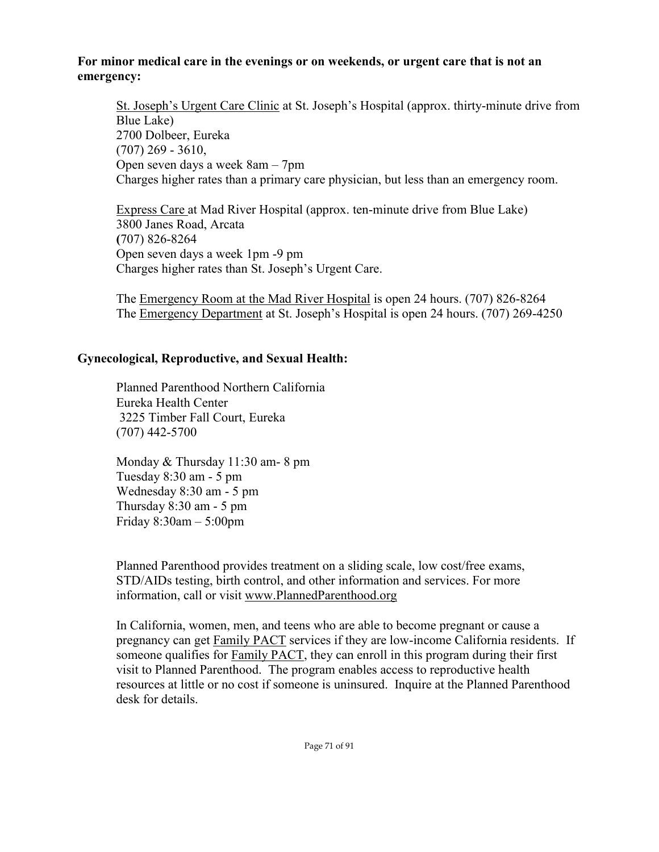#### **For minor medical care in the evenings or on weekends, or urgent care that is not an emergency:**

St. Joseph's Urgent Care Clinic at St. Joseph's Hospital (approx. thirty-minute drive from Blue Lake) 2700 Dolbeer, Eureka  $(707)$  269 - 3610, Open seven days a week  $8am - 7pm$ Charges higher rates than a primary care physician, but less than an emergency room.

Express Care at Mad River Hospital (approx. ten-minute drive from Blue Lake) 3800 Janes Road, Arcata **(**707) 826-8264 Open seven days a week 1pm -9 pm Charges higher rates than St. Joseph's Urgent Care.

The Emergency Room at the Mad River Hospital is open 24 hours. (707) 826-8264 The Emergency Department at St. Joseph's Hospital is open 24 hours. (707) 269-4250

#### **Gynecological, Reproductive, and Sexual Health:**

Planned Parenthood Northern California Eureka Health Center 3225 Timber Fall Court, Eureka (707) 442-5700

Monday & Thursday 11:30 am- 8 pm Tuesday 8:30 am - 5 pm Wednesday 8:30 am - 5 pm Thursday 8:30 am - 5 pm Friday  $8:30$ am  $-5:00$ pm

Planned Parenthood provides treatment on a sliding scale, low cost/free exams, STD/AIDs testing, birth control, and other information and services. For more information, call or visit www.PlannedParenthood.org

In California, women, men, and teens who are able to become pregnant or cause a pregnancy can get Family PACT services if they are low-income California residents. If someone qualifies for Family PACT, they can enroll in this program during their first visit to Planned Parenthood. The program enables access to reproductive health resources at little or no cost if someone is uninsured. Inquire at the Planned Parenthood desk for details.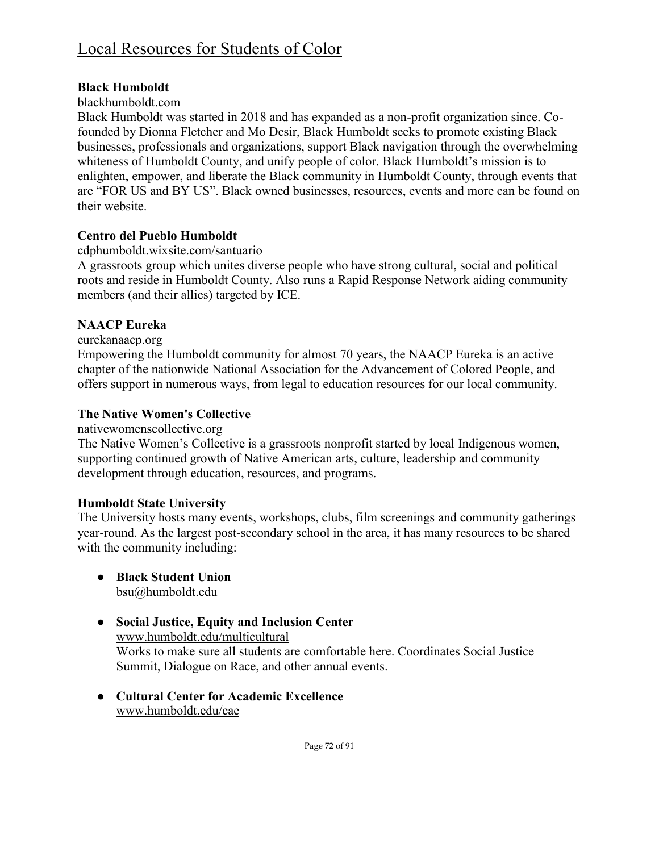### **Black Humboldt**

### blackhumboldt.com

Black Humboldt was started in 2018 and has expanded as a non-profit organization since. Cofounded by Dionna Fletcher and Mo Desir, Black Humboldt seeks to promote existing Black businesses, professionals and organizations, support Black navigation through the overwhelming whiteness of Humboldt County, and unify people of color. Black Humboldt's mission is to enlighten, empower, and liberate the Black community in Humboldt County, through events that are "FOR US and BY US". Black owned businesses, resources, events and more can be found on their website.

### **Centro del Pueblo Humboldt**

### cdphumboldt.wixsite.com/santuario

A grassroots group which unites diverse people who have strong cultural, social and political roots and reside in Humboldt County. Also runs a Rapid Response Network aiding community members (and their allies) targeted by ICE.

### **NAACP Eureka**

#### eurekanaacp.org

Empowering the Humboldt community for almost 70 years, the NAACP Eureka is an active chapter of the nationwide National Association for the Advancement of Colored People, and offers support in numerous ways, from legal to education resources for our local community.

### **The Native Women's Collective**

### nativewomenscollective.org

The Native Women's Collective is a grassroots nonprofit started by local Indigenous women, supporting continued growth of Native American arts, culture, leadership and community development through education, resources, and programs.

### **Humboldt State University**

The University hosts many events, workshops, clubs, film screenings and community gatherings year-round. As the largest post-secondary school in the area, it has many resources to be shared with the community including:

- Ɣ **Black Student Union**  bsu@humboldt.edu
- Ɣ **Social Justice, Equity and Inclusion Center**  www.humboldt.edu/multicultural Works to make sure all students are comfortable here. Coordinates Social Justice Summit, Dialogue on Race, and other annual events.
- Ɣ **Cultural Center for Academic Excellence**  www.humboldt.edu/cae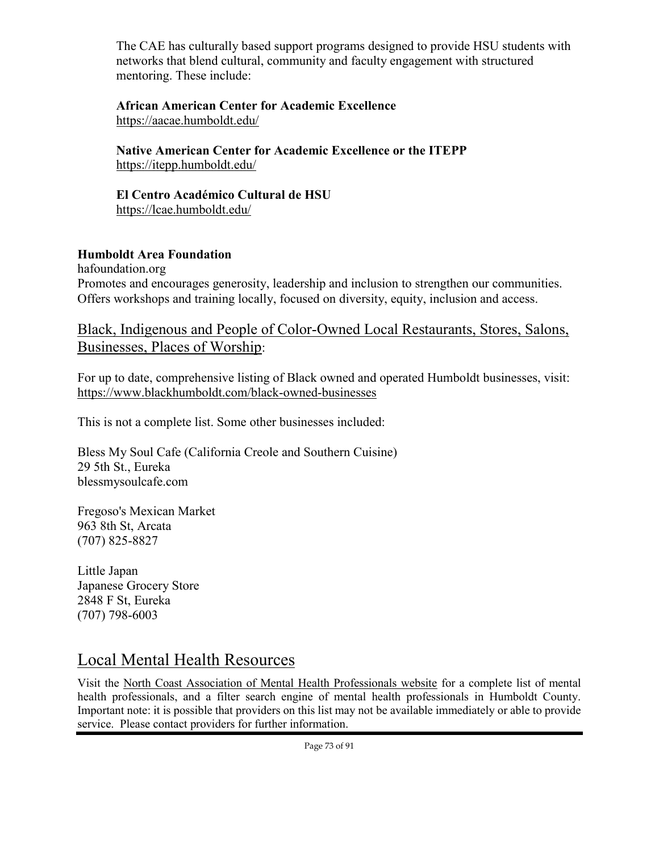The CAE has culturally based support programs designed to provide HSU students with networks that blend cultural, community and faculty engagement with structured mentoring. These include:

#### **African American Center for Academic Excellence**  https://aacae.humboldt.edu/

**Native American Center for Academic Excellence or the ITEPP**  https://itepp.humboldt.edu/

#### **El Centro Académico Cultural de HSU**  https://lcae.humboldt.edu/

### **Humboldt Area Foundation**

hafoundation.org Promotes and encourages generosity, leadership and inclusion to strengthen our communities. Offers workshops and training locally, focused on diversity, equity, inclusion and access.

## Black, Indigenous and People of Color-Owned Local Restaurants, Stores, Salons, Businesses, Places of Worship:

For up to date, comprehensive listing of Black owned and operated Humboldt businesses, visit: https://www.blackhumboldt.com/black-owned-businesses

This is not a complete list. Some other businesses included:

Bless My Soul Cafe (California Creole and Southern Cuisine) 29 5th St., Eureka blessmysoulcafe.com

Fregoso's Mexican Market 963 8th St, Arcata (707) 825-8827

Little Japan Japanese Grocery Store 2848 F St, Eureka (707) 798-6003

# Local Mental Health Resources

Visit the North Coast Association of Mental Health Professionals website for a complete list of mental health professionals, and a filter search engine of mental health professionals in Humboldt County. Important note: it is possible that providers on this list may not be available immediately or able to provide service. Please contact providers for further information.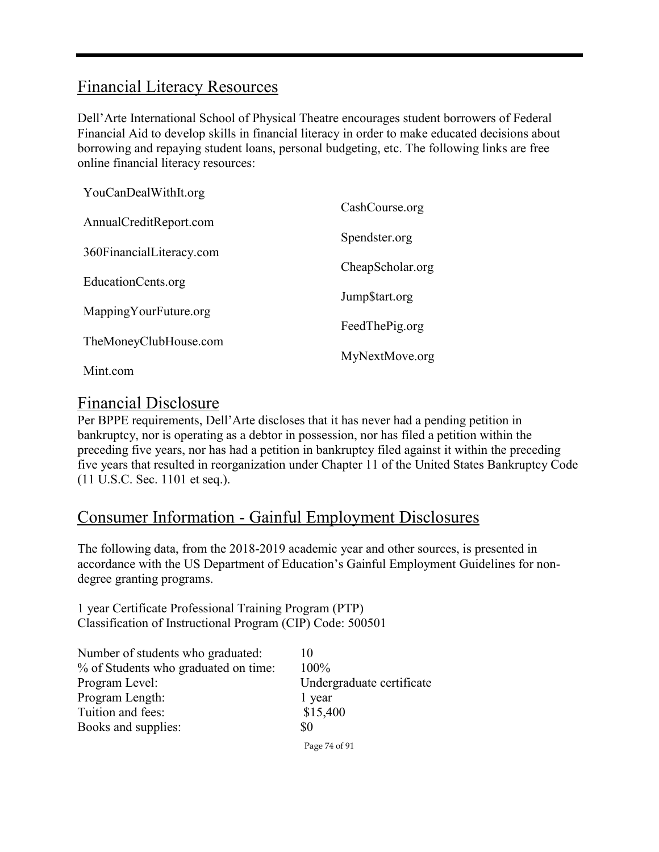# Financial Literacy Resources

Dell'Arte International School of Physical Theatre encourages student borrowers of Federal Financial Aid to develop skills in financial literacy in order to make educated decisions about borrowing and repaying student loans, personal budgeting, etc. The following links are free online financial literacy resources:

| YouCanDealWithIt.org     |                  |
|--------------------------|------------------|
|                          | CashCourse.org   |
| AnnualCreditReport.com   |                  |
|                          | Spendster.org    |
| 360FinancialLiteracy.com |                  |
| EducationCents.org       | CheapScholar.org |
|                          | Jump\$tart.org   |
| Mapping Your Future.org  |                  |
|                          | FeedThePig.org   |
| TheMoneyClubHouse.com    |                  |
|                          | MyNextMove.org   |
| Mint.com                 |                  |

## Financial Disclosure

Per BPPE requirements, Dell'Arte discloses that it has never had a pending petition in bankruptcy, nor is operating as a debtor in possession, nor has filed a petition within the preceding five years, nor has had a petition in bankruptcy filed against it within the preceding five years that resulted in reorganization under Chapter 11 of the United States Bankruptcy Code (11 U.S.C. Sec. 1101 et seq.).

# Consumer Information - Gainful Employment Disclosures

The following data, from the 2018-2019 academic year and other sources, is presented in accordance with the US Department of Education's Gainful Employment Guidelines for nondegree granting programs.

1 year Certificate Professional Training Program (PTP) Classification of Instructional Program (CIP) Code: 500501

| Number of students who graduated:    | $\mathbf{I}(\mathbf{I})$  |
|--------------------------------------|---------------------------|
| % of Students who graduated on time: | 100%                      |
| Program Level:                       | Undergraduate certificate |
| Program Length:                      | 1 year                    |
| Tuition and fees:                    | \$15,400                  |
| Books and supplies:                  | \$0                       |
|                                      | Page 74 of 91             |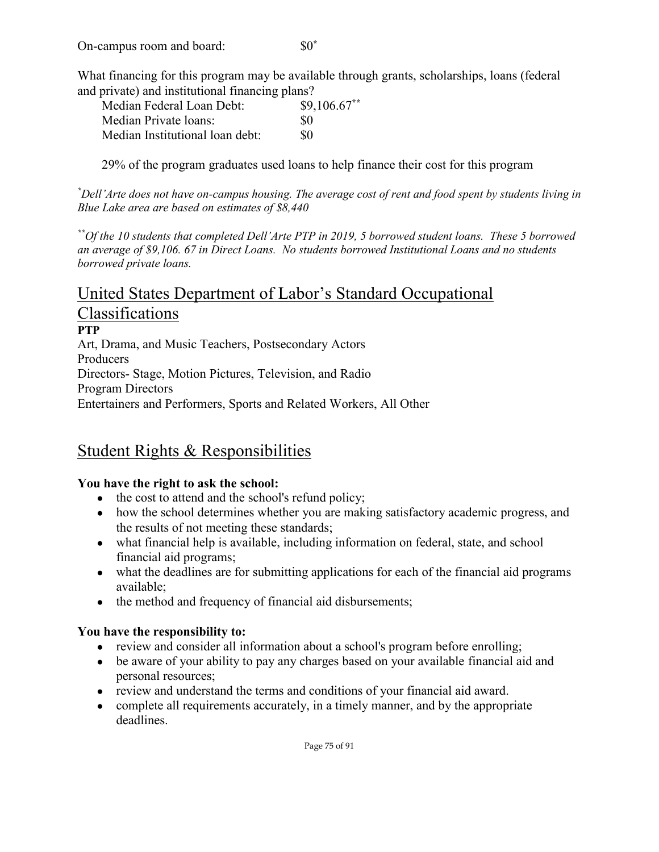On-campus room and board: \$0**\***

What financing for this program may be available through grants, scholarships, loans (federal and private) and institutional financing plans?

|                                 | $\Box$ |                |
|---------------------------------|--------|----------------|
| Median Federal Loan Debt:       |        | $$9,106.67$ ** |
| Median Private loans:           |        | \$0            |
| Median Institutional loan debt: |        | \$0            |

29% of the program graduates used loans to help finance their cost for this program

<sup>\*</sup>*Dell'Arte does not have on-campus housing. The average cost of rent and food spent by students living in Blue Lake area are based on estimates of \$8,440* 

\*\**Of the 10 students that completed Dell'Arte PTP in 2019, 5 borrowed student loans. These 5 borrowed an average of \$9,106. 67 in Direct Loans. No students borrowed Institutional Loans and no students borrowed private loans.* 

### United States Department of Labor's Standard Occupational Classifications **PTP** Art, Drama, and Music Teachers, Postsecondary Actors Producers Directors- Stage, Motion Pictures, Television, and Radio Program Directors Entertainers and Performers, Sports and Related Workers, All Other

## Student Rights & Responsibilities

### **You have the right to ask the school:**

- the cost to attend and the school's refund policy;
- how the school determines whether you are making satisfactory academic progress, and the results of not meeting these standards;
- what financial help is available, including information on federal, state, and school financial aid programs;
- what the deadlines are for submitting applications for each of the financial aid programs available;
- the method and frequency of financial aid disbursements;

### **You have the responsibility to:**

- review and consider all information about a school's program before enrolling;
- be aware of your ability to pay any charges based on your available financial aid and personal resources;
- review and understand the terms and conditions of your financial aid award.
- complete all requirements accurately, in a timely manner, and by the appropriate deadlines.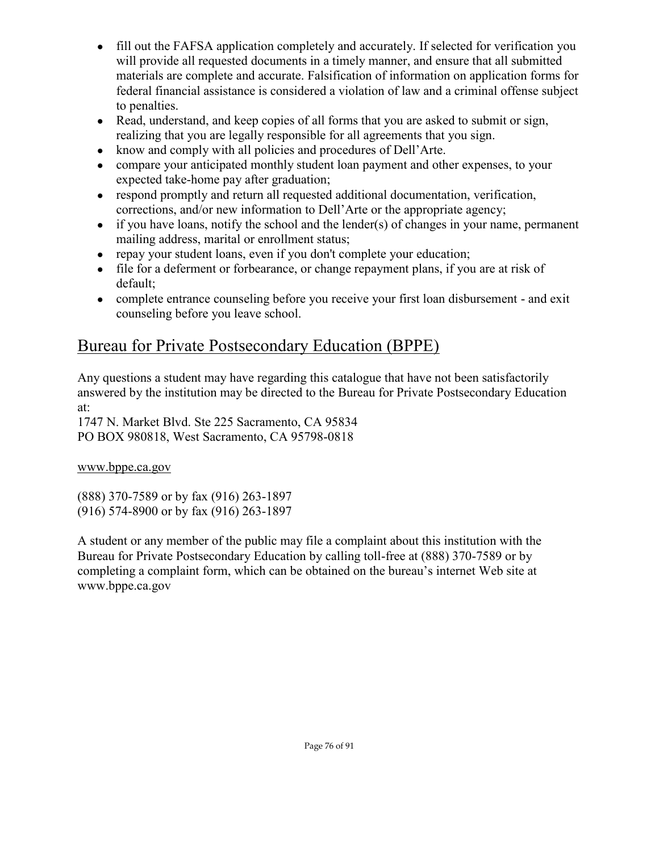- fill out the FAFSA application completely and accurately. If selected for verification you will provide all requested documents in a timely manner, and ensure that all submitted materials are complete and accurate. Falsification of information on application forms for federal financial assistance is considered a violation of law and a criminal offense subject to penalties.
- Read, understand, and keep copies of all forms that you are asked to submit or sign, realizing that you are legally responsible for all agreements that you sign.
- know and comply with all policies and procedures of Dell'Arte.
- compare your anticipated monthly student loan payment and other expenses, to your expected take-home pay after graduation;
- respond promptly and return all requested additional documentation, verification, corrections, and/or new information to Dell'Arte or the appropriate agency;
- if you have loans, notify the school and the lender(s) of changes in your name, permanent mailing address, marital or enrollment status;
- repay your student loans, even if you don't complete your education;
- file for a deferment or forbearance, or change repayment plans, if you are at risk of default;
- Ɣ complete entrance counseling before you receive your first loan disbursement and exit counseling before you leave school.

# Bureau for Private Postsecondary Education (BPPE)

Any questions a student may have regarding this catalogue that have not been satisfactorily answered by the institution may be directed to the Bureau for Private Postsecondary Education at:

1747 N. Market Blvd. Ste 225 Sacramento, CA 95834 PO BOX 980818, West Sacramento, CA 95798-0818

## www.bppe.ca.gov

(888) 370-7589 or by fax (916) 263-1897 (916) 574-8900 or by fax (916) 263-1897

A student or any member of the public may file a complaint about this institution with the Bureau for Private Postsecondary Education by calling toll-free at (888) 370-7589 or by completing a complaint form, which can be obtained on the bureau's internet Web site at www.bppe.ca.gov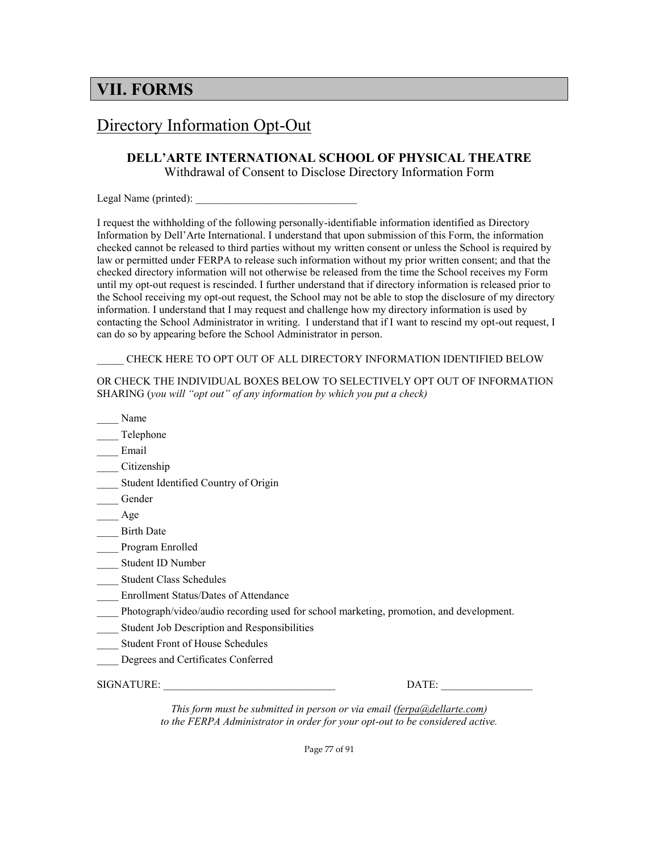# **VII. FORMS**

## Directory Information Opt-Out

## **DELL¶ARTE INTERNATIONAL SCHOOL OF PHYSICAL THEATRE**

Withdrawal of Consent to Disclose Directory Information Form

Legal Name (printed):

I request the withholding of the following personally-identifiable information identified as Directory Information by Dell'Arte International. I understand that upon submission of this Form, the information checked cannot be released to third parties without my written consent or unless the School is required by law or permitted under FERPA to release such information without my prior written consent; and that the checked directory information will not otherwise be released from the time the School receives my Form until my opt-out request is rescinded. I further understand that if directory information is released prior to the School receiving my opt-out request, the School may not be able to stop the disclosure of my directory information. I understand that I may request and challenge how my directory information is used by contacting the School Administrator in writing. I understand that if I want to rescind my opt-out request, I can do so by appearing before the School Administrator in person.

CHECK HERE TO OPT OUT OF ALL DIRECTORY INFORMATION IDENTIFIED BELOW

OR CHECK THE INDIVIDUAL BOXES BELOW TO SELECTIVELY OPT OUT OF INFORMATION SHARING (you will "opt out" of any information by which you put a check)

- \_\_\_\_ Name
- \_\_\_\_ Telephone
- \_\_\_\_ Email
- \_\_\_\_ Citizenship
- \_\_\_\_ Student Identified Country of Origin
- \_\_\_\_ Gender
- \_\_\_\_ Age
- \_\_\_\_ Birth Date
- \_\_\_\_ Program Enrolled
- \_\_\_\_ Student ID Number
- \_\_\_\_ Student Class Schedules
- \_\_\_\_ Enrollment Status/Dates of Attendance
- \_\_\_\_ Photograph/video/audio recording used for school marketing, promotion, and development.
- \_\_\_\_ Student Job Description and Responsibilities
- Student Front of House Schedules
- \_\_\_\_ Degrees and Certificates Conferred

SIGNATURE: \_\_\_\_\_\_\_\_\_\_\_\_\_\_\_\_\_\_\_\_\_\_\_\_\_\_\_\_\_\_\_\_ DATE: \_\_\_\_\_\_\_\_\_\_\_\_\_\_\_\_\_

*This form must be submitted in person or via email (ferpa@dellarte.com) to the FERPA Administrator in order for your opt-out to be considered active.* 

Page 77 of 91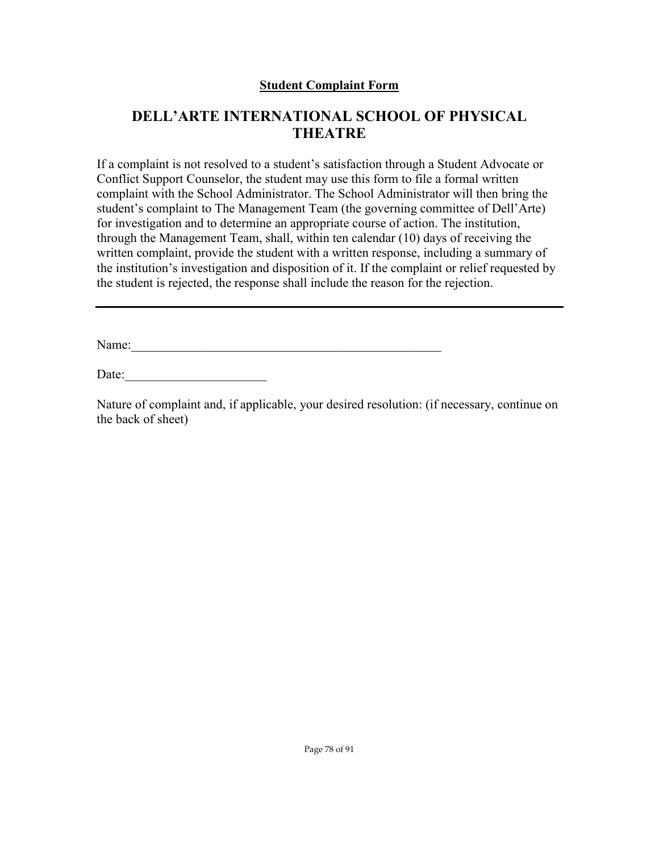### **Student Complaint Form**

## **DELL¶ARTE INTERNATIONAL SCHOOL OF PHYSICAL THEATRE**

If a complaint is not resolved to a student's satisfaction through a Student Advocate or Conflict Support Counselor, the student may use this form to file a formal written complaint with the School Administrator. The School Administrator will then bring the student's complaint to The Management Team (the governing committee of Dell'Arte) for investigation and to determine an appropriate course of action. The institution, through the Management Team, shall, within ten calendar (10) days of receiving the written complaint, provide the student with a written response, including a summary of the institution's investigation and disposition of it. If the complaint or relief requested by the student is rejected, the response shall include the reason for the rejection.

 $Name:$ 

Date:\_\_\_\_\_\_\_\_\_\_\_\_\_\_\_\_\_\_\_\_\_\_

Nature of complaint and, if applicable, your desired resolution: (if necessary, continue on the back of sheet)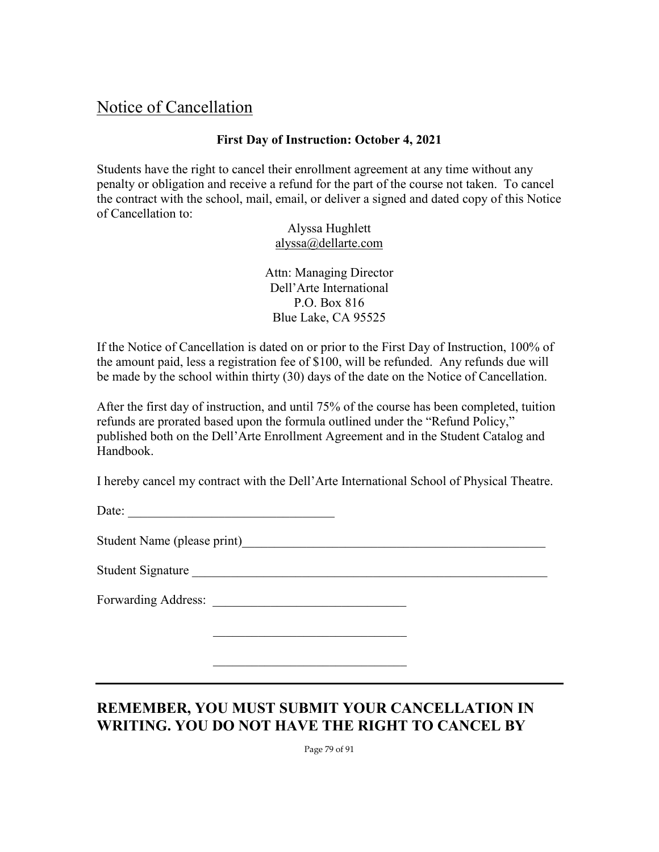## Notice of Cancellation

### **First Day of Instruction: October 4, 2021**

Students have the right to cancel their enrollment agreement at any time without any penalty or obligation and receive a refund for the part of the course not taken. To cancel the contract with the school, mail, email, or deliver a signed and dated copy of this Notice of Cancellation to:

> Alyssa Hughlett alyssa@dellarte.com

Attn: Managing Director Dell'Arte International P.O. Box 816 Blue Lake, CA 95525

If the Notice of Cancellation is dated on or prior to the First Day of Instruction, 100% of the amount paid, less a registration fee of \$100, will be refunded. Any refunds due will be made by the school within thirty (30) days of the date on the Notice of Cancellation.

After the first day of instruction, and until 75% of the course has been completed, tuition refunds are prorated based upon the formula outlined under the "Refund Policy," published both on the Dell'Arte Enrollment Agreement and in the Student Catalog and Handbook.

I hereby cancel my contract with the Dell'Arte International School of Physical Theatre.

Date:

Student Name (please print)

Student Signature \_\_\_\_\_\_\_\_\_\_\_\_\_\_\_\_\_\_\_\_\_\_\_\_\_\_\_\_\_\_\_\_\_\_\_\_\_\_\_\_\_\_\_\_\_\_\_\_\_\_\_\_\_\_\_

Forwarding Address:

## **REMEMBER, YOU MUST SUBMIT YOUR CANCELLATION IN WRITING. YOU DO NOT HAVE THE RIGHT TO CANCEL BY**

Page 79 of 91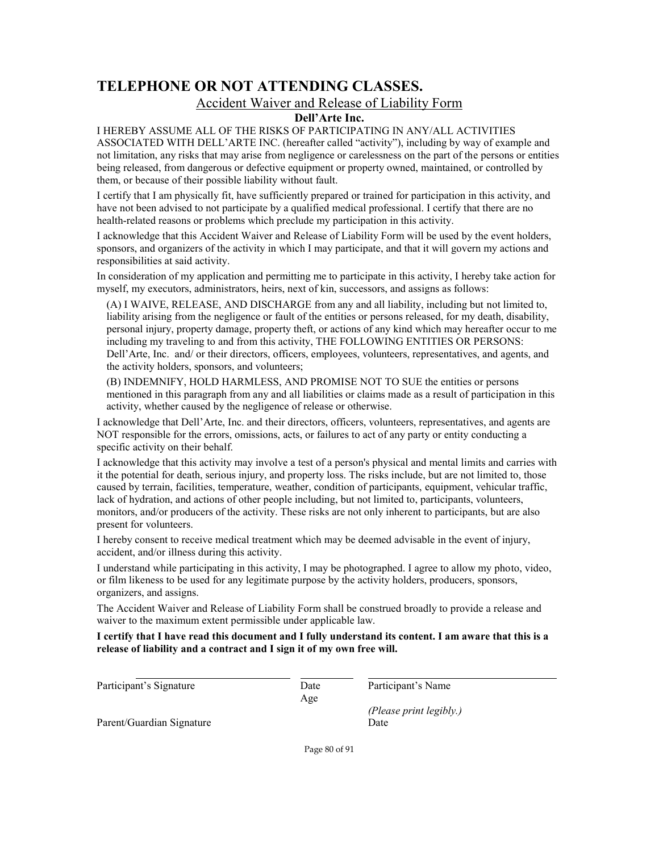# **TELEPHONE OR NOT ATTENDING CLASSES.**

### Accident Waiver and Release of Liability Form

#### **Dell'Arte Inc.**

I HEREBY ASSUME ALL OF THE RISKS OF PARTICIPATING IN ANY/ALL ACTIVITIES ASSOCIATED WITH DELL'ARTE INC. (hereafter called "activity"), including by way of example and not limitation, any risks that may arise from negligence or carelessness on the part of the persons or entities being released, from dangerous or defective equipment or property owned, maintained, or controlled by them, or because of their possible liability without fault.

I certify that I am physically fit, have sufficiently prepared or trained for participation in this activity, and have not been advised to not participate by a qualified medical professional. I certify that there are no health-related reasons or problems which preclude my participation in this activity.

I acknowledge that this Accident Waiver and Release of Liability Form will be used by the event holders, sponsors, and organizers of the activity in which I may participate, and that it will govern my actions and responsibilities at said activity.

In consideration of my application and permitting me to participate in this activity, I hereby take action for myself, my executors, administrators, heirs, next of kin, successors, and assigns as follows:

(A) I WAIVE, RELEASE, AND DISCHARGE from any and all liability, including but not limited to, liability arising from the negligence or fault of the entities or persons released, for my death, disability, personal injury, property damage, property theft, or actions of any kind which may hereafter occur to me including my traveling to and from this activity, THE FOLLOWING ENTITIES OR PERSONS: Dell'Arte, Inc. and/ or their directors, officers, employees, volunteers, representatives, and agents, and the activity holders, sponsors, and volunteers;

(B) INDEMNIFY, HOLD HARMLESS, AND PROMISE NOT TO SUE the entities or persons mentioned in this paragraph from any and all liabilities or claims made as a result of participation in this activity, whether caused by the negligence of release or otherwise.

I acknowledge that Dell'Arte, Inc. and their directors, officers, volunteers, representatives, and agents are NOT responsible for the errors, omissions, acts, or failures to act of any party or entity conducting a specific activity on their behalf.

I acknowledge that this activity may involve a test of a person's physical and mental limits and carries with it the potential for death, serious injury, and property loss. The risks include, but are not limited to, those caused by terrain, facilities, temperature, weather, condition of participants, equipment, vehicular traffic, lack of hydration, and actions of other people including, but not limited to, participants, volunteers, monitors, and/or producers of the activity. These risks are not only inherent to participants, but are also present for volunteers.

I hereby consent to receive medical treatment which may be deemed advisable in the event of injury, accident, and/or illness during this activity.

I understand while participating in this activity, I may be photographed. I agree to allow my photo, video, or film likeness to be used for any legitimate purpose by the activity holders, producers, sponsors, organizers, and assigns.

The Accident Waiver and Release of Liability Form shall be construed broadly to provide a release and waiver to the maximum extent permissible under applicable law.

#### **I certify that I have read this document and I fully understand its content. I am aware that this is a release of liability and a contract and I sign it of my own free will.**

| Participant's Signature |
|-------------------------|
|-------------------------|

Date Participant's Name

Parent/Guardian Signature Date

Age

 *(Please print legibly.)* 

Page 80 of 91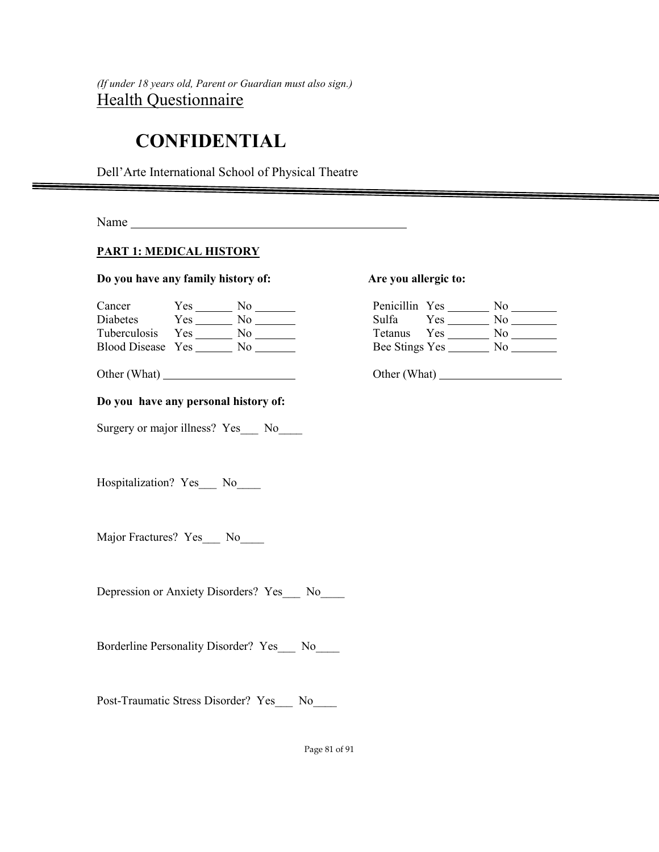*(If under 18 years old, Parent or Guardian must also sign.)*  Health Questionnaire

# **CONFIDENTIAL**

Dell'Arte International School of Physical Theatre

Name and the second state of the second state of the second state of the second state  $\sim$ 

#### **PART 1: MEDICAL HISTORY**

|                          |      |    | $\cdots$ , $\cdots$ $\cdots$ |     |
|--------------------------|------|----|------------------------------|-----|
| Cancer                   | Yes  | No | Penicillin Yes               | No. |
| Diabetes                 | Y es | No | Sulfa<br>Yes                 | No. |
| Tuberculosis             | Yes  | Nο | Tetanus<br>Yes               | No. |
| <b>Blood Disease</b> Yes |      | Nο | Bee Stings Yes               | No. |

Other (What) Other (What) Other (What)

#### **Do you have any personal history of:**

Surgery or major illness? Yes\_\_\_ No\_\_\_\_

Hospitalization? Yes\_\_\_ No\_\_\_\_

Major Fractures? Yes\_\_\_ No\_\_\_\_

Depression or Anxiety Disorders? Yes No

Borderline Personality Disorder? Yes No

Post-Traumatic Stress Disorder? Yes\_\_\_ No\_\_\_\_

### Do you have any family history of: Are you allergic to:

| Penicillin Yes |     | No |  |
|----------------|-----|----|--|
| Sulfa          | Yes | No |  |
| Tetanus        | Yes | No |  |
| Bee Stings Yes |     | No |  |
|                |     |    |  |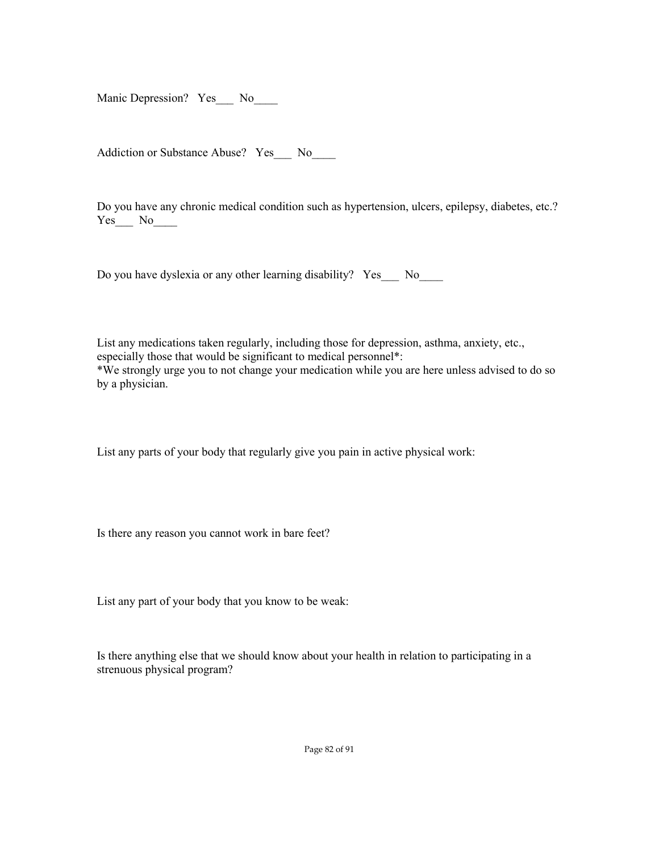Manic Depression? Yes\_\_\_ No\_\_\_\_

Addiction or Substance Abuse? Yes\_\_\_ No\_\_\_\_

Do you have any chronic medical condition such as hypertension, ulcers, epilepsy, diabetes, etc.? Yes\_\_\_ No\_\_\_\_

Do you have dyslexia or any other learning disability? Yes No

List any medications taken regularly, including those for depression, asthma, anxiety, etc., especially those that would be significant to medical personnel\*: \*We strongly urge you to not change your medication while you are here unless advised to do so by a physician.

List any parts of your body that regularly give you pain in active physical work:

Is there any reason you cannot work in bare feet?

List any part of your body that you know to be weak:

Is there anything else that we should know about your health in relation to participating in a strenuous physical program?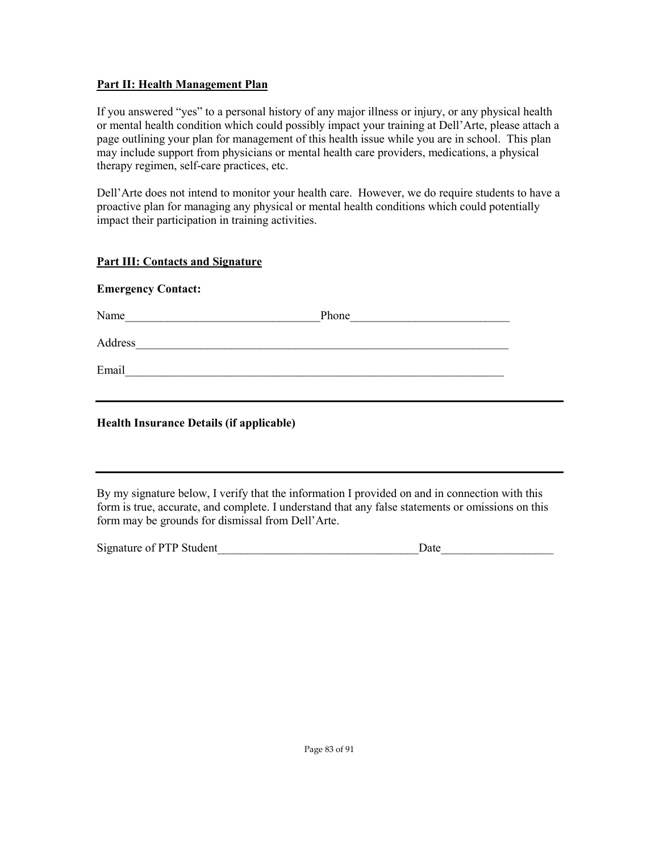#### **Part II: Health Management Plan**

If you answered "yes" to a personal history of any major illness or injury, or any physical health or mental health condition which could possibly impact your training at Dell'Arte, please attach a page outlining your plan for management of this health issue while you are in school. This plan may include support from physicians or mental health care providers, medications, a physical therapy regimen, self-care practices, etc.

Dell'Arte does not intend to monitor your health care. However, we do require students to have a proactive plan for managing any physical or mental health conditions which could potentially impact their participation in training activities.

#### **Part III: Contacts and Signature**

| Name    | Phone |
|---------|-------|
| Address |       |
| Email   |       |

**Health Insurance Details (if applicable)**

By my signature below, I verify that the information I provided on and in connection with this form is true, accurate, and complete. I understand that any false statements or omissions on this form may be grounds for dismissal from Dell'Arte.

| Signature of PTF<br>Student |  |
|-----------------------------|--|
|                             |  |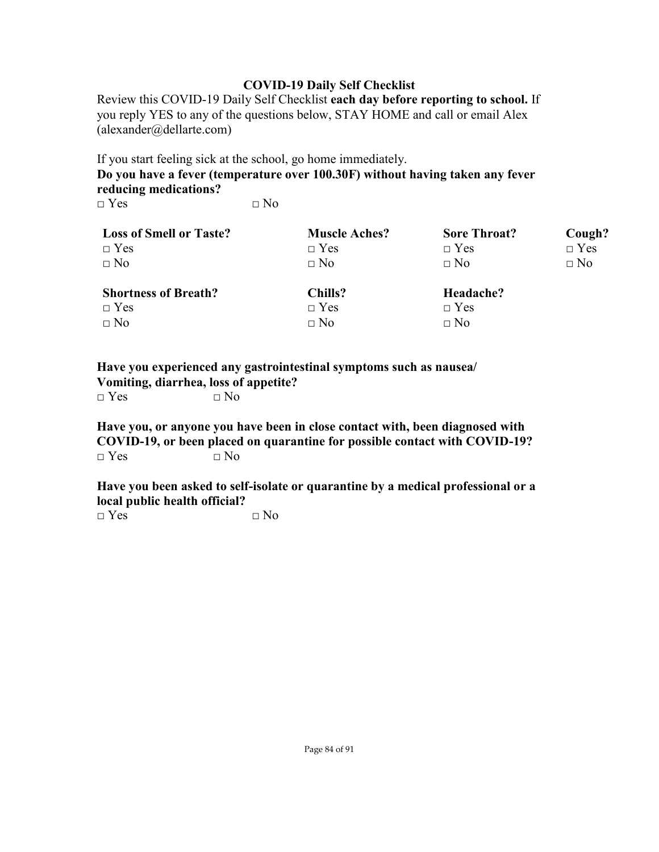#### **COVID-19 Daily Self Checklist**

Review this COVID-19 Daily Self Checklist **each day before reporting to school.** If you reply YES to any of the questions below, STAY HOME and call or email Alex (alexander@dellarte.com)

If you start feeling sick at the school, go home immediately. **Do you have a fever (temperature over 100.30F) without having taken any fever reducing medications?** 

 $\square$  Yes  $\square$  No

| <b>Loss of Smell or Taste?</b><br>$\Box$ Yes | <b>Muscle Aches?</b><br>$\Box$ Yes | <b>Sore Throat?</b><br>$\Box$ Yes | Cough?<br>$\Box$ Yes |
|----------------------------------------------|------------------------------------|-----------------------------------|----------------------|
| $\Box$ No                                    | $\Box$ No                          | $\Box$ No                         | $\Box$ No            |
| <b>Shortness of Breath?</b>                  | Chills?                            | Headache?                         |                      |
| $\Box$ Yes                                   | $\Box$ Yes                         | $\Box$ Yes                        |                      |
| $\Box$ No                                    | $\Box$ No                          | $\Box$ No                         |                      |

**Have you experienced any gastrointestinal symptoms such as nausea/ Vomiting, diarrhea, loss of appetite?** 

 $\Box$  Yes  $\Box$  No

**Have you, or anyone you have been in close contact with, been diagnosed with COVID-19, or been placed on quarantine for possible contact with COVID-19?**<br> $\Box$  Yes  $\Box$  No  $\Box$  Yes

**Have you been asked to self-isolate or quarantine by a medical professional or a local public health official?** 

 $\Box$  Yes  $\Box$  No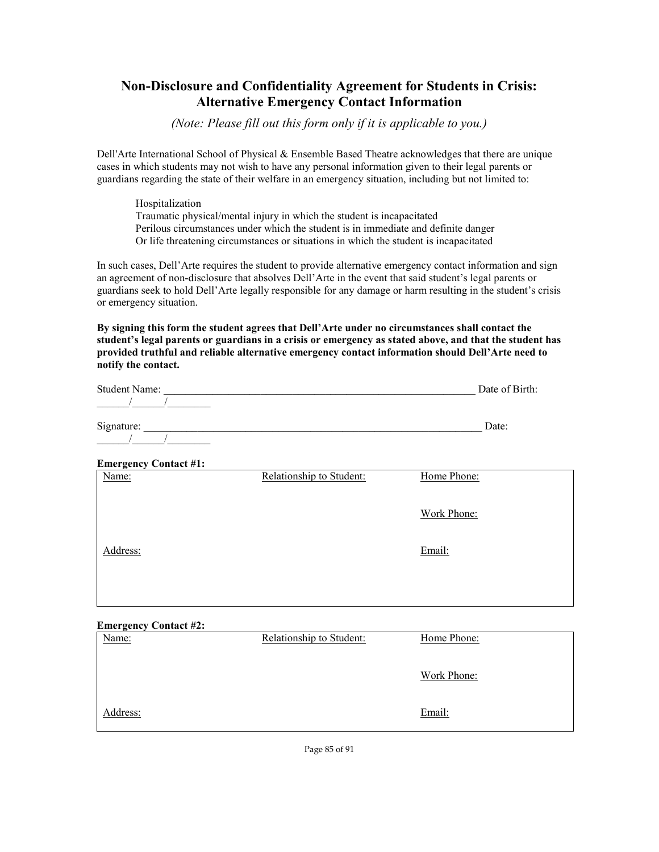### **Non-Disclosure and Confidentiality Agreement for Students in Crisis: Alternative Emergency Contact Information**

*(Note: Please fill out this form only if it is applicable to you.)* 

Dell'Arte International School of Physical & Ensemble Based Theatre acknowledges that there are unique cases in which students may not wish to have any personal information given to their legal parents or guardians regarding the state of their welfare in an emergency situation, including but not limited to:

#### Hospitalization

Traumatic physical/mental injury in which the student is incapacitated Perilous circumstances under which the student is in immediate and definite danger Or life threatening circumstances or situations in which the student is incapacitated

In such cases, Dell'Arte requires the student to provide alternative emergency contact information and sign an agreement of non-disclosure that absolves Dell'Arte in the event that said student's legal parents or guardians seek to hold Dell'Arte legally responsible for any damage or harm resulting in the student's crisis or emergency situation.

By signing this form the student agrees that Dell'Arte under no circumstances shall contact the student's legal parents or guardians in a crisis or emergency as stated above, and that the student has provided truthful and reliable alternative emergency contact information should Dell'Arte need to **notify the contact.** 

| <b>Student Name:</b> | Date of Birth: |
|----------------------|----------------|
|                      |                |
| Signature:           | Date:          |
|                      |                |

### **Emergency Contact #1:**

| Emergency Contact $\#1$ : |                          |             |
|---------------------------|--------------------------|-------------|
| Name:                     | Relationship to Student: | Home Phone: |
|                           |                          | Work Phone: |
| Address:                  |                          | Email:      |
|                           |                          |             |

#### **Emergency Contact #2:**

| $\sim$<br>Name: | Relationship to Student: | Home Phone:        |
|-----------------|--------------------------|--------------------|
|                 |                          |                    |
|                 |                          |                    |
|                 |                          | <b>Work Phone:</b> |
|                 |                          |                    |
| Address:        |                          | Email:             |
|                 |                          |                    |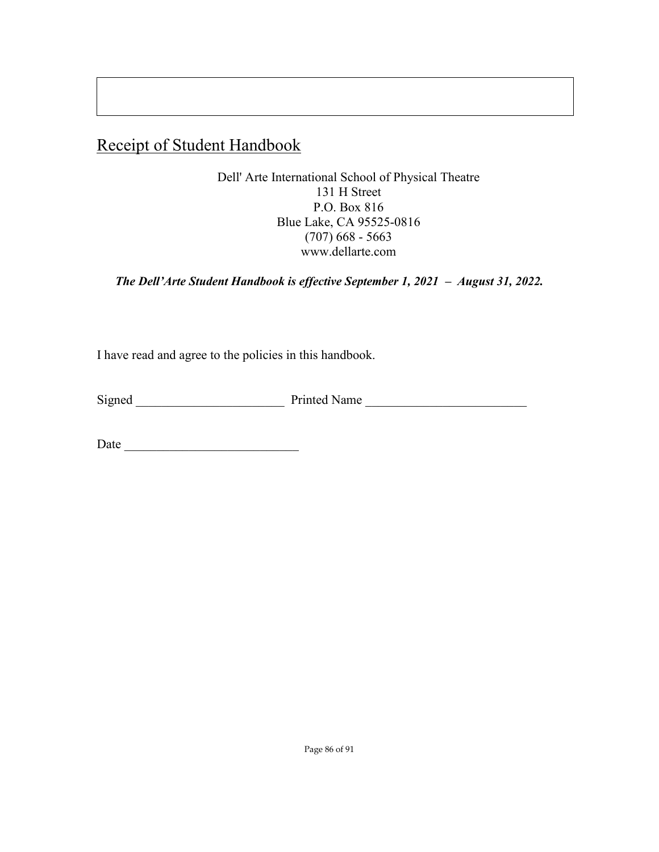# Receipt of Student Handbook

Dell' Arte International School of Physical Theatre 131 H Street P.O. Box 816 Blue Lake, CA 95525-0816 (707) 668 - 5663 www.dellarte.com

*The Dell'Arte Student Handbook is effective September 1, 2021 - August 31, 2022.* 

I have read and agree to the policies in this handbook.

| Signed | Printed<br>Name |
|--------|-----------------|
|        |                 |

Date \_\_\_\_\_\_\_\_\_\_\_\_\_\_\_\_\_\_\_\_\_\_\_\_\_\_\_